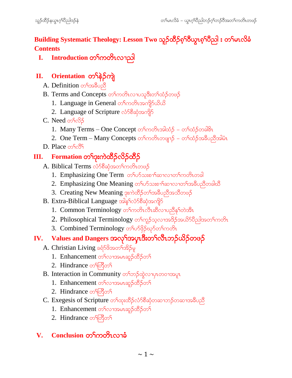Building Systematic Theology: Lesson Two သူဉ်ထိဉ်စ့<sup>၎</sup>ဝိယ္လာစ့<sup>၎</sup>ဝိညါ း တ<sup>၎</sup>မာလိခံ **Contents**

**I. Introduction** တ<sup>ှ</sup>ကတိၤလၢညါ

## **II.** Orientation တ<sup>ှ</sup>န်ဉ်ကျဲ

- A. Definition တ<sup>ှ</sup>အနီပညီ
- B. Terms and Concepts တ<sup>ှ</sup>ကတိၤလၢပသူဒီးတ<sup>ှ</sup>ထံဉ်တဖဉ်
	- 1. Language in General တ<sup>၎</sup>ကတိၤအကျိ<sup>ု</sup>ပါတယ
	- 2. Language of Scripture လံာ်စီဆုံအကျိ
- C. Need တ<sup>ှ</sup>လ်ဉ်
	- 1. Many Terms One Concept တ<sup>၎</sup>ကတိၤအါထံဉ် တ<sup>၎</sup>ထံဉ်တခါ<sup>၉</sup>ၤ
	- 2. One Term Many Concepts တ<sup>၎</sup>ကတိၤတဖျာ $5$  တ<sup>၎</sup>ထံဉ်အခ်ဳပညီအါမံၤ
- $D.$  Place  $\infty$  froggers

# **III.** Formation တ<sup>ရ</sup>ားကဲထိဉ်လိဉ်ထိဉ်

- A. Biblical Terms လံာ်စီဆုံအတ<sup>ြ</sup>ကတိၤတဖဉ်
	- 1. Emphasizing One Term တ<sup>ှ</sup>ပာသးစၫ်ဆာလၢတ**်ကတိၤတ**ခါ
	- 2. Emphasizing One Meaning တ ဖြောဆုံးစားရသောက်အခဲဖြေတို့တဲ့ခါး
	- 3. Creating New Meaning ဒုးကဲထိဉ်တ<sup>ရ</sup>အခ်ီပညီအသိတဖဉ်
- B. Extra-Biblical Language အါန<br/>ned Bachman Bachen Data Apples
	- 1. Common Terminology တ<sup>ှ</sup>ကတိၤလီၤဆီလၢပညိနှ်တဲအိၤ
	- 2. Philosophical Terminology တ<sup>ရ</sup>ကူဉ်သ့လၢအဒိဉ်အယိ5်ပီညါအတ<sup>ရ</sup>ကတိၤ
	- 3. Combined Terminology တ<sup>ှ</sup>ပာ်ဖို့ဉ်ဃှာ်တက်ကတိ

# **IV.** Values and Dangers အလှ<sup>ရ</sup>အပုၤဒီးတ<sup>၎</sup>လီၤဘဉ်ယိဉ်တဖဉ်

- A. Christian Living ခရံ $58$ အတ<sup>ှ</sup>အိဉ်မှု
	- 1. Enhancement တ<sup>ှ</sup>လၢအမာဆူဉ်ထိဉ်တ<sup>ှ</sup>
	- 2. Hindrance on ogon
- B. Interaction in Community တ<sup>ှ</sup>တဉ်ထွဲလျပုလာဝါအပူး
	- 1. Enhancement တ<sup>ှ</sup>လာအမာဆူဉ်ထိဉ်တ<sup>ှ</sup>
	- 2. Hindrance on ogon
- $C$ . Exegesis of Scripture တ<sup>ှ</sup>ထုံးထိဉ်လံာ်စိဆုံတဆၢဘဉ်တဆၢအခ်ီပညီ
	- 1. Enhancement တ<sup>ှ</sup>လာအမာဆူဉ်ထိဉ်တ<sup>ှ</sup>
	- 2. Hindrance on တြိတ်

#### $V.$  **Conclusion** တ<sup>ြ</sup>ကတိၤလၢခံ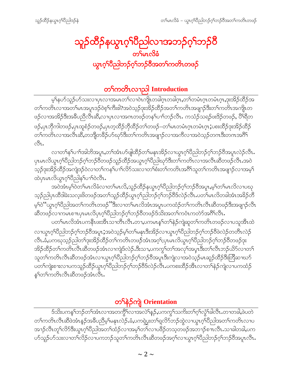# သူ<mark>ဉ်ထိဉ်နယွာဂ့<sup>၎</sup>ပ</mark>ြီညါလၫအဘဉ်ဂ့<sup>၎</sup>ဘဉ်ပိ<br>စာမြစ်စိ ယ္စာဂ်ုပ္စြာဘုပ္ငံပုံသင္ခ်ဝွအသုပ္ပယ္ပေသ

# တ<sup></sup>်ကတိၤလၫညါ Introduction

မ့်နယ်သူဉ်ဟ်သးလၢပုၤလၢအမၤတၤ်လၢဝဲၤကျိုၤတခါဂူၤတခါဂူၤ,တၤ်တမံၤဂူၤတမံၤဂုၤ,ဒုးအိဉ်ထိဉ်အ တၫ်ကတိၤလၢအတၫ်မၤအပူၤဒဉ်ဝဲစ့ၫ်ကီးဧါ?အဝဲသ့ဉ်ဒုးအိဉ်ထိဉ်အတၫ်ကတိၤအဖျာဉ်ဒီးတၫ်ကတိၤအကျိၤတ ဖဉ်လၢအအိဉ်ဒီးအခ်ီပညီလီၤဆီႇလၢပှၤလၢအဂၤတဖဉ်တန5်ပၢာ်ဘဉ်လီၤႉ ကသံဉ်သရဉ်ဖးဒိဉ်တဖဉ်, ပိ<sup>ရ</sup>ရိတ ဖဉ်ႇပှၤဘိုကါတဖဉ်ႇပှၤထူစံဉ်တဖဉ်ႇပှၤတ့ထိဉ်ဘိုထိဉ်တၫ်တဖဉ်–တၫ်မၤတမံၤဂ့ၤတမံၤဂ့ၤ;ပစးထိဉ်ဒုးအိဉ်ထိဉ် တ်ကတိၤလၫအလီၤဆိ,တဘျိတ<sup>8</sup>ဉ်ဟ်ဃုာ်ဒီးတ<sup>ြ</sup>ကတိၤအဖျာဉ်လၫအကီလၫအဝဲသုဉ်တဂၤဒီးတဂၤအဂီ<sup>ရ</sup>  $\mathcal{C}_{1}$ 

လၢတ႑်နှၤ်ပၢၤ်အါဘိအပူၤႇတ႑်အံၤပာ်ဖျါထိဉ်တ႑်မနုၤအိဉ်လၢယ္ပၤဂ့ၤ်ပီညါဘဉ်ဂ့ၤ်ဘဉ်ဝီအပူၤလဲဉ်လီၤ. ၦၤမၤလိယ္လၤဂ့ၫိပညါဘဉ်ဂ့ၫ်ဘဉ်၀ီတဖဉ်သူဉ်ထိဉ်အယွၤဂ့ၫ်ပိညါဃုာ်ဒီးတ<sup>ြ</sup>ကတိၤလၢအလိၤဆီတဖဉ်လိၤ.အဝဲ သည်ခုးအိဉ်ထိဉ်အကျဲဒဉ်ဝဲလၢတ႑်ကန႑်ပ႑်လိ်ာသားလၢတ႑်စီးတ႑်ကတိၤအဂါသူတ႑်ကတိၤအဖျာဉ်လၢအမ့႑် ထဲပုၤမၤလိယ္ဇၤဂ့်ၫပဳညါန႑်ပ႑ာဲလိၤ.

အဝဲအံၤမ့ါဝဲတါမၤလိခံလၢတါမၤလိႇသူဉ်ထိဉ်နယွၤဂ့ါပီညါဘဉ်ဂ့ါဘဉ်ပီအပူၤ,မ့ါတါမၤလိလၢပဃု သုဉ်ညါပှၤထိဒါခဲးသလုံးဖိတဖဉ်အတ႑်သူဉ်ထိဉ်ယွπဂ့ၫ်ညါဘဉ်ဂ့ၫ်ဘဉ်ဝိဒ်လဲဉ်လီၤ.ပတ<sup>်</sup>၊မၤလိတခါအံၤအခိဉ်တိ မ့်)ဝဲ``ယွၤဂ့ါပီညါအတၤ်ကတိၤတဖဉ်ႛႛဒီးလၢတၤ်မၤလိအံၤအပူၤပကထံဉ်တၤ်ကတိၤလီၤဆီတဖဉ်ဒီးအဖျၫဉ်လီၤ ဆီတဖဉ်လၢကမၤစπပှၤမၤလိပှၤဂ့ါပီညါဘဉ်ဂ့ါဘဉ်ဝီတဖဉ်ဒ်သိးအတါကဝံၤကတဲာ်အဂီါလီၤ.

ပတ<sup>႖</sup>မၤလိအံၤပကနိၤဖးအိၤသၢတိၤလိၤ.တၢ,ပကမၤန္<sup>႖</sup>တၫ်နဲဉ်ကျဲဆူတၫ်ကတိၤတဖဉ်လၢပသူအိၤထဲ လၢယ္လၤဂုၤ်ပိညါဘဉ်ဂုၤ်ဘဉ်ဝိအပူၤ;အဝဲသ့ဉ်မ့ၤ်တၤ်မန္βုဒိးအိဉ်လၢယ္လၤဂုၤ်ပိညါဘဉ်ဂုၤ်ဘဉ်ဝိဖဲလဲဉ်တတိၤလဲဉ် လီၤ.ခံ,ပကဃုသ့ဉ်ညါတၫ်ဒုးအိဉ်ထိဉ်တၫ်ကတိၤတဖဉ်အံၤအဂ့ၢ်;ပှၤမၤလိယွၤဂ့ၢ်ပီညါဘဉ်ဂ့ၢ်ဘဉ်၀ိတဖဉ်ဒုး အိဉ်ထိဉ်တ႑်ကတိၤလီၤဆီတဖဉ်အံၤလၢကျဲဒ်လဲဉ်.ဒီးသၢ,ပကကွ<sup>၎</sup>တ႑်အလှၤ်အပုၤဒီးတ႑်လီၤဘဉ်ယိဉ်လ႑တ႑် သူတ<sup>ရ</sup>ကတိၤလီၤဆီတဖဉ်အံၤလၢယွၤဂ့<sup>ရ</sup>ပီညါဘဉ်ဂ့<sup>ရ</sup>ဘဉ်ဝိအပူၤဒီးကျဲလၢအဝဲသ့ဉ်မၤဆူဉ်ထိဉ်ဒီးတြိဆၢဃာ် ပတၫ်ကျဲးစၫးလၫပကသူဉ်ထိဉ်ယွπဂ့<sup>ရ်</sup>ပိညါဘဉ်ဂ့<sup>ရ</sup>ဘဉ်ပိဒ်လဲဉ်လီၤ.ပကစးထိဉ်အိၤလၫတၫ်နဲဉ်ကျဲလၢပကထံဉ် နှ်တ်ကတိၤလီၤဆီတဖဉ်အံၤလီၤ.

# တ**်**နဲ့ဉ်ကျဲ Orientation

ဒ်သိးပကန1်ဘဉ်တ1်အံၤလၢအတက္ဂိ<sup>ရ</sup>လၢအလဲ1်နဉ်,ပကကွ1်သက်းတ1်ဂ့<sup>ရ</sup>လွံ1်ခါလီၤ*လ*ၢတခါ,ဖဲပတဲ တၫ်ကတိၤလီၤဆီဖဲအံၤန္ဉာ်အခ်ီပညီမ့<sup>၎</sup>မနၤလဲဉ်ႉခံ,ပကၡဲပွးတ႑်ရလိ်ာဘဉ်ထွဲလၢယ္ပၤဂ့<sup>ရ်</sup>ပိညါအတ႑်ကတိၤလၢပ အၫဉ်လီၤတူၫ်လိ>်ဒီးယွၤဂ့ၫ်ပီညါအတ႑်ထံဉ်လၢအမ့ၫ်တ႑်လၢပဖိဉ်တသ့တဖဉ်အဘ႑ဉ်စ႑လီၤႉသ႑ခါတခါ,ပက ဟ်သူဉ်ဟ်သးလၢတၫ်လိဉ်လၢပကဘဉ်သူတၫ်ကတိၤလီၤဆီတဖဉ်အဂ့ၢ်လၢယ္လၤဂ့ၢ်ပိညါဘဉ်ဂ့ၢ်ဘဉ်ဝိအပူၤလီၤ.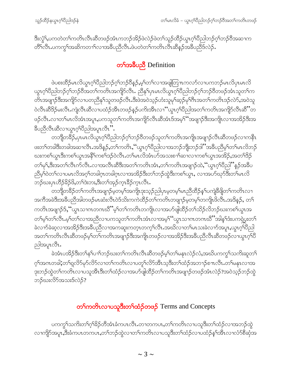ဒီးလွံ1်ႇပကတဲတ1်ကတိၤလီၤဆီတဖဉ်အံၤကဘဉ်အိဉ်ဖဲလဲဉ်ဖဲတ1်သူဉ်ထိဉ်ယွπဂ့ၢ်ပိညါဘဉ်ဂ့ၢ်ဘဉ်ဝိအဆၢက တိံၫလီၤ.ပကကွ<sup>ှ</sup>အဆိကတၫၫ်လၢအခ်ဳပညီလီၤ.ဖဲပတဲတၫ်ကတိၤလီၤဆီနဉ်အခ်ီပညီဒ်လဲဉ်.

# တ**်**အခ်ဳပညီ Definition

ဖဲပစးထိဉ်မၤလိယွၤဂ့ၢိပိညါဘဉ်ဂ့ၢ်ဘဉ်ဝိန္ဉန့်မှၤ်တ႑်လၢအဖျံတြπကလာ်လၢပကဘဉ်မၤလိပှၤမၤလိ ယ္လၤဂ့ၫ်ပီညါဘဉ်ဂ့ၫ်ဘဉ်ဝိအတ႑်ကတိၤအကျိဉ်လီၤ. ညီနုၤ်ပှၤမၤလိယ္ပၤဂ့ၫ်ပီညါဘဉ်ဂ့ၫ်ဘဉ်ဝိတဖဉ်အံၤသူတ႑်က တိၤအဖျာဉ်ဒီးအကျိဉ်လၢပတညီနု1်သူတဖဉ်လီၤ.ဒီးဖဲအဝဲသ့ဉ်ဟံးသူမု1်ဆ့ဉ်မု1်ဂီၤအတ1်ကတိၤဒဉ်လဲာ်,အဝဲသူ ဝဲလီၤဆီဒိဉ်မးလီၤႉကျဲလီၤဆီလၢပထံဉ်အီၤတဖဉ်နဉ်ပကိးအီၤလၢ''ယ္ဂၤဂ့ၫ်ပီညါအတ႑်ကတိၤအကျိဉ်လီၤဆီ''တ ဖဉ်လီၤႉလၢတၫ်မၤလိအံၤအပူၤႇပကသူတၫ်ကတိၤအကျိဉ်လီၤဆီအံၤဒ်အမှ<sup>၎</sup>''အဖျၢဉ်ဒီးအကျိုၤလၢအအိဉ်ဒီးအ နိပညီလီးဆိလၤယ္လၤဂ့်္ဂါပိညါအပူၤလီး".

တဘျီတခ်ိဳဉ်,ပှၤမၤလိယွၤဂ့ၢ်ပိညါဘဉ်ဂ့ၢ်ဘဉ်ဝိတဖဉ်သူတၢ်ကတိၤအကျိၤအဖျၢဉ်လီၤဆီတဖဉ်လၢကနိႝၤ ဖးတၫ်တခါဒီးတခါအဆၫလိၤႉအဒိန္ဉာ,တ႑်ကတိၤႇဴပ္လာၤဂ့ၫ်ပီညါလၫအဘဉ်ဘိုုးဘဉ်ဒါ''အခ်ီပညီမှၤ်တ႑်မၤလိဘဉ် ဃးကစၢိယ္ဂၤဒီးကစၫ်ယ္ဂၤအနီၫ်ကစၫ်ဒဉ်၀ဲလီၤႉတၫ်မၤလိအံၤဟ်အသးစၫ်ဆၤလၤကစ႑်ယ္ဂၤအအိဉ်ႇအတ႑်ဒိဉ် တ႑်မှ\,ဒီးအတ႑်လီၤက်လီၤ.လၢအလီၤဆီဒီးအတ႑်ကတိၤအံၤ,တ႑်ကတိၤအဖျာဉ်ထဲ,''ယွၤဂ့ၫ်ပီညါ''နဉ်အခ်ဳပ ညီမှဂ်ဝဲတဂ်လၢပမၤလိအဂ္ဂါတခါဂူၤတခါဂူၤလၢအအိဉ်ဒီးတဂ်ဘဉ်ထွဲဒီးကစဂ်ယွၤ, လၢအပာ်ဃှာ်ဒီးတဂ်မၤလိ —<br>ဘဉိဃးပုၤဟိဉ်<sup>8</sup>ဉ်8ိ,တ႑်ဒဲးဘး,ဒီးတ႑်အှဉ်က္ၤ<sup>8</sup>ဉ်က္ၤလိၤ.

တဘျီတခ်ိဉ်တၫ်ကတိၤအဖျာဉ်မ့တမ့ၢ်အကျိၤဒုးသ့ဉ်ညါပှၤမ့တမ့ၢ်မၤညီထိဉ်နှၤ်ပကျဲခ်ိဖျိတၤ်ကတိၤလၢ အကီအခဲဒီးအခ်ီပညီအါတဖဉ်မၤဆံးလီၤဝဲဒ်သိးကကဲထိဉ်တၫ်ကတိၤတဖျၢဉ်မ့တမ့ၢ်တကျိၤဖိလီၤႉအဒိန္ဉာ်, တ႑် ကတိၤအဖျၫဉ်ဒ်,''ယွၤသၢဂၤတဂၤဃိ''မ့ၢ်တၫ်ကတိၤတကျိၤလၢအပာ်ဖျါထိဉ်တ႑်သိဉ်လိဘဉ်ဃးကစၢ်ယွၤအ တၫ်မှ႞တ႑်လိၤ.မှ႞တ႑်လၢအညီလၢပကသူတ႑်ကတိၤအံၤလၢအမ့<sup>၎</sup>''ယွၤသၢဂၤတဂၤဃိိ''အါန႑်ဒီးပကၡဲပွးတ႑် ခဲလၫာ်ခဲဆ့လၫအအိဉ်ဒီးအခ်ိဳပညီလၫအကဆူးကတ္ၤတက္ၤ်လီၤ.အဃိလ႑တၤ်မၤသးခဲလ႑ာအပူၤ,ယွၤဂ္ဂၢ်ိဳဝညါ အတၫ်ကတိၤလီၤဆိတဖဉ်မ့ှ်တြကတိၤအဖျာဉ်ဒီးအကျိၤတဖဉ်လၢအအိဉ်ဒီးအခီပညီလီၤဆိတဖဉ်လၤယွၤဂ့ၢ်ိ ညါအပူၤလီၤ.

ခဲအံၤပအိဉ်ဒီးတ႑်နှၤ်ပ႑ာဘဉ်ဃးတ႑်ကတိၤလီၤဆီတဖဉ်မ့ၤ်တ႑်မနုၤလဲဉ်လံ,အဃိပကကွၤ်သကိးဆူတ႑် ဂ့ၢ်အဂၤတခါ;တၢိရုလိ႒်မှာ်လိ႒်လၢတၢ်ကတိၤလၢပတူၫ်လိ႒်အိၤသ့ဒီးတၫ်ထံဉ်အဘ႑ာ်စπလီၤႉတၢ်မနုၤလၢအ ဒုးဘဉ်ထွဲတ<sup>ရ</sup>ကတိၤလၢပသူအိၤဒီးတ<sup>ရ</sup>ထံဉ်လၢအပာ်ဖျထိဉ်တ<sup>ရ</sup>ကတိၤအဖျၢဉ်တဖဉ်အံၤလဲဉ်?အဝဲသ့ဉ်ဘဉ်ထွဲ ဘဉ်ဃးလိ5်အသးဒ်လဲဉ်?

# တ**်ာ**တာလာပသူဒီးတ**်**ထံဉ်တဖဉ် Terms and Concepts

ပကက္ဂ<sup>ရ</sup>သကိႏတ<sup>ရ</sup>ဂ္ဂ<sup>ရွ</sup>ဉ်တိအံၤခံကပၤလိၤ.တၢတကပၤ,တၫ်ကတိၤလၢပသူဒီးတၫ်ထံဉ်လၢအဘဉ်ထွဲ လၫကျိဉ်အပူၤႇဒီးခံကပၤတကပၤႇတၫ်ဘဉ်ထွဲလ႑တ႑်ကတိၤလ႑ပသူဒီးတ႑်ထံဉ်လ႑ပထံဉ်န႑်အီၤလ႑လံဉ်စိဆိုအ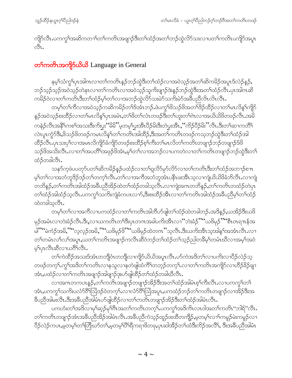ကျိုာ်လီၤႉပကကွ<sup>ရ</sup>အဆိကတၫ<sup>ရ</sup>တ႑်ကတိၤအဖျၫဉ်ဒီးတ႑်ထံဉ်အတ႑်ဘဉ်ထွဲလိ်ာသးလၢပတ႑်ကတိၤပကျိာ်အပူၤ ್ಬಿ.

#### တ<sup>ှ</sup>ကတိၤအကျိုာ်ယိယိ Language in General

နမ့််သံကွှ်ပှၤအါဂၤလၢတၤ်ကတိၤန္ ဉ်ဘဉ်ထွဲဒီးတၤ်ထံဉ်လၢအဝဲသ့ဉ်အတၤ်ဆိကမိဉ်အပူၤဒ်လဲဉ်နှဉ်, ဘဉ်သ့ဉ်သ့ဉ်အဝဲသ့ဉ်တဲနၤလၢတၫ်ကတိၤလၢအဝဲသ့ဉ်သူကိးဖျၫဉ်ဒဲးနှဉ်ဘဉ်ထွဲဒီးအတၫ်ထံဉ်လီၤ.ပုၤအါဂၤဆိ ကမိဉ်ဝဲလၢတၫ်ကတိၤဒီးတၫ်ထံဉ်မ့ၢ်တ႑်လၢအဘဉ်ထွဲလိ5်သးမဲ5်သက်းမဲ5အခ်ဳပညီလိၤလိၤလီး

တမ့်္ဂတ႑်ကိလၢအဝဲသ့ဉ်ကဆိကမိဉ်တ႑်ဒ်အံၤဘဉ်ႉဖဲပက္ဂၢိဖိသဉ်ဖိအတ႑်ဒိဉ်ထိဉ်လၢတ႑်မၤလိန္႑်ကျိဉ် နှဉ်အဝဲသုဉ်စးထိဉ်လၢတၫ်မၤလိန႑်ပှၤအမံၤႇတၫ်ဖိတ႑်လံၤတဖဉ်ဒီးတ႑်ဟူးတ႑်ကဲၤလၢအယိယိဖိတဖဉ်လီၤႉအမိ ကနဲဉ်လီၤအနီ်ါကစါအသးဒီးကိႈပ္ငးဴ´မိမိ''မ့တမ့္ခ်ပ္မွဴးအီၤ၀ိဉ်မိးဒီးတဲပ္မွဴးအီၤႇဴ´ကိဉ်၀ိဉ်မိး''လီၤ.ဒီးတၤ်ဆၢကတိၤ် လဲၤပူၤက္ဂံာ်ဒီးႇဖိသဉ်ဖိတဖဉ်ကမၤလိန1်တ1်ကတိၤအါထိဉ်ႇဒီးအတ1်ကတိၤတဖဉ်ကသ့ဘဉ်ထွဲဒီးတ1်ထံဉ်အါ ထိဉ်လီၤ.ၦၤသးပှၤ်လၤအမၤလိကျိဉ်ခံကျိဉ်တဖဉ်စးထိဉ်စ့ၤ်ကီးတၤ်မၤလိတၤ်ကတိၤတဖျၤဉ်ဘဉ်တဖျၤဉ်ဒ်ဖိ သဉ်ဖိအသိးလီၤႉလၢတၫ်အပတိႝၫအဖုဉ်ဖိအံၤႇမ့ၢ်တ႑်လၢအဘဉ်လၢပကတဲလၢတ႑်ကတိၤတဖျၫဉ်ဘဉ်ထွဲဒီးတ႑် ထံဉ်တခါလီၤ.

သန>်က့ဖဲပပတု>်ပတၫ်ဆိကမိဉ်နှဉ်ပထံဉ်လၢတၫ်ရလိ>်မု>်လိ>်လၢတၫ်ကတိၤဒီးတၫ်ထံဉ်အဘၫဉ်စπ မ့်ၢ်တၤ်လၢအဘံဘူဒိဉ်ဒဉ်တၤ်တက့ၤ်လီၤ.တၤ်လၢအကီအဘံဘူအံၤပနီၤဖးအီၤသ့လၢကျဲယိယိဖိခံဘိလီၤ.လၢကျဲ တဘိန္5်ႇတၫ်ကတိၤအါထံဉ်အခ်ဳပညီအိဉ်ထဲတၫ်ထံဉ်တခါသ့လိၤႉလၢကျဲအဂၤတဘိန္ဉ်ႇတၫ်ကတိၤတထံဉ်တဲပှၤ တၫ်ထံဉ်အါထံဉ်သ့လီၤ.ပကကွၫ်သကိႏကျဲခံကပၤလ႑ာ်,ဒီးစးထိဉ်အိၤလ႑တ႑်ကတိၤအါထံဉ်အခ်ဳပညီမှ႑်တ႑်ထံဉ် ထဲတခါသူလီၤ.

တမ့<sup>၎</sup>တ႑်လၫအကိလ႑ပကထံဉ်လ႑တ႑်ကတိၤအါဘီပာ်ဖျါတ႑်ထံဉ်ထဲတခါဘဉ်ႉအဒိန္ဉာ်,ယအိဉ်ဒီးယဖိ မှဉ်အမံၤလၢဘဲးခံဉ်လီၤ.ဒီး,လၢယကတိၤတ<sup>၎</sup>ဒီးပုၤတဂၤအခါပကိးအိၤလၢ''ဘဲးခံဉ်''''ယ<sup>8ွ</sup>မှဉ်''''စိၤဝၤရπန်အ မါ""မဲကံဉ်အမိ,""လ့လှဉ်အမိ,""ယဖိမုဉ်ဖိ""ယဖိမုဉ်ထဲတဂၤ"သ့လီၤ.ဒီးယကိးအိၤသ့အါန1်အအံၤလီၤ.လၢ တၫ်တမံၤလၫ်လၫ်အပူၤႇယတၫ်ကတိၤအဖျာဉ်ကလိၤဆိဝဲဘဉ်တၫ်ထံဉ်တၫ်သွဉ်ညါတခ်ိမ့ၫ်တမံၤဃိလၢအမ့ၫ်အဝဲ  $\varphi$ โบเ $\beta$ เဆီလาယ $\delta$ โ $\beta$ โ.

တၫ်ကဲထိဉ်အသးဒ်အံၤတဘျိံဝံၤတဘျိံလၢကျိဉ်ယိယိအပူၤလီၤႉပာ်ကဲအဒိတ႑်လၢပကိႏလၢပိဉ်လဲဉ်သွ တဖဉ်တက့ౕ၊.ကွౕၢအဒိတౕၢကတိၤလၢနသူလၢနတဲဖျါထံကိဵ်၊တဘ့ဉ်တက့ౕ၊.လၢတၤ်ကတိၤအကျိဉ်လၢဟိဉ်ခိဉ်ချၢ အံၤႇပထံဉ်လၢတၫ်ကတိၤအဖျာဉ်အါဖျာဉ်ဒုးပာ်ဖျါထိဉ်တၫ်ထံဉ်တခါဃိလိၤႉ

လၢအဂၤတကပၤန္}်ႇတၫ်ကတိၤအဖျာဉ်တဖျာဉ်အိဉ်ဒီးအတၫ်ထံဉ်အါမံၤစ့ၫ်ကီးလီၤႉလၢပကကွၫ်တ႑် အံၤႇပကကွ<sup>၎</sup>သကိဴးပလံာ်၀ိႝရြသြဲဒဉ်ဝဲတက့႑်ႉလၢလံာ်၀ိါသြဲအပူၤႇပကထံဉ်ဘဉ်တ႑်ကတိၤတဖျၫဉ်လၢအိဉ်ဒီးအ ခ်ဳပညီအါမးလီၤ.ဒီးအခ်ဳပညီအါမံၤဟ်ဖျါထိဉ်လၢတၫ်ကတိၤတဖျၢဉ်အိဉ်ဒီးတၫ်ထံဉ်အါမံၤလီၤ.

ပကဟံးတၫ်အဒိလၢမုၫ်ဆ္ဉာိမုၫ်ဂီၤအတ႑်ကတိၤတက္နဲၤပကကွၫ်အဒိကိၤလၤ၀ါအတ႑်ကတိၤ''ဘါရ်''လီၤ. တၫ်ကတိၤတဖျာဉ်အံၤအခ်ီပညီအိဉ်အါမံၤလီၤႉအခ်ီပညီကဲသ့ဉ်ထူဉ်ဖးထိတကျိုဉ်ႇမ့တမ့ၢ်လၢၢ်ကမူဉ်မဲးကမူဉ်လၢ ပြိဉ်လဲဉ်ကပၤႇမ့တမ့်ၢ်တၢ်တြိဃာ်တ႑်ႇမ့တမ့်၊ပိ<sup>ု</sup>ရိကရၢဖိတဖုႇပုၤဆါအိဉ်တ႑်ထံဒီးကိဉ်အလိ်၊ အိုးအခ်ီပညီအါမံၤ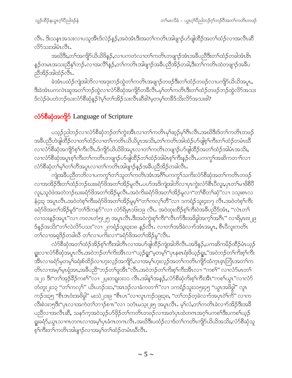လီၤ. ဒိးသနၤအသးလၢပသူအိၤဒ်လဲဉ်နဉ်,အဝဲအံၤဒိီးအတၫ်ကတိၤအါဖျာဉ်ပာ်ဖျါထိဉ်အတ႑်ထံဉ်လၢအလီၤဆိ လိ်သးအါမံၤလီၤ.

အဃိဒိီး,တၫ်အကျိဉ်ယိယိဖိနဉ်,လၢပကတဲလၢတၫ်ကတိၤတဖျၫဉ်အံၤအခ်ိဳပညိဒိီးတၫ်ထံဉ်တခါအံၤ<sup>ဖွဲ့</sup>၊ နဉ်တမၤအသးညီန1်ဘဉ် $\cdot$ လ႑အလိါနှဉ် $\cdot$ တ1်ကတိၤအါဖျၫဉ်အခီပညီအိဉ်တခါ $\cdot$ ဒီးတ1်ကတိၤထဲတဖျၫဉ်အခီပ ညီအိဉ်အါထံဉ်လီၤ.

ခဲအံၤပထံဉ်ကျဲအါဘိလၫအဒုးဘဉ်ထွဲတၫ်ကတိၤအဖျာဉ်တဖဉ်ဒီးတၫ်ထံဉ်တဖဉ်လၢပကျိၵ်ယိယိအပူၤ, ႜ<br>ဒီးခဲအံၤပကလဲၤဆူအတၫ်ဘဉ်ထွဲလၢလံာ်စိဆုံအကျိဉ်တခ်လိၤ.မ့ၢ်တၫ်ကတိၤဒီးတၫ်ထံဉ်တဖဉ်ဘဉ်ထွဲလိာ်အသး ဒ်လဲဉ်ဖဲပတဲဘဉ်ဃးလံာ်စီဆုံနဉ်?မှ ်တ႑်အိဉ်သးလိၤဆီဒါ?မှတမ့ ်တနိဒ်သိးလိာ်အသးဒါ?

#### လံ>်စီဆုံအကျိုာ် Language of Scripture

ပသ့ဉ်ညါဘဉ်လၢလံာ်စီဆှံဘဉ်တၫ်ကွဲးအိၤလၢတၫ်ကတိၤမုၢ်ဆ့ဉ်မုၢိဂီၤလီၤ.အဃိဒီးဒ်တၫ်ကတိၤတဖဉ် အခ်ီပညီဟဲဖျဲထိြ်ာလၢတၫ်ထံဉ်လၢတၫ်ကတိၤယိယိပူၤအသိႏႇတၫ်ကတိၤအါထံဉ်ပာ်ဖျဲစ့ၫ်ကိုးတ႑်ထံဉ်တမံၤဃိ လၢလံာ်စီဆုံအကျိာ်စ့ၢ်ကီးလီၤ.ဒ်ကျိာ်ယိယိဖိအပူၤလၢတၢ်ကတိၤတဖျာဉ်ဟ်ဖျါထိဉ်အတၢ်ထံဉ်အါမံၤအသိး, လၢလံာ်စီဆုံအပူၤစ့ၢ်ကီးတၫ်ကတိၤတဖျာဉ်ပာ်ဖျဲထိဉ်တၫ်ထံဉ်အါမံၤစ့ၢ်ကီးနှဉ်လီၤ.ပကကွၢ်အဆိကတၫၢ်လၢ လံာ်စီဆုံတၫ်မှၤ်တ႑်တိအပူၤလၢတ႑်ကတိၤအါဖျာဉ်နဉ်အခီပညီအိဉ်တခါလီၤ.

ကျဲအခ်ီပညီတဘိလၢပကကွ<sup>ှ</sup>ါတ<sup>ှ</sup>သူတ<sup>ှ</sup>ကတိၤအံၤအဂ်ိါပကကွှ<sup>1</sup>သကိႏလံာ်စိဆုံအတ<sup>ှ</sup>ကတိၤတဖဉ် လၢအအိဉ်ဒီးတၫ်ထံဉ်ဘဉ်ဃးခရံာ်ဖိအတၫ်အိဉ်မူလီၤ.ပဟ်အဒိကျဲအါဘိလၢပုၤကွဲးလံာ်စီၤပီလူး,ပုၤတၫ်မၢဖိစီပီ လူး,သူဝဲဖဲအတဲဘဉ်ဃးခရံာ်ဖိအတ႑်အိဉ်မူလီၤ.အဝဲကိႏခရံာ်ဖိအတ႑်အိဉ်မူလ႑"တ႑်စီတ႑်ဆုံ"လ႑ ၁သုံးစၤလ နံ၄း၃ အပူၤလီၤႉအဝဲတဲစ့်ౕကီးခရံာ်ဖိအတౕအိဉ်မူမ့ౕ"တౕကလုၤ်တီ"လ႑ၥကရံဉ်သူး၄း၁၇ လီၤႉအဝဲတဲစ့ၤ်ကီး ခရံာ်ဖိအတ႑်အိဉ်မူဒ်"တ႑်ဒိကနဉ်"လ႑ လံာရိမ္နာဝ၆း၁၉ လီၤ. အဝဲထုးထိဉ်စ့႑်ကီးဝဲအခ်ဳပညီဒ်အံၤ, "လဲၤတ႑် လၫသးနဉ်အပူၤ"လ႑ ကလၤတံ၅း၂၅ အပူၤလီၤ.ဒိးအဝဲကွဲးစ့ၫ်ကိႏ"လီၤက်ဒိးအဖိခွါအက့ၢ်အဂီၤ" လၢရိမ္ၤ၈ႏ၂၉ ဒ်နဉ်အသိး"တ<sup>ှ</sup>လဲလိ်ာပသး"လၢ ၂ကရံဉ်သူး၃း၁၈ နဉ်လီၤ. လၢတ<sup>ှ</sup>အဒိခဲလၫာ်အံၤအပူၤ, စီၤပီလူးကတိၤ တ႑်လၫအရှုဒိုဉ်တခါဃီ တ႑်လ႑ပကိႏလ႑''ခရံှာ်ဖိအတ႑်အိဉ်မူ''လီၤ.

လံာ်စီဆုံအတ႑်ထံဉ်အိဉ်စ့႑်ကီးအါတီၤလၢအပာ်ဖျါထိဉ်ကျဲအါဘိလီၤႉအဒိန္ဉ်,ပကဆိကမိဉ်ထိဉ်မံၤယ့ဉ် ရူးလၢလံာ်စိဆုံအပူၤလီၤ.အဝဲဘဉ်တၫ်ကိးအိၤလၫ'´ယ့ဉ်ရူး''မ့တမ့ၫ်''ပှၤနစၤရံးဖိယ့ဉ်ရူး,''အဝဲဘဉ်တၫ်ကိးစ့ၫ်ကီး အီၤလၢခရံဉ်မ့တမ့်၊ခရံးစ်ထိဉ်လၢဟူးလှဉ်အကျိဉ်,လၢအမ့်၊ဟူးလှဉ်အတၤ်ကတိၤကျိဉ်ထံကူၤဇ့ၤဘြၤအတၤ်က တိၤလၢအမူၫိမူၤရုံအၤႇအခ်ဳပညီ''ဘဉ်တ႑်ဖူအီၤ''လီၤ.အဝဲဘဉ်တ႑်ကိုးစ့႑်ကိုးအီၤလၢ ''ကစ႑်'' လၢလံာ်မၤတ႑် း၂၁ ဒီး"တၫ်အုဉ်ခ်ိဉ်ကစ<sup>႑</sup>"လၢ ၂ပူးတရူး၁း၁၁ လီၤ.အါန1်အန္ဉာ,လံာ်စီဆုံကိုးစ့ၤ်ကီးအီၤ"ကစၤ်ယွၤ"လၢလံာ် တံတူး၂း၁၃ ''တ<sup>၎</sup>ကလု<sup>၎</sup>'' ယိၤဟဉ်၁း၁,''အၤဒဉ်လၢခံကတၫ<sup>ေ</sup>လၢ ၁ကရံဉ်သူး၁၁၅း၄၅ ''ယွၤအဖိခွါ'' လူၤ ကဉ်၁း၃၅ ''စီၤဒၤဝံးအဖိခွါ'' မးသဲ၂၁း၉ ''စီၤပၤ''လၢလူၤကဉ်၁၉း၃၈, ''တၫ်ဘဉ်တဲ့ခဲလၫာ်အပုၤဝဲၫ်ကိ'' လၢက လီးစဲ၁း၁၅ဒီး''ပှၤလၢအကဲတၫ်ဘ႑ာ်စπ''လၢ ၁တံၤမသ့ႏ၂း၅ အပူၤလီၤ. မ့ၢ်လံ,တၫ်ကတိၤခဲလၫာ်အိဉ်ဒီးအခ်ိ ပညီလၢအလီၤဆီ, သန5်က့အဝဲသ့ဉ်ပာ်ဖှိဉ်တ႑်ကတိၤတဖဉ်လၢအတဲပှၤထဲတဂၤအဂ္႑်ပကစ႑်ဒီးပကစ႑်ယှဉ် ျူးခရံ $\mathfrak{H}$ ,ယ္လၤသၢကတဂၤလၢအမ့ $\mathfrak{f}$ ပှၤခံဂၤတဂၤလိၤ.အဃိဒိီးပထံဉ်လၢဒ်တ႑်ကတိၤကျိ $\mathfrak{h}$ ယ်ယိအသိႏႇလံ $\mathfrak{h}$ စိဆုံသူ စ့်<sup>ရ</sup>ကီးတ<sup>၎</sup>ကတိၤအါဖျာဉ်လၢအမ့<sup>၎</sup>တ႑်ထံဉ်တမံၤဃိလီၤ.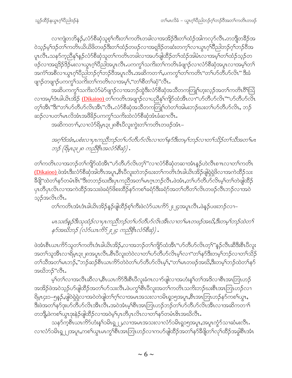လၫကျဲတဘိန္ဥ်ႇလံာ်စိဆုံသူစ့ၫ်ကီးတ႑်ကတိၤတခါလ႑အအိဉ်ဒီးတ႑်ထံဥ်အါကလှာ်လီၤႉတဘျိတခ်ိဉ်အ ဝဲသုဉ်မှ<sup>ရ</sup>ဒဉ်တ<sup>ရ်</sup>ကတိၤယိယိဖိတဖဉ်ဒီးတ<sup>ရ</sup>ထံဉ်တဖဉ်လၢအရဒိဉ်တဆံးတက့<sup>ရ</sup>လၢယ္ဂၤဂ့<sup>ရ်</sup>ဝိညါဘဉ်ဂ့<sup>ရ်</sup>ဘဉ်ဗိအ ပူၤလီၤႉသန>်က္ဥာိန္ ်န္ဉ်လံ>်စိဆုံသူတၤ်ကတိၤတခါလၢအပ>်ဖျါထိဉ်တၤ်ထံဉ်အါမံၤလၢအမ့ၤ်တၤ်ထံဉ်သ့ဉ်တ .<br>ဖဉ်လၫအရှ<sup>8</sup>ဉ်8ဉ်မလေ၊ယွၤဂ့<sup>ရ</sup>ပြည်အပူၤလီၤ.ပကကွ<sup>ရ</sup>သက်းတ<sup>ရ</sup>ကတိၤခံဖျၫဉ်လၫလံာ်စိဆုံအပူၤလၫအမ့်ရတရ အကံ်ျအစိလၢယ္မွာဂ့်္ဂါ၀ိညါဘဉ်ဂ့်္ဂဘဉ်၀ိအပူၤလီၤ.အဆိကတ႑်ႇပကက္ဂၤ်တာကတိၤ"တၤ်ဟ်တိဟ်လိၤ" ဒီးခံ ဖျာဉ်တဖျာဉ်ပကကွ<sup>ှ</sup>သကိုးတ<sup>ှ</sup>ကတိၤလၢအမ့<sup>၎</sup>,''တၫ်စိတၫ်ဆုံ''လီၤ.

အဆိပကကွ<sup>ရ</sup>သကိႏလံာ်မဲ၁်ဖျၫဉ်လၫအဘဉ်ထွဲဒီးလံာ်စိဆုံအသိတကတြူရဟူးလ့ဉ်အတ<sup>ရ</sup>ကတိၤ၀ိ<sup>ရ</sup>သြ လၢအမ့ါ်ဒံ၊ခါယိၤအိဉ် <u>(Dikaioo) </u>တါကတိၤအဖျာဉ်လၢပညီနှါကျိဉ်ထံအီၤလၢ"ဟ်တိဟ်လိၤ""ဟ်တိဟ်လိၤ တ့ౕၢအီၤ"ဒီး"တၤ်ဟ်တီဟ်လိၤအီၤ"လီၤ.လံာ်စီဆုံအသိတကတြူၢ်တဲတၤ်အါမးဘဉ်ဃးတၤ်ဟ်တီဟ်လိၤ, ဘဉ် ဆဉ်လၢပတၫ်မၤလိအံၤအဖိ<sup>8</sup>ဉ်ပကကွ<sup></sup>၊သကိႏထဲလံာ်စိဆုံအံၤခံဆၢလိၤႉ

အဆိကတၫ်ႇလၫလံာ်ရိမ့ၤ၃ႏ၂၈စီၤပီလူးကွဲးတၫ်ကတိၤတဖဉ်အံၤ–

အဂ္ဂါဒ်အံၤႇပစံးလၢပ္ၤကညီဘဉ်တ႑်ပာ်တီဟ်လိၤလၢတ႑်နှာ်ဒီးတမ့္ပ်ဘဉ်လၢတ႑်သိဉ်တ႑်သိအတ႑်မၤ ဘဉ် (ရိမ္(၃း၂၈ ကညီစိုးအလံ>်စီဆုံ) .

တၫ်ကတိၤလၢအဘဉ်တၫ်ကျိဉ်ထံအိၤ"ဟ်တီဟ်လိၤတ့ၫ်"လၢလံာ်စီဆုံတဆၢအံၤန္ဉာ်ဟဲလိၤစ႑ာလၢတၫ်ကတိၤ <u>(Dikaioo) ဖဲ့</u>အားဒီးလံာ်စီဆုံအါတီၤအပူၤႇစီၤပီလူးတဲဘဉ်ဃးတၫ်ကတ်ၤအံခါယိၤအိဉ်ဖျဲရဲရှဲဖိလၢအကဲထိဉ်သး ခ်ိဖျိ"ထဲတၫ်နာ်တမံၤဖိၤ"ဒီးတဘဉ်ဃးဒီးပုၤကညီအတ႑်မၤဂ္ၤဘဉ်လီၤ.ဖဲအံၤ,တ႑်ပာ်တီဟ်လိၤမ့ၤ်တ႑်တဲဖျါထိဉ် ပုၤတိပုၤလိၤလၢအကဲထိဉ်အသးဖဲခရံာ်ဖိစးထိဉ်နာ်ကစၢ်ခရံာ်ဒီးခရံာ်အတၢ်တိတၢ်လိၤတဖဉ်လီၤဘဉ်လၢအဝဲ သ့ဉ်အလိၤလီၤ.

တၫ်ကတိၤအံၤဒံၤခါယိၤအိဉ်နဉ်ဖျါထိဉ်စ့ၢ်ကီးဖဲလံဉ်ယၤကိဉ်၂း၂၄အပူၤလီၤ.ဖဲနဉ်ပဖးဘဉ်လၢ–

မၤသးဒ်နှဉ်ဒီးသုထံဉ်လၢပှၤကညီဘဉ်တ႑်ပာ်တီဟ်လိၤအီၤလၢတ႑်မၤတဖဉ်အဃိ,ဒီးတမ္႑်ဘဉ်ထဲတ႑် နဉ်အဃိဘဉ် (လံဉ်ယၤကိဉ် ။ ၂၄ ကညီစိုးလံဉ်စီဆုံ) .

ဖဲအံၤစီၤယၤကိ5သူတၫ်ကတိၤဒံၤခါယိၤအိဉ်,လၢအဘဉ်တၫ်ကျိဉ်ထံအိၤ"ဟ်တီဟ်လိၤတ့ၢ်"နဉ်လီၤဆီဒီးစီၤပီလူး အတၫ်သူအီၤလၢရိမ့ၤ၃း၂၈အပူၤလီၤ.စီၤ၀ီလူးတဲ၀ဲလၢတၫ်ပာ်တီဟ်လိၤမ့ၢ်လၢ"တၫ်နာ်ဒီးတမ့ၢ်ဘဉ်လၢတ႑်သိဉ် တၫ်သီအတၫ်မၤဘဉ်,"ဘဉ်ဆဉ်စီၤယၤကိ5်တဲဝဲတၫ်ပာ်တီဟ်လိၤမ့ၢ်,"တၫ်မၤတဖဉ်အဃိ,ဒီးတမ့ၢ်ဘဉ်ထဲတ႑်နှာ် အဃိဘဉ်"လီၤ.

.<br>မ့ှ်တှကာအလီးဆီလ1,စီးယာကိ်္ဘဒီးစီးပီလူးခံကလ1ာ်ဖျလ1အဟံးနှ််တ်အဒိလ1စီးအာဘြးဟဉ် အအိဉ်ဖဲအဝဲသ့ဉ်ပာ်ဖျါထိဉ်အတ႑်ပာ်သးလီၤ.ဖဲပကွ<sup>၎</sup>စီၤပီလူးအတ႑်ကတိၤသကိႏဘဉ်ဃးစီၤအာဘြၤဟဉ်လ႑ ရိမ့ၤ၄း၁–၅နဉ်,ဖျါဝဲရှဲရှဲလၢအဝဲတဲဖျါတ႑်ဂ့႑်လၢအမၤအသးလၢ၁မိၤရ္၁၅အပူၤ,စီၤအၤဘြၤဟဉ်နဉ်ကစ႑်ယွၤ, ဒီးဖဲအတ<sup>ှ</sup>န>်ဒုးပ>်တီပ>်လိၤအီၤလီၤ.အဝဲအံၤမ့<sup>ှ</sup>စီၤအာဘြၤဟဉ်ဘဉ်တၤ်ပ>်တီပ>်လိၤအီၤလၢအဆိကတၫ် တဘိုု,ဖဲကစၫ်ယွၤဒုးနဲ့ဉ်ဖျါထိဉ်လၢအဝဲမှၤ်ပုၤတိပုၤလိၤလၢတ႑်နှာ်တမံၤ&ၤအဃိလီၤ.

သန>်က္စစီၤယၤကိ်ာဟံးန5်ာမိၤရူ၂၂,လၫအမၤအသးလၢလံာ်ဝမိၤရှ၁၅အပူၤ,အပူၤက္ဂံာ်သၢဆံမးလီၤ. လၢလံာ်၁မိၤၡ၂၂အပူး,ကစ1်ယွာမာကွ<sup>ရှ</sup>စီးအာဘြာဟဉ်လၢကဟ်ဖျါထိဉ်အတ<sup>ရ</sup>နာ်ဒီဖျိတၫ်လုၢ်ထိဉ်အခွါစီးအံၤ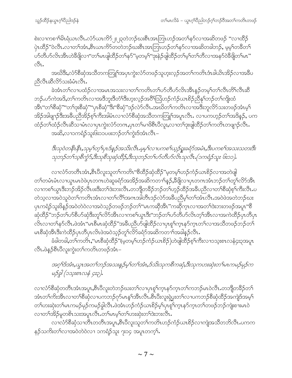စဲးလၫကစၫ<sup>၎</sup>မိၤရံယၤလီၤႉလံာ်ယၤကိ5၂း၂၃တဲဘဉ်ဃးစီၤအာဘြၤဟဉ်အတၫ်နာ်လၢအဆိတဖဉ် ''လၢထိဉ် ပှဲၤထိဉ်"ဝဲလီၤ.လၢတၫ်အံၤ,စီၤယၤကိ်ာတတဲဘဉ်ဃးစီၤအၤဘြၤဟဉ်တ႑်နှာ်လၢအဆိတခါဘဉ်, မ့မ့္ပ်တခ်ီတ႑် .<br>ပာ်တီပာ်လိၤအီၤဟဲခီဖျိလၫ"တၫ်မၤဖျါထိဉ်တ႑်နှာ်"မ့တမ့<sup>၎</sup>"ဒုးနဲဉ်ဖျါထိဉ်တ႑်မ့<sup>၎</sup>တ႑်တိလၢအနှာ်ဝဲခီဖျိတ႑်မၤ" 81.

အဃိဒိီး,လံာ်စီဆုံအသိတကတြူၫ်အပုၤကွဲးလံာ်တဖဉ်သူဟူးလှဉ်အတ႑်ကတိၤဒံၤခါယိၤအိဉ်လၢအခ်ိပ pod1200500:341091.

ခဲအံၤတၫ်လၢပထံဉ်လၢအမၤအသးလၢတၫ်ကတိၤတ႑်ဟိတိဟ်လိၤအီၤန္ဉာ်တမှၤ်တ႑်လီၤတိၤလီၤဆီ ဘဉ်ႉဟ်ကဲအဒိႇတၫ်ကတိၤလၢအဒိဘူးဒိတံၫ်ဒိးဟူးလှဉ်အဝိံြဩဟဉ်ကံဉ်ယၤစိဉ်ညိနု်ဘဉ်တၫ်ကျိုးထံ <u>အ</u>ိၤ"တ<sup>ြ</sup>စိဆုံ""တ<sup>ျ</sup>ဒုးစိဆုံ""ပုၤစိဆုံ"ဒိး"စိဆုံ"ဒဉ်လဲ၁်လီၤႉအဃိတ႑်ကတိၤလၢအဒိးဘူလိဉ်သးတဖဉ်အံၤမ့္ အိဉ်အါဖျာဉ်ဒီးအခ်ီပညီအိဉ်စ့<sup>ရ်</sup>ကိုးအါမံၤလၢလံာ်စိဆုံအသိတကတြူၫ်အပူၤလီၤႉ လၢပကဟ့ဉ်တ<sup>ရ</sup>အဒိနဉ်, ပက ထံဉ်တၫ်ထံဉ်လီၤဆိသၢမံၤလၢပှၤကွဲးလံာ်တဂၤ,ပှၤတ႑်မၢဖိစီၤပီလူး,လၢတ႑်ဒုးဖျံထိဉ်တ႑်ကတိၤတဖျ႑ာ်လီၤ. အဆိႇလၫ၁ကရံဉ်သူး၆း၁၁ပဖးဘဉ်တ႑်ကွဲးဒ်အံၤလိၤ–

ဒီးသုဝဲတနိၤနိၤ,သုမ္ ါတ္ ါပုၤဒ်န္ ဉ်အသိးလ်ိဳၤ.မ္မမ္ ါလ ၊ပကစ ါယ္ဝ်ဴရူးခရံဝ်အမံၤ,ဒီးပကစ ါအသးသတးဒိး သဘဉ်တ1်သစိက္ခံ5,ဒီးသစိသုဆုံထိဉ်,ဒီးသုဘဉ်တ1်ပာ်တီပာ်လိၤသုလီၤ (၁ကရံဉ်သူး ၆း၁၁).

လၢလံာ်တတိၤအံၤႇစီၤပီလူးသူတၫ်ကတိၤ"စီထိဉ်ဆှံထိဉ်"မ့တမ့ၤ်ဟဉ်ကံဉ်ယၤစိဉ်လၢအတဲဖျါ တၫ်တမံၤမံၤလၢယ္ပၤမၤဝဲဖဲပှၤတဂၤဟဲဆူခရံဉ်အအိဉ်အဆိကတၫၢိန္**ဉ်**,ခ်ိဖျိလၢပှၤတဂၤအံၤဘဉ်တၫ်တူၫ်လိဉ်အိၤ လၢကစၫ်ယွၤဒီးဘဉ်အိဉ်လီၤဖးဒီးတၫ်ဒဲးဘးလီၤႉတဘျိတခ်ိဉ်ဘဉ်တၫ်ဟ့ဉ်ထိဉ်အခ်ိပညီလၢတၫ်စိဆုံစ့ၫ်ကီးလီၤႉပ တဲသ့လၫအဝဲသူဝဲတၫ်ကတိၤအံၤလၫတၫ်လိ႑်အဂၤအါတီၤဒဉ်လဲာ်အခ်ဳပညီမှၫ်တၫ်အဲၤလီၤအဝဲဖဲအတဲဘဉ်ဃး ပုၤကရံဉ်သူးဖိနှဉ်အဝဲတဲဝဲလၫအဝဲသ့ဉ်တဖဉ်ဘဉ်တ<sup>၎</sup>"မၤကဆိုအီၤ"ကဆိုက္ၤလၫအတ<sup>၎</sup>ဒဲးဘးတဖဉ်အပူၤ"စိ ဆုံထိဉ်"ဘဉ်တNပာစိပာ်ဆုံဒီးတူNလိာ်အီၤလၢကစNယ္ဂၤဒီး"ဘဉ်တNပာ်တီဟ်လိၤတ့Nအီၤလၢအကဲထိဉ်ပှၤတိပှၤ လိၤလၢတၫ်နဉ်လီၤ.ဖဲအံၤ"မၤစီမၤဆုံထိဉ်"အခ်ီပညီဟ်ဖျဲထိဉ်လၢပုၤစူၫ်က္ၤနာ်က္ၤတ႑်လၢအသိတဖဉ်ဘဉ်တ႑် မၤစီဆုံအီၤဒီးကဲထိဉ်ၦၤတီၦၤလဲၤဖဲအဝဲသ့ဉ်တူၫ်လိ5်ခရံဉ်အဆိကတၫ်အခါနှဉ်လီၤ.

ခံခါတခါ,တၫ်ကတိၤႇ''မၤစီဆုံထိဉ်''(မ့တမ့ၫ်ဟဉ်ကံဉ်ယၤစိဉ်)ဟဲဖျါထိဉ်စ့ၫ်ကိဳးလၢၥသူးစၤလနံ၄း၃အပူၤ လီၤ.ဖဲနဉ်စီၤ၀ီလူးကွဲးတၤ်ကတိၤတဖဉ်အံၤ–

အဂ္ဒ္မုဒ်အံၤႇယ္မွၤအတ႑်ဘဉ်အသးန္နဉ်မူ႑်တ႑်အံၤႇဒ်သိးသုကစီကဆုံႇဒီးသုကဟးဆုံးတ႑်မၤကမဉ်မှဉ်က မဉ်ခါ (၁သူးစၤလနံ ၄း၃).

လၢလံာ်စီဆုံတတိၤအံၤအပူၤႇစီၤပီလူးတဲဘဉ်ဃးတ႑်လၢပှၤစူ႑်က္ၤနာ်က္ၤတ႑်ကဘဉ်မၤ၀ဲလီၤႉတဘျီတခ်ိဉ်တ႑် အံၤတၫ်ကိုးအီၤလၢတၫ်စီဆိုလၢပကဘဉ်ဂုဉ်မၤန္<sup>႖</sup>အီၤလိၤ<sup>္စြာ</sup>ပိီးလူးရဲုပွးတ႑်လၢပကဘဉ်စီဆုံထိဉ်အကျဲဒ်အမှ<sup>၎</sup> တၫ်ဟးဆုံးတၫ်မၤကမဉ်မုဉ်ကမဉ်ခွါလီၤ.ဖဲအံၤဟဉ်ကံဉ်ယၤစိဉ်မ့ှပြာစုှ၊်ကူးနှာ်ကူးတ<sup>ရ</sup>တဖဉ်ဘဉ်ကျုံးစၢးမၤဝဲ လၢတၫ်အိဉ်မူတစိၤသးအပူၤလီၤ.တၫ်မၤမ့ၢ်တၫ်ဟးဆုံးတၫ်ဒဲးဘးလီၤ.

လၢလံာ်စီဆုံသၢတိၤတတိၤအပူၤ,စီၤပီလူးသူတၫ်ကတိၤဟဉ်ကံဉ်ယၤစိဉ်လၢကျဲအသိတဘိလီၤ.ပကက နဉ်သကိးတၫ်လၢအဝဲတဲဝဲလၢ ၁ကရံဉ်သူး ၇း၁၄ အပူၤတက့ၫ်.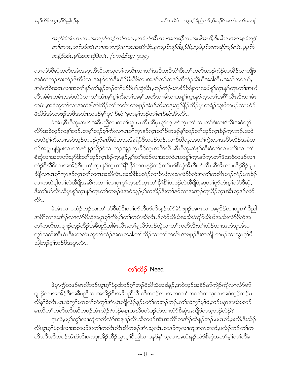အဂ္ဂါဒ်အံၤ,၀ၤလၢအတနဉ်ဘဉ်တ႑်တဂၤ,တ႑်ဟာအီၤလၢအကဆိုလၢအမါအဃိ,ဒီးမါလၢအတနဉ်ဘဉ် တ႑်တဂၤ,တ႑်ဟိအိၤလၢအကဆိုလၢဝၤအဃိလိၤ.မ့တမ့႑်ဘဉ်ဒ်န္နဉ်ဒီး,သု၀ိမ္ ၫ်တကဆိုဘဉ်လိၤ.မ္မမ့႑်ခဲ ကနံဉ်အံၤ,မ္ဒုအကဆိုဝဲလီၤ. (၁ကရံဉ်သူး ၇း၁၄)

လၢလံာ်စီဆုံတတိၤအံၤအပူၤႇစီၤပီလူးသူတၫ်ကတိၤလၢတၫ်အဒိဘူးဒိတံၫ်ဒိးတၫ်ကတိၤဟဉ်ကံဉ်ယၤစိဉ်သၢဘိုဖဲ အဝဲတဲဘဉ်ဃးဟံဉ်ဖိဃိဖိလၢအနဉ်တ<sup>၎</sup>ဒီးဟံဉ်ဖိဃိဖိလၢအနဉ်တၫ်တဖဉ်ဆီဟံဉ်ဆီဃီအခါလီၤႉအဆိကတၫ်ႇ အဝဲတဲဝဲအဝၤလၢအတၫ်နဉ်တ႑်နှဉ်ဘဉ်တ႑်ပာ်စိဟ်ဆုံအီၤႇဟဉ်ကံဉ်ယၤစိဉ်ခ်ီဖျိလၢအမါစူၫ်က္ၤနှာ်က္ၤတၫ်အဃိ လီၤ.ခံမံၤတမံၤ,အဝဲတဲဝဲလၢတၫ်အံၤမ့ၢ်စ့ၫ်ကိႏတ႑်အမ့ၢ်အတိလၢမါလၢအစူၫ်က္ၤနှာ်က္ၤတၫ်အဂိၢ်လီၤ.ဒီးသၢမံၤ တမံၤႇအဝဲသူတၫ်လၢအတဲဖျါအါထိဉ်တၫ်ကတိၤတဖျၫဉ်အံၤဒ်သိးကဒုးသ့ဉ်နိဉ်ထိဉ်ပှၤကရံဉ်သူးဖိတဖဉ်လၢဟံဉ် ဖိဃိ§အံၤတဖဉ်အဖိအလံၤတဖဉ်မ့ှ)ပုၤ"စိဆုံ"မ့တမ့ှါဘဉ်တှမးစိဆုံအီၤလီၤ.

ခဲအံၤႇစီၤပီလူးတဟ်အခ်ီပညီလၢကစါယွၤမၤလီၤဆီပှၤစူါက္ၤနာ်က္ၤတၤ်လၢတါဒဲးဘးဒ်သိးအဝဲတူၫ် လိာ်အဝဲသွဉ်ကန5်တဉ် တမ့်ာဘဉ်စ့်ကြီးလျပုၤစူ်ကြားနဉ်ကူးတာ်ဖိတဖဉ်န5်ဘဉ်တာ်အုဉ်ကူးခိဉ်ကူးဘဉ် အဝဲ တတဲစ့<sup>၎</sup>ကီးလၫအဝဲသ့ဉ်တဖဉ်ဂုာ်မၤစီဆှံအသးဒ်ခရံာ်ဖိတဖဉ်ဘဉ်ႉလၢစီၤပီလူးအတ<sup>၎</sup>ကွဲးလၢအပိာ်ထိဉ်အခံတ ဖဉ်အပူၤဖျါရှဲမးလၢတၫ်နဉ်နဉ်လိဉ်ဝဲလၢတဉ်အုဉ်က္ၤဒိဉ်က္ၤအဂိၢ်လိၤ.စီၤပိလူးတဲစ့ၢ်ကိဳးဝဲတၫ်လၢပကိႏလၢတ႑် စီဆုံလၢအတပာ်ဃှာ်ဒီးတၫ်အှဉ်က္ $\mathsf{I}$ နိဉ်က္ $\mathsf{I}_\mathbf{\hat{p}}$ န်မှ၊်တ႑်ထံဉ်လၢအတဲဝဲပုၤတစူ၊်က္ $\mathsf{I}_\mathbf{\hat{p}}$ နာ်က္ၤတၤ်ဒီးအဖိတဖဉ်လၢ ဟံဉ်ဖီဃီဖိလၢအအိဉ်ဒီးပှၤစူ်က္ၤနာ်က္ၤတၤ်နီ်ါနီ်ါတဂၤနဉ်ဘဉ်တၢ်ဟ်စီဆုံအီၤဒီးဟ်လီၤဆီအီၤလၢဟိဉ်ခိဉ်ချၢ နိၛိလၢပုၢစူၫ်က္ၤနာ်က္ၤတၫ်တဂၤအဃိလီၤ.အဃိဒီးပထံဉ်လၢစီၤပီလူးသူလံာ်စီဆုံအတ႑်ကတိၤဟဉ်ကံဉ်ယၤစိဉ် လၫကတဲဖျါတၫ်လဲၤခီဖျိအဆိကတ႑ၢိလၢပုၤစူၫ်က္ၤနာ်က္ၤတ႑်နိ<sup>႖န္ဇ</sup>ါတဖဉ်လဲၤခီဖျိ၀ဲႇဆူတ႑်ဂုၥ်ဟံးန္႑်လံာစီဆုံႇ ဒီးတၫ်ပာ်လီၤဆီပုၤစူၫ်က္ၤနာ်က္ၤတၫ်တဖဉ်ဖဲအ၀ဲသ္ဉ်မ့ၫ်တအိဉ်ဒီးတၫ်နာ်လၢအအုဉ်က္ၤခ်ီဉ်က္ၤအိၤသ္ဒေဉလဲာ် ್ಲಿ.

ခဲအံၤလၢပထံဉ်ဘဉ်ဃးတ<sup>၎</sup>ပာ်စိဆုံဒီးတ<sup>၎</sup>ပာ်တီဟ်လိၤနဉ်လံာ်မဲာ်ဖျာဉ်အဂၤလၢအရဒိဉ်လၢယွၤဂ့<sup>၎</sup>ပိညါ အဂိၢိလၫအအိဉ်လၫလံာ်စိဆုံအပူၤစ့ၢ်ကိႈမ့်ၫ်တၢ်တမံၤဃိလီၤ.ဒ်လံာ်ယိယိအသိႏ/ကျိာ်ယိယိအသိႏလံာ်စိဆုံအ တၫ်ကတိၤတဖျၫဉ်ဟုဉ်ထိဉ်အခ်ိပညီအါမံၤလိၤႉတၫ်ရလိ်ာဘဉ်ထွဲလၢတၫ်ကတိၤဒီးတ႑်ထံဉ်လၢအဘံဘူအံၤပ က္ဂ<sup>န</sup>သကိုးအီၤင်္ဂီးမဟာလဲၤဆူတ<sup>ြ</sup>ထံဉ်အဂၤတခါ,တ<sup>၎</sup>လိဉ်လၢတ႑်ကတိၤအဖျာဉ်ဒီးအကျိုၤတဖဉ်လၢယွၤဂ့<sup>၎</sup>ပိ ညါဘဉ်ဂ့်)ဘဉ်ဝီအပူၤလီၤ.

#### တ<sup>5</sup>လိ**ဉ်** Need

ဖဲပုၤက္ဘိတဖဉ်မၤလိဘဉ်ယွၤဂ့ၫ်ပီညါဘဉ်ဂ့ၫ်ဘဉ်ဝီသီသီအခါန္ဉ်,အဝဲသ့ဉ်အခိဉ်နူဉ်ကျဲဉ်ကျိလၢလံာ်မဲဉ် ဖျာဉ်လၢအအိဉ်ဒီးအစီပညီလၢအအိဉ်ဒီးအစီပညီလီၤဆီတဖဉ်လၢအကတၢါကတာ်တသ့လၢအဝဲသ့ဉ်ဘဉ်မၤ လိန္5၀ဲလီၤ.ပှၤသံကွSယၤတSသံကွSအံၤပှဲၤဘိုလဲဉ်နဉ်ယဂံSတဘဉ်ဘဉ်.တSသံကွSမ့S၀ဲ,ဘဉ်မနုၤအဃိပဘဉ် မၤလိတၫ်ကတိၤလီၤဆီတဖဉ်အံၤလဲဉ်?ဘဉ်မနုၤအဃိပတဲဒဉ်ထဲလၢလံာ်စီဆုံအကျိာ်တသ့ဘဉ်လဲဉ်? ဂ္ၤလံ,ပမ့္ဂ်က္ဂၤ်လၢကျဲတဘိလံာအဖျာဉ်လီၤဆီတဖဉ်အံၤအလိၤ်တအိဉ်ထဲနဉ်ဘဉ်ႉပမၤလိ,ဖးလိ,ဒီးသိဉ် လိယ္စၤဂ့ၢ်ိပိညါလၫအတပာ်ဒီးတၫ်ကတိၤလီၤဆီတဖဉ်အံၤသ့လီၤႉသနာ်က့လၫကျဲအဂၤတဘိႇပလိဉ်ဘဉ်တၫ်က တိၤလ်ိဳၤဆီတဖဉ်အံၤဒ်သိဴးပကဒုးအိဉ်ထိဉ်ယွၤဂ့ౕါပီညါလၢပနဉ်နှၤ်သွလၢအဟံးနှဉ်လံာ်စီဆုံအတၤ်မှၤ်တၤ်တီခဲ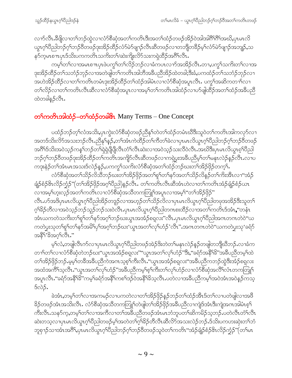လၫာ်လီၤ.နိဖျိလၢတၫ်ဘဉ်ထွဲလၢလံာ်စိဆုံအတ႑်ကတိၤဒီးအတ႑်ထံဉ်တဖဉ်အိဉ်ဝဲအါအါဂိ<sup>ရာရွ</sup>်အဃိႇပုၤမၤလိ ယွၤဂ္ဂါပီညါဘဉ်ဂ္ဂါဘဉ်၀ိတဖဉ်ဒုးအိဉ်ထိဉ်လံာ်မဲာ်ဖျာဉ်လီၤဆီတဖဉ်လၢတဘျီတခ်ိဉ်မ့ါလံာ်မဲာ်ဖျာဉ်အဘျဉ်ႇသ နဉ်က္ခမၤစ႑ာပုၤဒ်သိဴးပကကတိၤသက်ိဴးတ႑ိ/ဆဲးကိုုးလိဉ်သးကရဲထိဉ်အဂိၤ်လီၤ.

ကမ့္ပ်တ႑်လၫအမၤစ႑ာပုၤဖဲပက္ဂၤ်တ႑်လိဉ်ဘဉ်လ႑ခံကပၤလ႑ာ်အအိဉ်လီၤႉတ႑,ပက္ဂၤ်သကိႏတၤ်လ႑အ ဒုးအိဉ်ထိဉ်တ႑်သဘံဉ်ဘုဉ်လၢအတဲဖျါတ႑်ကတိၤအါဘိအနိပညီအိဉ်ထဲတခါ;ဒီးခံ,ပကထံဉ်တ႑်သဘံဉ်ဘုဉ်လၢ အဟဲအိဉ်ထိဉ်လၢတၫ်ကတိၤတမံၤဒုးအိဉ်ထိဉ်တၫ်ထံဉ်အါမံၤလၢလံာ်စီဆုံအပူၤလီၤ. ပက္ဂၤ်အဆိကတ႑ၤ်လ႑ တၫ်လိဉ်လၢတၫ်ကတိၤလီၤဆီလၢလံာ်စီဆုံအပူၤလၢအမှ့ၫ်တၫ်ကတိၤအါထံဉ်လၢပာ်ဖျါထိဉ်အတ႑်ထံဉ်အခ်ဳပညီ ထဲတခါနဉ်လီၤ.

## တ<sup>ှ</sup>ကတိၤအါထံဉ်–တ<sup>ှ</sup>ထံဉ်တခါ& Many Terms – One Concept

ပထံဉ်ဘဉ်တ့််လံအသိႏ့ပှၤကွဲးလံာ်စီဆုံတဖဉ်ညီနု်တဲတၫ်ထံဉ်တမံၤဃိဒီးသူဝဲတၤ်ကတိၤအါကလုာ်လၢ အတ§သိးလိ်ာအသးဘဉ်လီၤႉညီနှၤ်နှဉ်,တ႑်အံၤကဲထိဉ်တ႑်ကိတ႑်ခဲလ႑ပုၤမၤလိယ္ပၤဂ္႑်ပိညါဘဉ်ဂ့႑်ဘဉ်၀ိတဖဉ် အဂီ်္ဂါဒ်သိးအဝဲသ့ဉ်ကန<sup>္</sup>ဂြဘဉ်တ႑်ရှဲရှဲပိုပြီလီၤတံဴါလီၤဆဲးလၢအဝဲသ့ဉ်သးလိဝဲလီၤအဃိဒီးပုၤမၤလိယ္ဂၤစ့်၊ပိညါ ဘဉ်ဂ့ၢ်ဘဉ်၀ိတဖဉ်ဒုးအိဉ်ထိဉ်တၢ်ကတိၤအကျိဉ်လီၤဆီတဖဉ်လၢကရဲပွးအခ်ီပညီမှၤ်တၤ်မနုၤလဲဉ်နှဉ်လီၤႉလၢပ ကဒုးနဲဉ်တၫ်အံၤမၤအသးဒ်လဲဉ်နဉ်,ပကကွ႑်သက်းလံာ်စီဆုံအတ႑်ထံဉ်ဘဉ်ဃးတ႑်အိဉ်ဖိုဉ်တက္၄၊

လံာ်စီဆုံအတ႑်သိဉ်လိသိဘဉ်ဃးတ႑်အိဉ်ဖှိဉ်အတ႑်စူ႑်တ႑်နာ်အတ႑်သိဉ်လိန္ဉာတ႑်ကိုးအီၤလ႑"အံဉ် ချံဉ်စံဉ်&ၤလိဉ်ကံ့ဉ်"(တၫ်အိဉ်ဖိုဉ်အဂ္ဂၢိပီညါ)နဉ်လီၤႉ တၢ်ကတိၤလီၤဆီအံၤဟဲလၢတၤ်ကတိၤအံဉ်ချံဉ်စံဉ်ယာ လၫအမ့္ပ်ကူးလ့ဉ်အတ}ကတိၤလၫလံာ်စီဆုံအသိတကတြူြာအပူၤလၫအမ့<sup>၎</sup>"တ႑်အိဉ်ဖိုဉ်" လီၤ.ပာ်အဒိပုၤမၤလိယ္ဂၤဂ့ၫ်ပီညါအိဉ်တဒူဉ်လၫအဟ္ဥာ်တ႑်သိဉ်လိလၫပှၤမၤလိယ္ဂၤဂ့ၫ်ပီညါတဖုအအိဉ်ဒီးသူတ႑် ဂ့<sup>ရှ</sup>3်ဉတီလၢအဝဲသ့ဉ်ဘဉ်သူဉ်ဘဉ်သးဝဲလီၤ.ပှၤမၤလိယ္ပၤဂ့<sup>ရ</sup>ပီညါတဂၤစးထိဉ်လၢအတ<sup>ရ</sup>ကတိၤဒ်အံၤႇ''တနံၤ အံၤယကတဲသကိႏတ႑်စူၫ်တ႑်နဉ်အဂ္႑်ဘဉ်ဃးယွၤအအံဉ်စရူလး''လီၤႉပုၤမၤလိယ္ဇၤဂ္႑်ပြညါအဂၤတဂၤတဲဝဲ''ယ ကတဲပွးသုတၫ်စူၫ်တ႑်နဉ်အမိ႑်ပှ႑်အဂ္ဂါဘဉ်ဃး'ယွၤအတ႑်လုၤ်ဟုံဉ်'လီၤ''.အဂၤတဂၤတဲဝဲ''ယကတဲပွးသု'ခရံဉ် အနိ1'9ိအဂ္ဂါလီၤ."

မ့်ာလံ,တဖျါလီၤက်လၢပုၤမၤလိယ္လၤဂ့်)ပိညါတဖဉ်အဲဉ်ဒိးတဲတၤ်မနုၤလဲဉ်နဉ်တဖျါတဘိုုဃိဘဉ်ႉလၢခံက တၫ<sup>ှ</sup>တ႑်လ႑လံာ်စီဆုံတဲဘဉ်ဃး''ယွၤအအံဉ်စရလး''''ယွၤအတ႑်လုၤ်ဟံဉ်''ဒီးႇ''ခရံာ်အနိ<sup>၎၌</sup>''အဓိပညီတမ့ၤ်ထဲ တၫ်အိဉ်ဖိုဉ်ဘဉ်.မ့မ့္ပ်ာအိအခ်ဳပညီကဲအဂၤသ့စ့္ပ်ကီးလီၤ.''ယွၤအအံဉ်စရလး''အခ်ဳပညီကဘဉ်ထွဲဒီးအံဉ်စရလး အထံအကိ်ိၢသူလိၤ.''ယွၤအတၫ်လှၤ်ဟံဉ်''အခ်ိဳပညီကမ့္ဂ်စ္ဂၤ်ကိုးတ႑်လှၤ်ဟံဉ်လ႑လံာစိဆုံအလိ်ၤလ်ၤတကတြူ႑် အပူၤလီၤ ''ခရံဉ်အနိ<sup>႖႙္တြ</sup>'ကမ့<sup>႖</sup>ခရံဉ်အနိႝႝ႖်ကစ႑်ဒဉ်ဝဲအနိႝ႖်ခိသ့လီၤ ပတ်လၤအခ်ီပညီကမ့<sup>႖်</sup>အဝဲအံၤအဝဲနဉ်ကသ့  $S$ လဲ $\beta$ .

ခဲအံၤႇတမ့္ပ်တ႑်လ႑အကမဉ်လ႑ပကတဲလ႑တ႑်အိဉ်ဖိုဉ်နှဉ်ဘဉ်တ႑်ထံဉ်အိၤဒ်တ႑်လ႑ပတဲဖျါလ႑အဖိ ခြိဉ်တဖဉ်အံၤအသိးလီၤ. လံာ်စီဆုံအသိတကတြူၫ်တဲဖျါတၫ်အိဉ်ဖှိဉ်အခီပညီလၫကျဲဒ်အံၤဒီးကျဲအဂၤအါမံၤစ့ၫ် ကီးလီၤႉသနဉ်က့ႇတမ့<sup>၎</sup>တ႑်လၢအကီလၢတ႑်အခ်ဳပညီတဖဉ်အံၤမၤဘံဘူပတ႑်ဆိကမိဉ်သ့ဘဉ်ႉပတဲလီၤတံ႑်လီၤ ဆဲးတသ့လၢပှၤမၤလိယ္ပၤဂ့ါပီညါတဖဉ်မ့ါအတဲတ<sup>႑</sup>ဂ့<sup>႖႙္ဌ</sup>ဉတီလီၤဆီလိ်ာအသးလဲဉ်ဘဉ်ႉဒ်သိးပကဟးဆဲုးတ<sup>၎</sup>ဘံ ဘူစုၫဉ်သၢအံၤအဂိ်ၫ,ပုၤမၤလိယ္မၤဂ့ౕါ၀ိညါဘဉ်ဂ့ౕါဘဉ်၀ိိတဖဉ်သူ၀ဲတၤ်ကတိၤ''အံဉ်ချံဉ်စံဉ်&ၤလိဉ်က္ဉံဉ်''(တၤ်မၤ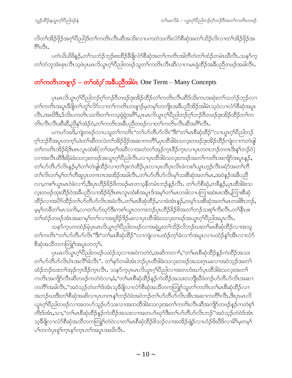လိတၫ်အိဉ်ဖိုဉ်အဂ္ဂၢိပီညါ)ဒ်တ႑်ကတိၤလီၤဆီအသိးလ႑ပကတဲသကိႏလံာ်စီဆုံအတ႑်သိဉ်လိလ႑တ႑်အိဉ်ဖိုဉ်အ 89091.

ပတဲယိယိ<sup>8</sup>န္**ဉ်,**တ႑်သဘံဉ်ဘုဉ်စးထိဉ်ခ်ိဖိုလံာ်စိဆုံအတ႑်ကတိၤအါဘိတဲတ႑်ထံဉ်တမံၤဃိလီၤႉသနၥ်က့ တၫ်ဘံဘူအံၤစုၤလီၤသ့ဖဲပုၤမၤလိယ္ဂၤဂ့်ၫ်ပီညါတဖဉ်သူတၫ်ကတိၤလီၤဆီလၢကမၤရဲထိဉ်အခ်ိဳပညီတဖဉ်အခါလီၤႉ

#### တ¶ကတိၤတဖျာဉ် – တ¶ထံဉှ်အခီပညီအါမံၤ One Term – Many Concepts

ပုၤမၤလိယ္မၤဂ့ౕၢပီညါဘဉ်ဂ့ౕၢဘဉ်၀ီတဖဉ်ဒုးအိဉ်ထိဉ်တၤ်ကတိၤလီၤဆီဒ်သိးကဟးဆုဲးတၤ်သဘံဉ်ဘုဉ်လ႑ တၫိကတိၤအပူၤဒီဖိျတၫ်တူၫ်လိ5်လၫတ႑်ကတိၤတဖျၫဉ်မှတမ့ၫ်တကျိုၤအခ်ိပညီအိဉ်အါမံၤသ့ဝဲလ႑လံ5်စီဆုံအပူၤ လီၤႉအဃိဒီး,ဒ်သိဴးပကတိၤသကိဴးတၫ်ကသ့ရဲရဲအဂိ်ၫႇပုၤမၤလိယ္ပၤဂ့ၫ်ပိညါဘဉ်ဂ့ၢ်ဘဉ်၀ိတဖဉ်ဒုးအိဉ်ထိဉ်တၫ်က တိၤလီၤလီၤဆီဆီႇညီနှၤ်အံဉ်၀ဲႇတ႑်ကတိၤအခ်ဳပညီတဖဉ်လၢတ႑်ကတိၤလီၤဆီအဂီၤ်လီၤ.

ပကဟ်အဒိ,ကျဲတဖဉ်လၢပသူတၫ်ကတိၤ"တၫ်ဟ်တီဟ်လိၤ"ဒိး"တ႑်မၤစီဆုံထိဉ်"လၢယွၤဂ့ၢိပိညါဘဉ် ဂ့ၢ်ဘဉ်ဝိအပူၤတက့ၤ်ဖဲတၤ်ဆီတလဲတၤ်အိဉ်ဖှိဉ်အဆၤကတိၢိႇပှၤထိဒါခဲးသလူးတဖဉ်ဒုးအိဉ်ထိဉ်ကျဲလၤကတဲဖျါ တၫ်ကတိၤအိဉ်ရိဒ်ၤစၤလူၤထံးစ်(တၫ်အဂ္ဂၢိအဝိလ႑အတဲတၫ်အုဉ်က္ၤမိဉ်က္ၤလ႑ပှၤတဂၤဘဉ်တဂၤဒိးန႑်ဘဉ်ဝဲ) လၫအလီၤဆီဒီးရိမဲခဲးသလူးတဖဉ်အယွπဂ့ါပီညါလီၤႉလၢပုၤထိဒါခဲသလူးတဖဉ်အတ႑်ကတိၤအကျိဉ်အပူၤန္ဉ\$, တၫ်ပာ်တီဟ်လိၤနဉ်မှၫ်တ႑်တဲဖျါထိဉ်လၢတ႑်ဒုးကဲထိဉ်ပှၤလၢပှၤတိပှၤလိၤဖဲကစ႑်ယွၤဟ့ဉ်လီၤခရံာ်အတ႑်တိ တၫ်လိၤတၫ်မှ႞တ႑်တိဆူပုၤတဂၤဂၤအအိဉ်အခါလီၤႉတ႑်ဟ်တီဟ်လိၤမ့႞သးစိဆုံအတ႑်မၤႇအဝဲန္ဉာအခ်ီပညီ လၢ,ကစၢ်ယွာမာဝဲခဲလၢာ်,ဒီးပုၤဟိဉ်ခိဉ်ဖိတဖဉ်မာတသ့နိတမံၤဘဉ်နဉ်လီၤႉ တၢ်ပာ်စီဆုံ,တခ်ိန္ဉာ်,ပုၤထိဒါခဲးသ လုံးတဖဉ်ထုံးထိဉ်ဝဲအခ်ီပညီလၢအိဉ်ရ်ဒိၤစၤလူၤထံးစ်အပူၤဒ်အမှၤ်တၤ်မၤတခါလၢပကြၢးဆဲးမၤအိၤႇကြၢးစိဆုံ ထိဉ်လၢအပိႆာ်ထိဉ်တၫ်ပာတိဟ်လိၤအခံလီၤ.တၫ်မၤစီဆုံထိဉ်,လၢဖဲအံၤန္ဉာ်,တမ့ၢ်သးစီဆုံအတၫ်မၤတခါဇိၤဘဉ်, မ့မ္]တခ်ီတ1်မၤသကိႏႇလၢတ႑်ဟ်ဃှာ်ဒီးကစ႑်ယွၤတကးဘဉ်ပုၤဟိဉ်ခိဉ်ဖိအတ႑်ဘဉ်သးစ့႑်ကီးလီၤ.တ႑်နီၤဖး တၫ်ထံဉ်တဖဉ်အံၤအဆၢမ့ၢ်တၫ်လၢအရှုဒိဉ်ဒိဉ်မးလၢပုၤထိဒါခဲးသလူးတဖဉ်အယွπဂ့ၢ်ပိညါအပူၤလိၤႉ

သန>်က့ပကထံဉ်မှံပှၤမၤလိယွၤဂ့ၫ်ပိညါတဖဉ်လၢအရှဲပွးတ႑်သိဉ်လိဘဉ်ဃးတ႑်မၤစီဆုံထိဉ်လၢအသူ တၫ်ကတိၤ"တၫ်ပာ်တီပာ်လိၤ"ဒီး"တ႑်မၤစီဆုံထိဉ်"လၢကျဲလၢပထံဉ်တဲ့ ခဲလၫာ်အပူၤလၢပထံဉ်နှၤ်အီၤလၢလံာ် စီဆုံအသိတကတြူၫ်အပူၤတက္໌ု.

ပုၤမၤလိယ္စၤဂ္ဂ်္ဂါ၀ီညါတဖဉ်ပထံဉ်သူလၢအဝဲကတဲဝဲ,အဆိကတ႑),''တ႑်မၤစီဆုံထိဉ်နှဉ်ကဲထိဉ်အသး တၫ်ဟ်တိဟ်လိၤဝံၤအလိ်ၤ်ခံလိၤ". တ႑်နာ်တခါအံၤဘဉ်ပုၤထိဒါခဲးသလူးတဖဉ်အသးဂုၤမးလၢအဝဲသုဉ်အတ႑် ထံဉ်ဘဉ်ဃးတၫ်အှဉ်ကူၤနိဉ်ကူၤလီၤ. သနၥ်က္ခပုၤမၤလိယ္ဇၤဂ္ဂၤ်ပိညါလၢအတဟံးဃာ်ပုၤထိဒါခဲးသလူးအတ႑် ကတိၤအကျိုာ်လီၤဆီတဖဉ်ကတဲဝဲလၢႇခံႇ''တ႑်မၤစီဆုံထိဉ်နှဉ်ကဲထိဉ်အသးတဘျိုဃီဖဲတဉ်ဟ်တိဟ်လိၤအဆၢ ကတိႝ႞အခါလီၤႉ"အဝဲသ့ဉ်တဲတ႑်ဒ်အံၤသ့ခ်ိဖျိလၢလံာ်စိဆုံအသိတကတြူၫ်သူတ႑်ကတိၤတ႑်မၤစိဆုံထိဉ်လ႑ အဘဉ်ဃးဒီးတၫ်စီဆုံအဆိလၢပုၤတဂၤန႑်ဘဉ်၀ဲဖဲအ၀ဲဘဉ်တ႑်ပာ်တိပာ်လိၤအိၤအဆၢကတိႝၤလိၤအီးပုၤမၤလိ ယွၤဂ့ါ်ပီညါတဖဉ်လၢအတပာ်သူဉ်ပာ်သးလၢအတထိဒါခဲးသလ့းအတၤ်ကတိၤလီၤဆီအကျိဉ်တဖဉ်နဉ်ကတဲစ့<sup>၎</sup> ကီးဒ်အံၤႇသၢႇ''တၫ်မၤစီဆုံထိဉ်နဉ်ကဲထိဉ်အသးလၢအတပာ်ဃုာ်ဒီးတ႑်ပာ်တိပာ်လိၤဘဉ်''အဝဲသ့ဉ်တဲဝဲဒ်အံၤ သ့ခ်ီဖျိလၢလံာ်စီဆုံအသိတကတြူၫ်တဲဝဲလၢတၫ်မၤစီဆုံထိဉ်ဖိသဉ်လၢအအိဉ်ဖျဲဉ်လၢဟံဉ်ဖိဃိဖိလၢမိၫ်မ့တမ့႑် ပါတကဲပုၤစူါက္ၤနၥ်က္ၤတါအပူၤအဃိလီၤ.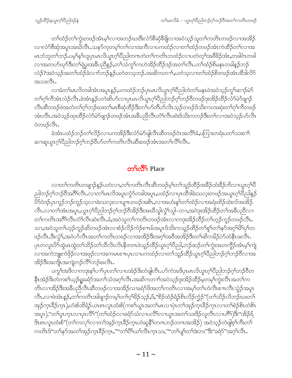တၫ်ထံဉ်တၫ်ကွဲးတဖဉ်အံၤမ့ၢ်လၢအဘဉ်ဃးဒီးလံာ်စီဆုံခီဖျိလၢအဝဲသုဉ်သူတၫ်ကတိၤတဖဉ်လၢအအိဉ် လၢလံာ်စီဆုံအပူၤအဃ်လီၤႉသနာ်က့တမ့ၢ်တၫ်လၢအကီလၢပကထံဉ်လၢတၫ်ထံဉ်တဖဉ်အံၤကဲထိဉ်တၫ်လၢအ မၤဘံဘူတ<sup>၎</sup>ဘဉ်ႇပမ့<sup>၎</sup>န1်ဟူပှၤမၤလိယ္ပၤဂ့<sup>၎</sup>ပိညါတဂၤတဲတၤ်ကတိၤတထံဉ်လၢပတဲတ့<sup>၎</sup>အ<sup>88</sup>ခ်ဉ်အံၤႇတခါဝံၤတခါ လၢအတပဉ်ဃှာ်ဒီးတၫ်ရဲပွးအခ်ီပညီနဉ်,တ႑်သံကွ႑်ကဟဲအိဉ်ထိဉ်အဉ်အတ႑်လိၤ.တ႑်ထံဉ်စိမနၤတခါနဉ်ဘဉ် လဲဉ်?အဝဲသူဉ်အတၫ်ထံဉ်ခဲလၫာ်ဘဉ်နှဉ်ပတဲတသ့ဘဉ်ႉအဆိကတၫၫ်ႇပတဲသူလ႑တၫ်ထံဉ်စိတဖဉ်အံၤထီဒါလိ5် အသးလ်ိဳၤ.

လၢခံတၫ်မၤလိတခါအံၤအပူၤန္ဥ်ႇပကထံဥ်ဘဥ်ပုၤမၤလိယ္လၤဂ္ဂၤ်၀ိညါတဲတၫ်မနုၤဖဲအဝဲသူဥ်ကွၤ်ဆ႑ာ်မဲဉ် တၫ်ဂူၫ်ကွဲအုံးတဲ့၃ထူးခဲ့အုံးနံ့၃ဂတ္ခဆိုလုပ်ကပ်များတွက်ပွဲတုပွဲပွဲဘုပွဲပွဲပွဲပွဲပွဲပွဲပွဲခွဲအုံအုံပွဲစွဲပွဲပွဲပ လီၤဆီတဖဉ်ဖဲအတဲတၫ်ဂ့ၫ်ဘဉ်ဃးတ႑်မၤစီဆုံထိဉ်ဒီးတ႑်ပာ်တီဟ်လိၤသ္ဉ်တဖဉ်ဒ်သိးကဟးဆုံးတ႑်ဂ့ၫ်ကီတဖဉ် အံၤလီၤ.အဝဲသ့ဉ်ထုးထိဉ်လံာ်မဲာ်ဖျာဉ်တဖဉ်အံၤအခ်ီပညီလီၤတံၤ်လီၤဆဲးဒ်သိးကဘဉ်ဒီးတၤ်လ<sup>1</sup>အဝဲသ့ဉ်ဟ်လီၤ ဝဲတဖဉ်လီၤ**.** 

ခဲအံၤပထံဉ်ဘဉ်တၫ်လိဉ်လ႑ပကအိဉ်ဒီးလံာ်မဲာ်ဖျဲလီၤဆီတဖဉ်ဝံၤအလိၢ်ခံ,ပကြ႑းတရံးပတၫ်သးစ႑ာ ဆၢဆူယွာဂ့်္ဂါပိညါဘဉ်ဂ့်္ဂါဘဉ်၀ိဟ်တ႑်ကတိၤလီၤဆီဆဖဉ်အံၤအတ႑်လီ်ြလီၤ.

#### **onfoot** Place

လၢတၫ်ကတိၤတဖျၫဉ်နဉ်ပတဲလၢႇတ႑်ကတိၤလီၤဆီတဖဉ်မ့ၢ်တ႑်သူဉ်ထိဉ်အခ်ိဉ်ထံးခ်ိဉ်ဘိလၢယွၤဂ့ၢ်ပီ ညါဘဉ်ဂ့ౕါဘဉ်ဝိအဂိ်ါလီၤႉလၢတၤ်မၤလိအပူၤကွံာ်တခါအပူၤႇပထံဉ်လၢပှၤထိဒါခဲးသလ့းတဖဉ်အယွၤဂ့ၤ်ပိညါနှဉ် <sup>8</sup>ာ်ဝဲဒဉ်ပှၤကူဉ်ဘဉ်ကူဉ်သ့လၢခဲးသလ့းလၢပျ႑ာတဖဉ်အစိၤႇလၢအဟံးန<sup>ှ</sup>ုတၫ်ထံဉ်လၢအရံးထိဉ်ထဲးလ်အအိဉ် လီၤႉလၢတၫ်အံၤအပူၤႇယ္လၤဂ့ၫ်ပီညါဘဉ်ဂ့ၫ်ဘဉ်ဝီအိဉ်ဒီးအဃီသွါလွံၫ်သွါ–တၢႇအဝဲဒုးအိဉ်ထိဉ်တၫ်အခ်ီပညီလၢ တၫ်ကတိၤအဂိၢိလိၤတံၢိလိၤဆဲးလိၤ.ခံ,အဝဲသူတၫ်ကတိၤတဖဉ်အံၤလၢကဒုးအိဉ်ထိဉ်တၫ်ဟ့ဉ်ကူဉ်တဖဉ်လီၤ. သၢႇအဝဲသူတၫ်ဟ့ဉ်ကူဉ်ဆိတဖဉ်အံၤလၢစံဉ်လိဉ်ကံဉ်စπမ်အပူၤဒ်သိးကသူဉ်ထိဉ်တ႑်စူၫ်တ႑်နှာ်အဂ္ဂါမိ႑်ပှၫ်တ ဖဉ်လီၤ.ဒီးလွံ\်,အဝဲဟ်လီၤအတၤ်ကတိၤတဖဉ်လၢအအိဉ်ဒီးအဂ္໋ါအ၀ီအအိဉ်ဒီးတၤ်ဆိကမိဉ်ပဲာ်ထံနီၤဖးလီၤ. ပု၊တလူၤ<sup>8</sup>ာ်ထွဲမၤထွဲတၫ်သိဉ်တၫ်သီလိၤလိၤနိတဂၤဖဲသူဉ်ထိဉ်ယွၤဂ့<sup>၎</sup>ပီညါႇဘဉ်ဆဉ်တၫ်ကွဲးအတကွိဉ်အံၤမ့<sup>၎</sup>ကျဲ လၢအကဲဘူးကဲဖိုဉ်လၢအဖုဉ်လၢအကမၤစπပုၤလၢပကထံဉ်လၢတၫ်သူဉ်ထိဉ်ယွπဂ့ါပိညါဘဉ်ဂ့ါဘဉ်ဝိလၢအ အိဉ်ဒီးအကျိုးအကျဲဘဉ်လိံ<sup>ု</sup>ဘဉ်စးလီၤ.

ပက္ဂ<sup>၎</sup>အဒိလၫကဒုးန<sup>၎</sup>ပၫႝၦၤတၫ်လၢပအဲဉ်ဒိးတဲဖျဲလီၤႉပာ်ကဲအဒိပ္ၤမၤလိယ္ငၤဂ့ါပီညါဘဉ်ဂ့ၢ်ဘဉ်၀ိတ နိၤအဲဉ်ဒိးတဲကစါယ့ဉ်ရှုးခရံဉ်အတၫ်သံအဂ့ၢ်လီၤ.အဆိကတၫၢ်အဝဲသ့ဉ်ဒုးအိဉ်ထိဉ်မှတမ့ၢ်ကွဲးလီၤအတၫ်က တိၤလၢအိဉ်ဒီးအခ်ီပညီလီၤဆီတဖဉ်လၢအအိဉ်လၢခရံာ်ဖိအတၤ်ကတိၤလၢအမ့ၢ်တၤ်ဟဲလီၤစ႑ၤလီၤသွဲဉ်အပူၤ လီၤႉလၢဖဲအံၤန္ဉာ်,တၫ်ကတိၤအါဖျာဉ်ကမ့ၢ်တၫ်ဂ့ၢိခိဉ်သ္ဉာ်,ဒ်,"စိဉ်ထံဉ်ရံဉ်စိၤလိဉ်က္ဉံဉ်"(တ႑်သိဉ်လိဘဉ်ဃးတ႑် အှဉ်က္5ြောက္],ဟီးစ်ထိရံဉ်ယာစာလူာထံးစ်(ကစါယွာအတါမာလာပှဲာတါအှဉ်က္5ြောလာတါစံဉ်စိာတဲ့စာ အပူၫ),''တၫ်ပုၤက္ၤလၢပုၤလိႝၫ်'(တၫ်ထံဉ်လၢခရံှာ်သံလၢပလိႝၤ်လၢယ္ပၤအတ႑်သးဒိဉ်လူလီၤလၢပဂိႝ႞)ဒိး''အိဉ်ရ် ဒြာစာလူာထံးစ်"(တၫ်ကလုၫ်လၢတၫ်အုဉ်က္ $\mathsf{t}$ ဒိဉ်က္ $\mathsf{t}$ ဟဲဆူနိႝၤ်တကဘဉ်တဂၤအအိဉ်) အဝဲသ့ဉ်တဲဖျစ့ၤ်ကီးတၤ် ကတိၤဒ်"တၫ်နဉ်အတၫ်အှဉ်က္ၤ<sup>8</sup>ဉ်က္ၤ,""တၫိပိႝၤယ႑်လိၤက္ၤသး,""တၫ်ပျၫ်တၫ်ဒဲးဘး"ဒိး''ခရံဉ်''အဂ္ဂၤလိၤႉ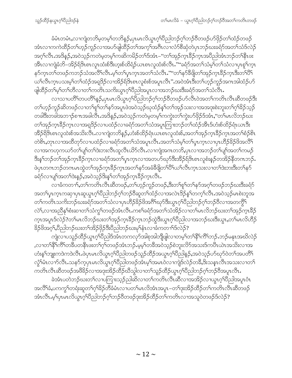ခံမံၤတမံၤႇလၫကျဲတဘိမ့တမ့<sup>၎</sup>တဘိန5်ႇပှၤမၤလိယ္ဂၤဂ့<sup>၎</sup>ပိညါဘဉ်ဂ့<sup>၎</sup>ဘဉ်ဝိတဖဉ်ဟ်ဖိုဉ်တ႑်ထံဉ်တဖဉ် အံၤလၢကကဲထိဉ်တၫ်ဟ့ဉ်ကူဉ်လၢအဟ်ဖျါထိဉ်တ႑်အက္႑်အဂီၤလၢလံာ်စီဆုံတဲပုၤဘဉ်ဃးခရံာ်အတ႑်သံဒ်လဲဉ် အဂ္ဂါလီၤ အဒိနဉ်,အဝဲသ့ဉ်ကတဲမ့တမ့ါကဆိကမိဉ်တါဒ်အံၤ–''တါအုဉ်က္ၤခ်ိဉ်က္ၤအပိညါအံၤဘဉ်တါနီၤဖး အီၤလၢကျဲခံဘိ–အိဉ်ရိဒ်ၤစၤလူၤထံးစ်ဒီးဟူးစ်ထိရံဉ်ယၤစၤလူထံးစ်လီၤႉ""ခရံဉ်အတ႑်သံမ့<sup>၎</sup>တ႑်သံလၢပုၤစူ<sup>၎</sup>က္ၤ နဉ်ကူၤတၫ်တဖဉ်ကဘဉ်သံအလိႝၤ်လိၤ.မ့္ပ်ာတ႑်ပူးကူးအတ႑်သံလိၤး""တ႑်နှာ်ခ်ီဖျိတ႑်အှဉ်ကူးခြီးတုၤဒီးတ႑်ပြီ ယၫ်လီၤက္ၤပသးမ့ၢ်တၫ်ထံဉ်အရှုဒိဉ်လၢအိဉ်ရ်ဒိၤစၤလူစံးစ်အပူၤလိၤ'' အဝဲအံၤဒီးတၫ်ဟုဉ်ကူဉ်အဂၤအါထံဉ်ဟ် ဖျါထိဉ်တၫ်မှၤ်တ1်တိလၢတ႑်ကတိၤသကိႏယ္လၤဂ့ၤ်ပိညါအပူၤလၢအဘဉ်ဃးဒီးခရံာ်အတ႑်သံလိၤႉ

လၫသၢပတိႝ႞တပတိႝ႞နၵၟၟၟႝႇပုၤမၤလိယ္မၤဂ့ౕၢိပိညါဘၣ်ဂ့ౕၢဘၣၲဝိတဖၣဴပာ်လီၤဝဲအတၤ်ကတိၤလီၤဆီတဖၣ်ဒီး တၫ်ဟုဉ်ကူဉ်ဆိတဖဉ်လၢတၫ်စူၫ်တၫ်နှာ်အပူၤဖဲအဝဲသုဉ်ဃုထံဉ်နှၤ်တၫ်အှဉ်သးလၢအအအုးစဲးဘူးတၫ်ဂ့ၢိခိဉ်သုဉ် တခါဒီးတခါအဘၫဉ်စπအခါလိၤႉအဒိန္ဉာ်,အဝဲသ့ဉ်ကတဲမ့တမ့ၢ်ကကွဲးတၫ်ကွဲးဟာ်ဖှိဉ်ဒ်အံၤႇ''တ႑်မၤလိဘဉ်ဃး တၫ်အှဉ်က္ $\mathfrak{1}$ ဒိုဉ်က္ $\mathfrak{1}$ လၢအရှဒိဉ်လၢပထံဉ်လၢခရံှာ်အတ႑်သံအပူးကြ $\mathfrak{1}$ းဘဉ်တ႑်ထံဉ်အီ $\mathfrak{1}$ ဒ်ဟီးစ်ထိဉ်ရံ $\mathfrak{1}$ ယ $\mathfrak{1}$ ဒီး အိဉ်မြိဒ်၊စၤလူထဲးစ်အသိးလိၤႉလၢကျဲတဘိန္ဉာ်,ဟံးစ်ထိဉ်ရံၤယၤစၤလူထံးစ်,အတၫ်အုဉ်က္၊ခ်ိဉ်က္၊အတ႑်စံဉ်စိၤ တဲစိၤ,တုၤလၢအထိတုဉ်လၢပထံဉ်လၢခရံဉ်အတ႑်သံအပူၤလီၤ.အတ႑်သံမ့ၢ်တ႑်ပ္ၤက္ၤလၢပှၤဟိဉ်ခိဉ်ဖိအလိ႑ လၫအကဟုကယာ်တၫ်ပျၫ်တၫ်ဒဲးဘးလီၤထူလီၤယိာ်လီၤႉလၫကျဲအကတဘိႇပှၤလၫအဘဉ်တၫ်ပျၫ်အတ႑်ကမဉ် ဒီးန1်ဘဉ်တ1်အှဉ်ကူးခ်ိဉ်ကူးလၢခရံာ်အတ1်ပုၤကူးလၢအတပာ်ဃှာ်ဒီးအိဉ်ရ်ဒိၤစၤလူစံးနှဉ်တအိဉ်နိတဂၤဘဉ်. ဖဲပုၤတဂၤဘဉ်တဂၤမၤထွဲတၫ်အှဉ်က္ၤဒိဉ်က္ၤအတ႑်နှာ်အခံနိၛိတ႑်ပြီၤယ႑်လီၤက္ၤသးလၢတ႑်ဒဲးဘးဒီးတ႑်နှာ် ခရံာ်လာပျ<sup>ရ</sup>အတ<sup>ရ</sup>ဒဲးနဉ်,အဝဲသ့ဉ်ဒိးန5်တ<sup>ရ</sup>အှဉ်ကူးခိဉ်ကူၤလီၤ

လၫခံကတ႑) တ႑ိကတိၤလိၤဆိတဖဉ်,တ႑်ဟ္ဝိကူဉ်တဖဉ်,ဒီးတ႑်စူ႑်တ႑်နၥ်အဂ္ဂါတဖဉ်ဘဉ်ဃးဒီးခရံာ် အတ႑်ပုၤက္ၤကဆု႑ပုၤဆူယွၤဂ့ၤ်ပိညါဘဉ်ဂ့ၤ်ဘဉ်၀ိဆူတၤ်ထံဉ်လၢအလဲၤဒိဉ်န္ ၤ်တက္ၤ်လီၤ.အဝဲသ့ဉ်မၤစဲးဘူအ တၫ်ကတိၤသကိႏဘဉ်ဃးခရံဉ်အတ႑်သံလၢပုၤဟိဉ်ခိဉ်ဖိအဂ်ိါဃုာ်ဒီးယွၤဂ္ုပိညါဘဉ်ဂုၤ်ဘဉ်၀ိလၢအတကွိ႑် လဲ1,လၫအညီန1်စံးဆၫတ1်သံကွ1်တဖဉ်အံၤလီၤ.ကစ1်ခရံာ်အတ1်သံအိဉ်လ႑တ1်မၤလိဘဉ်ဃးတ1်အုဉ်က္ၤဒိဉ် က္၊အပူ၊ဒ်လဲဉ်?တၫ်မ၊လိဘဉ်ဃးတ႑်အှဉ်က္၊ဒိဉ်က္၊ဘဉ်ထွဲဒီးယွ၊ဂ့ၫ်ပီညါလၢအဘဉ်ဃးဒီးယွ၊ တ႑်မ၊လိဟိဉ် ခိဉ်ဖိအဂ္ဂါ,ပိညါဘဉ်ဃးတ႑်အိဉ်ဖိုဉ်ဒီးပိညါဘဉ်ဃးမှ1်နှံၤလၢခံကတ႑ာ်ဒ်လဲဉ်?

ကျဲလၢပသူဉ်ထိဉ်ယွπဂ့ါ်ပိညါဒ်အံၤတကလှာ်အါစုအါဘိုုဖျဲလၢတမ့ါတၫ်နိ<sup>ု</sup>ကိြဘဉ်ႉဘဉ်မနုၤအဃိလဲဉ် ,လၢတၫနိ<sup>ု</sup>ကိြကဒီပတနိၤဖးတၫ်ဂ့ၢ်တဖဉ်အံၤဘဉ်.မမ့ှ်တဒိအဝဲသုဉ်စဲဘူးလိ်ာအသးဒ်ကပိၤယဲၤအသိးလၢအ ဟံးနှၤ်ဘျူးကဒဲကဒဲလိၤ.ဖဲပုၤမၤလိယွၤဂုၤ်ပိညါတဖဉ်သူဉ်ထိဉ်အယွၤဂုၤ်ပိညါန္ဉ5,အဝဲသု့ဉ်ပာ်ဃုာ်ဝဲတၤ်အပတိၤ် လုံရိမံၤလาာ်လီၤႉသနာ်ကပ္ပ္က႑ားလယ္လာက်ပြီညါတဖဉ်အားမ့ရ်အမွာဝဲလာကျဲဒ်လဲဉ်တခ်ိႇဒိုးသန္ၤလီၤအသးလၢတရ ကတိၤလီၤဆီတဖဉ်အဖိခိဉ်လၢအဒုးအိဉ်ထိဉ်ဃီသွါလၢတၫ်သူဉ်ထိဉ်ယွၤဂ့ၢ်ပိညါဘဉ်ဂ့ၢ်ဘဉ်၀ိအပူၤလီၤ

ခဲအံၤပတဲဘဉ်ဃးတၫ်လၢပကြၫးသုဉ်ညါဆိလၢတၫ်ကတိၤလီၤဆီလၢအအိဉ်လၢယ္ဂၤဂ့ၢိပိညါအပူၤပံၤ အလိ်ိၢခံ,ပကကွ်ကရံးဆူတၫ်ဂ့ါ်ခိဉ်တီခံမံၤလၢပတၫ်မၤလိအံၤအပူၤ–တၫ်ဒုးအိဉ်ထိဉ်တ႑်ကတိၤလီၤဆီတဖဉ် အံၤလီၤ.မ့္ပ်ကမၤလိယ္စၤဂ္န္ကုပ္မွည္ပါဘဥ္နဲဂံသဥ႙၀ၘသစဥ္မ်အေဥထွဥေတာမွာပါဘူးတပ္မွာပဲတဖဥ္နဲဥပေ၌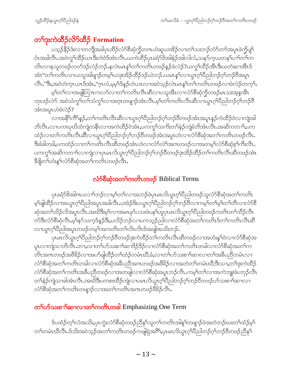# တ<sup>၎</sup>ဒုးကဲထိဉ်လိ်ာထိဉ် Formation

ပသူဉ်နိုဉ်ဒုံးလၢတဘျိုအခါပုၤထိဉ်လံာ်စီဆုံကိုတဂၤဟဲဆူယအိဉ်လၢတ႑်သးဘဉ်တံာ်တာ်အပူၤဖဲကိုပျှ႑် ဝံၤအခါလီၤႉအဝဲကွ်ౕထိဉ်ယၤဒီးတဲဝဲဒ်အံၤလီၤႉယကဲထိဉ်ပုၤခရံာ်ဖိအါနံဉ်အါလါလံႇသနဉ်ကဲ့ယတန႑်ပ႑်တ႑်က တိၤလၢနုသူတဖဉ်တတ်ဒဉ်လဲဉ်ဘဉ်ႉနလဲၤမၤန္SတSကတိၤတဖဉ်နှဉ်ဖဲလဲဉ်?ယကွS်ထိဉ်အီၤဒီးယတဲဆၢအီၤဒ် အံၤ"တၫ်ကတိၤလၢယသူအါဖျာဉ်တမ့ၢ်ယဒုးအိဉ်ထိဉ်ဒဉ်ယဲဘဉ် ယမၤန္နၫ်လၢယ္ဂၤဂ့ၢ်ပိညါဘဉ်ဂ့ၢ်ဘဉ်ဝိအပူၤ လီး."ဒီး,အဝဲတဲက္နၤယၤဒ်အံၤ,"ဂ္ဂၤလံ,မမ္ဒါဒ်န္ဥတဲယၤလၢအဝဲသူဥလဲၤမၤန္ ါတ ါကတိၤတဖဥ်လၢဖဲလဲဥတက္ ါ.

မ့်ၫတ႑်လၫအဖျါတြ πကလာ်လ႑တ႑်ကတိၤလိၤဆိလ႑ပသူအိၤလ႑လံာ်စီဆုံကိုတဖဉ်မၤသးအူန္ဒအိၤ တုၤဒဉ်လဲ၁် အဝဲသံကွ<sup>ရ</sup>တ<sup>ရ</sup>သံကွရလၢအဂ္ဂၤတဖျာဉ်အံၤလီၤ.မ့ရတရကတိၤလီၤဆီလၤယ္ဂၤဂ့ရ်ပညတုပင်္ဂသည်နွ အံၤအပူၤဟဲဖဲလဲဉ်?

လၢအနိ<sup>ရ</sup>က်ိရနဉ်,တ<sup>ရ</sup>ကတိၤလီၤဆီလၢယွၤဂ့ါပီညါဘဉ်ဂ့ါဘဉ်၀ိတဖဉ်အံၤအပူၤန္ဉာ်ကဲထိဉ်၀ဲလၢကျဲအါ ဘိလီၤႉလၢပကဃုဃိထံကျဲတနီၤလၢအကဲထိဉ်ဝဲအံၤႇပကကွSသကိႏတSနဲဉ်ကျဲခံဘိအံၤလီၤႉအဆိကတၫSႇပက ထံဉ်လၢတၫ်ကတိၤလီၤဆီလၢယ္ပၤဂ့ၫ်ပိညါဘဉ်ဂ့ၫ်ဘဉ်၀ိတဖဉ်အံၤအပူၤဟဲလၢလံာ်စိဆုံအတ႑်ကတိၤတဖဉ်လီၤ. ဒီးခံခါတခါ,ပကထံဉ်လၢတၫ်ကတိၤလီၤဆီတဖဉ်အံၤဟဲလၢလံဉ်လဲၫ်အဂၤတဖဉ်လၢအတမ့ၢ်လံဉ်စီဆုံစ့ၫ်ကီးလီၤ. ပကကွ်္ဂါအဆိကတ႑ာ်လၢကျဲလၢပုၤမၤလိယ္မၤဂ့ၢ်ပီညါဘဉ်ဂ့ၢ်ဘဉ်၀ိတဖဉ်ဒုးအိဉ်ထိဉ်တ႑်ကတိၤလီၤဆီတဖဉ်အံၤ <u>ဒီဖျိ</u>တ်ဟုံးနှ်လုံာ်စီဆုံအတ်ကတိၤတဖဉ်လီၤ.

## လံာ်စီဆုံအတ<sup>ှ</sup>ကတိၤတဖဉ် Biblical Terms

ပုၤခရံာ်ဖိအါဂၤပလၫ်ာဘဉ်လၢမ့်္ဂါတ႑်လၢအဘဉ်ဖဲပုၤမၤလိယ္ဇၤဂ္ဂါပီညါတဖဉ်သူလံာ်စီဆုံအတ႑်ကတိၤ မ့်၊ဖျဲထိဉ်လၢအယွာဂ့်္ဂါပိညါအပူာအခါလီာႉပအဲဉ်ဒိုးပယ္ပာဂ့်္ဂါပိညါဘဉ်ဂ့်္ဂဘဉ်ပိလၢကမ့္ပ်တ႑်မ့္ဂ်တၤတီလၢလံာစိ ဆှံအတၫ်သိဉ်လိအပူၤလီၤ.အဃိဒီးမ့ၫ်လၢအမၤမုဉ်ပသးဖဲပန<sup>၎</sup>ဟူပှၤမၤလိယ္ဂၤဂ့ၫ်ပိညါတဖဉ်ကတိၤတၫ်သိဉ်လီၤ က်ဒီးလံာ်စီဆုံလီၤ.မ့ါ်နာ်သက့ဒ်နည်ဒီး,ပလိဉ်ဘဉ်လၢပကသူဉ်ညါလၢလံာ်စီဆုံအတ1်ကတိၤဒ်တ1်ကတိၤလီၤဆီ လၢယ္လၤဂ္နာပြည္ပါအပူၤတဖဉ်တမ့္ခ်ာအကတိၤတ႑လိၤလ်ၤဒ်အဖျါအသိးဘဉ်.

ပုၤမၤလိယ္ဇၤဂ့ౕၢပီညါဘဉ်ဂ့ౕၢဘဉ်၀ီတဖဉ်ဒုးကဲထိဉ်တၤ်ကတိၤလီၤဆီတဖဉ်လၢအဟံးနၤ်ါဝဲလၢလံာ်စီဆုံအ ပူးလၫကျဲသၢဘိလီးႉတၢႇလၢတၫ်ပာ်သးစၫၫ်ဆၢဒိဉ်ဒိဉ်လၢလံာ်စိဆုံအတ႑်ကတိၤတခါလၢလံာ်စိဆုံအတ႑်က တိၤအဂၤတဖဉ်အဖိခိဉ်လၢအပာ်ဖျါထိဉ်တ႑်ထံဉ်တမံၤဃိႏခံႇလၢတ႑်ပာ်သးစ႑ာ်ဆၢလၢတ႑်အခ်ဳပညီတမံၤလၢ လံာ်စီဆုံအတ႑်ကတိၤတခါလၫလံာ်စီဆုံအခ်ဳပညီအဂၤတဖဉ်အဖိခိဉ်လၫအတဲတ႑်တမံၤဃိႈဒီးသ႑တ႑်ဒုးကဲထိဉ် လံာ်စီဆုံအတ႑်ကတိၤအခ်ဳပညီတဖဉ်လၢအတဖျါလၢလံာ်စီဆုံအပူၤဘဉ်လိၤႉကမ့္ပ်တ႑်လၢအကဲဘူူးဖဲပဘုဉ်လိၤ တၫ်နဲ့ဉ်ကျဲသၢခါအံၤလီၤ.အဃိဒီးပကစးထိဉ်ကျဲလၢပမၤလိယ္ဇၤဂ့ၫ်ပိညါဘဉ်ဂ့ၫ်ဘဉ်၀ိတဖဉ်ပာ်သးစ႑ာ်ဆၤလၢ လံာ်စီဆုံအတၫ်ကတိၤတဖျၫဉ်လၢအတၫ်ကတိၤအဂၤတဖဉ်<sup>88</sup>ဉ်လိၤ.

#### တ**်**ပွာ်သုံးစ႑်ဆ႑လ႑တ**်ကတိုးတခါ** Emphasizing One Term

ဒ်ပထံဉ်တ့ၢ်လံအသိး,ပှၤကွဲးလံာ်စီဆုံတဖဉ်ညီနုၤ်သူတၤ်ကတိၤအါန္ၤ်တဖျၫဉ်ဖဲအတဲဘဉ်ဃးတၤ်ထံဉ်မ့ၤ် တၫ်တမံၤဃီလီၤ.ဒ်သိးအဝဲသ့ဉ်အတ႑်ကတိၤတဖဉ်ကဖျဲရဲအဂိ်ၫ,ပှၤမၤလိယွၤဂ့ၢ်ပီညါဘဉ်ဂ့ၢ်ဘဉ်၀ိတဖဉ်ညီနုၤ်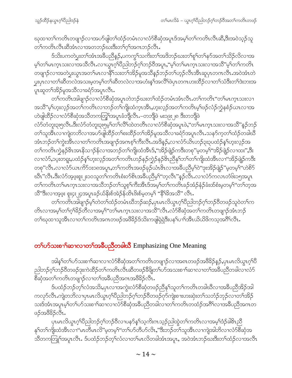ၰထၢတၫ်ကတိၤတဖျၢဉ်လၢအပာ်ဖျါတၫ်ထံဉ်တမံၤလၢလံာ်စီဆုံအပူၤဒ်အမှၢ်တၫ်ကတိၤလိၤဆိ,ဒီးအဝဲသ့ဉ်သူ တၫ်ကတိၤလိၤဆိအံၤလၢအတဘဉ်ဃးဒီးတၫ်ဂ္ၫ်အဂၤဘဉ်လီၤ.

ဒ်သိးပကတဲပွးတၫ်အံၤအခ်ီပညီနှဉ်,ပကကွ႑်သက်ိးတ႑်အဒိဘဉ်ဃးတ႑်စူ႑်တ႑်နှဉ်အတ႑်သိဉ်လိလ႑အ မ့်ၫတ႑်မၤက္ၤသးလၢအသိလိၤႉလၢယ္ပၤဂ့ဴၢိပိည္ပါဘဉ်ဂ့ဴၢဘဉ်ဝိအပူၤႇ''မ့္ပ်တ႑်မၤက္ၤသးလၢအသိ''မ့္ပ်တ႑်ကတိၤ တဖျာဉ်လာအတဲပွးယွာအတၫ်မာလာနိႝ်ာသးတၫ်အိဉ်မူအသိန္ဉာိတဉ်တၫ်ဟ့ဉ်လီၤအီၤဆူပုာတဂၤလီၤအဝဲအံၤတဲ ပ္မႈပုၤလၢတၫ်ဆီတလဲအသးမဲ့တမ့္ပါတ႑်ဆီတလဲလၢအဟံးန္ ါအလိ်ပြဲပုၤတဂၤဟးထိဉ်လၢတ႑်သံဒီးတ႑်ဒဲးဘးအ ပူးဆူတ<sup>၎</sup>အိဉ်မူအသီလၢခရံဉ်အပူၤလီၤ**.** 

တၫ်ကတိၤအါဖျာဉ်လၢလံာ်စီဆုံအပူၤတဲဘဉ်ဃးတ႑်ထံဉ်တမံၤအံၤလိၤႉတ႑်ကတိၤ''တ႑်မၤက္ၤသးလၢ အသိ"မ့<sup>ရ</sup>ဟူးလှဉ်အတ<sup>ရ</sup>ကတိၤလၢဘဉ်တ<sup>ရ</sup>ကျိုးထံက္πအိၤႇဟူးလ့ဉ်အတ<sup>ရ</sup>ကတိၤမ့<sup>ရ</sup>ဖဉ်လံဉ်ကွဲနစံဉ်ယၤလၢအ ဟဲဖျဲထိဉ်လၢလံာ်စိဆုံအသိတကတြှ့်အပူၤခံဘိုလီၤ.–တဘိုဖဲ မး၁၉း၂၈ ဒီးတဘိုဖဲ

လံာ်တံတူး၃း၅လီၤ.ဒီးလံာ်တံတူး၃း၅မှ<sup>၎</sup>တ႑်လိႝၤ်ထဲတတိၤလ႑လံာ်စီဆုံအပူၤဖဲ,''တ႑်မၤက္ၤသးလ႑အသိ"နၣ်ဘဉ် တၫ်သူအိၤလၫကျဲတဘိလၫအပာ်ဖျါထိဉ်တၫ်စးထိဉ်တၫ်အိဉ်မူအသိလၢခရံာ်အပူၤလီၤႉသနာ်က့တၫ်ထံဉ်တခါဃိ အံၤဘဉ်တၫ်ကွဲးအိၤလၢတ႑်ကတိၤအဖျာဉ်အဂၤစ့ၢ်ကီးလီၤႉအဒိန္ဉာ,လၢလံာ်ယိၤဟဉ်၃း၃ပထံဉ်နှၤ်ဟူးလ့ဉ်အ တၫ်ကတိၤက္ခဲနဉ်&ၤအၤနိသ႑ာန်လၢအဘဉ်တၫ်ကျိးထံအိၤဒ်ႇ''အိဉ်ဖျဲဉ်ကဒီးတစု''မ့တမ့်ၫ''အိဉ်ဖျဲဉ်လၢထး'',ဒီး လၢလံာ်,၁ပူးတရူး,ပထံဉ်နှၤ်ဟူးလှဉ်အတၤ်ကတိၤဟဉ်နဉ်ကဲ့ဉ်နဉ်&ၤညီနှၤ်ဘၤ်တၤ်ကျိုးထံအီၤလၤ''အိဉ်ဖျဲဉ်ကဒီး တစု"လီၤႉလၢလံာ်ယၤကိ5်ား၁၈အပူၤႇတၫ်ကတိၤအဖဉ်ခုဉ်ယံၤ&ၤလၢအခ်ဳပညီမ့ှ်ါဝဲ"ဒုးအိဉ်ဖျဲဉ်"မ့တမ့ှ်"ဟဲစိဉ် ဃိၤ"လိၤ.ဒိးလံာ်အဖူးစူး၂း၁၀သူတၫ်ကတိၤစံးဝာ်စိၤအခ်ီပညီမှ႑်"တ့လိၤ"နဉ်လိၤ.လၢလံာ်ကလၤတံ၆း၁၅အပူၤ တၫ်ကတိၤတၫ်မၤက္ၤသးလၢအသိဘဉ်တၫ်သူစ့ၫ်ကီးအီၤဒ်အမ့ၢ်တၫ်ကတိၤခဉ်အံဉ်နံဉ်ခံးထ်စံးမ့တမ့ၫ်"တၫ်တဲ့အ သို့ အိုးလ၊အဲ့ဖုံး စူးငုံး၂၄အပူၤခဉ်ယ်နိုးစ်အဲ့ဉ်န်ထိၤဖိုးစ်မှတမှ1် "နိ<sup>ု</sup>ခိုအသိ" လီၤ.

တၫ်ကတိၤအါဖျာဉ်မ့ၢ်တဲတၫ်ထံဉ်တမံၤဃိဘဉ်ဆဉ်ႇပုၤမၤလိယ္ဇၤဂ့ၢ်ပိညါဘဉ်ဂ့ၢ်ဘဉ်ဝိတဖဉ်သူဝဲတၫ်က တိၤလၢအမ့္ပ်ာတ႑်ဂ္ဂါခ်ိဉ်တိလၢအမ့္ပ်ဴ"တ႑်မၤက္၊သးလၢအသီ"လီၤ.လံာ်စီဆုံအတ႑်ကတိၤတဖျာဉ်အံၤဘဉ် တၫၳဃုထၢသူအိၤလၢတ႑်ကတိၤအဂၤတဖဉ်အဖိခိဉ်ဒ်သိႏကဖျဲရဲရှဲဒီးပန႑်ပၫၢိအိၤယိယိဖိကသ့အဂိၢိလိၤ.

#### တြပ်သိသးစ႑်ာဆ႑လ႑တ႑်အခ်ဳပညီတခါဃိ Emphasizing One Meaning

အါန1်တ1်ဟ်သးစၢါဆၫလၢလံာ်စီဆုံအတ1်ကတိၤတဖျၫဉ်လၢအ၈ၤတဖဉ်အဖိခိဉ်နဉ်,ပုၤမၤလိယ္လၤဂ့ါပိ ညါဘဉ်ဂုၤ်ဘဉ်ဝိတဖဉ်ဒုးကဲထိဉ်တၤ်ကတိၤလီၤဆီတဖဉ်ခ်ိဖြုတၤ်ဟ်အသးစၢၤ်ဆၢလၢတၤ်အခ်ိပညိတခါလၢလံာ် စီဆုံအတၫ်ကတိၤတဖျၫဉ်လၫတၫ်အခ်ဳပညီအဂၤအဖီခိဉ်လီၤ.

ဒ်ပထံဉ်ဘဉ်တ့်လံအသိး,ပုၤလၢအကွဲးလံာ်စိဆုံတဖဉ်ညှိနှၤ်သူတၤ်ကတိၤတခါဃီလၢအခ်ိဳပညှိအိဉ်အါ ကလုာ်လီၤႉကျဲတဘိလၢပှၤမၤလိယ္ပၤဂ့ၢ်ပိညါဘဉ်ဂ့ၢ်ဘဉ်ဝိတဖဉ်ဂုာ်ကျဲးစၫးဟးဆုံးတ႑်သဘံဉ်ဘုဉ်လၢတ႑်အိဉ် သးဒ်အံၤအပူၤမ့္ပ်ာပ်္ကလားစ႑္ပါဆ႑လ႑လုံဉစ္စဆုံအခ်ဳပ္ဥ၀သခါလ႑တပ္ပါတလုံ႕လက္ရွိဥအပ္လုပ္ရွာအပါတ ဖဉ်အဖိခိဉ်လီၤ.

ပုၤမၤလိယ္လၤဂ့်ၢပီညါဘဉ်ဂ့်ၢဘဉ်၀ီလၢပနၥ်န္ ၢ်သ့ကိႏၵၤသ့ဉ်ညါထွဲတ႑်ကတိၤလၢအမ့်ၫ်ဒံဉ်ခါ&ၤညီ နှၤ်တၤ်ကျိုးထံအိၤလၫ''မၤတိမၤလိ''မ့တမ့ၤ်''တၤ်ဟ်တိဟ်လိၤႇ''ဒီးဘဉ်တၤ်သူအိၤလၤကျဲအါဘိလၤလံာ်စိဆုံအ သိတကတြူၫ်အပူၤလီၤႉ ဒ်ပထံဉ်ဘဉ်တ့ၫ်လံလၢတ႑်မၤလိတခါအံၤအပူၤ, အဝဲအံၤဘဉ်ဃးဒီးတ႑်ထံဉ်လၢအလီၤ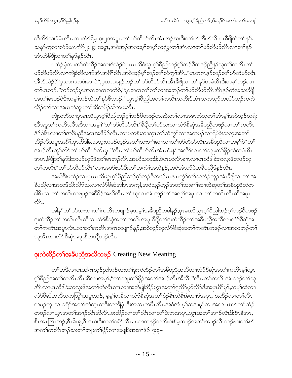ဆီလိ5်သးခံမံၤလိၤႉလၢလံ5်ရိမ့ၤ၃း၂ဂအပူၤ,တ႑်ပာ်တီဟ်လိၤအံၤဘဉ်ဃးဒီးတ႑်ပာ်တီဟ်လိၤပုၤဒီဖျိထဲတ႑်န5်, သန>်က့လၫလံာ်ယၤကိ5၂း၂၄ အပူၤ,အဝဲအုဉ်အသးမ့ၢ်တမ့ၢ်ကရှဲပွးတၫ်အံၤလၢတၫ်ပာ်တီဟ်လိၤလၢတၫ်နာ် အံၤဟဲခ်ီဖျိလၢတ႑်နာ်နဉ်လီး.

ပထံဉ်မုံလ<sup>ှ</sup>တ<sup>်</sup>ကဲထိဉ်အသးဒ်လဲဉ်ဖဲပုၤမၤလိဝဲယွၤဂ့<sup>၎</sup>ပိညါဘဉ်ဂ့<sup>၎</sup>ဘဉ်ဝိတဖဉ်ညီနှ<sup>၎</sup>သူတ႑်ကတိၤတ<sup>၎</sup> ဟ်တီဟ်လိၤလၢကျဲ့ခံဘိလၢာ်အံၤအဂိၢ်လိၤ.အဝဲသူဉ်မှၢ်ဘဉ်တၫ်သံကွၢ်အိၤ, "ပုၤတဂၤန္ဉာ်ဘဉ်တၫ်ဟ်တီဟ်လိၤ အီၤဒ်လဲဉ်?"ပုၤတဂၤကစံးဆၢဝဲ",ပုၤတဂၤန္ဉဉဘဉ်တ႑်ဟ်တီဟ်လိၤအီၤဒီဖျိလၢတ႑်နှာ်တမံၤ&ၤဒီးတမ့ၤ်ဘဉ်လၢ တၫ်မၤဘဉ် ပုံဘဉ်ဆဉ်ပုံ၊အဂၤတကကတဲဝဲ, မုံပုတကလ၂်လ၂်လ၊အဘဉ်တ႑်ပာ်တီဟ်လိၤအီၤန္ဉာ်ကဲအသးခ်ီဖြို အတ<sup>ျ</sup>မၤဒဉ်ဝဲဒီးတမ့<sup>ရ</sup>ဘဉ်ထဲတ<sup>ျ</sup>နှာ်<sup>ပွ</sup>ောဉ်."ယွၤဂ့ၢိပိညါအတၢ်ကတိၤသကိးဒ်အံၤတကလှာ်တယံာ်ဘဉ်ကကဲ ထိဉ်တ႑်လၫအမၤဘံဘူပတ႑်ဆိကမိဉ်ဆိကမးလိၤ**.** 

ကျဲတဘိလၢပုၤမၤလိယ္ပၤဂ့ါပီညါဘဉ်ဂ့ါဘဉ်၀ိတဖဉ်ဟးဆဲုးတၤ်လၢအမၤဘံဘူတၤ်အံၤမ့ါအဝဲသ့ဉ်တရံး ဃီၤဆူတၫ်ကတိၤလီၤဆီလၢအမ့ၢ်ဴ'တၫ်ပာ်တီဟ်လိၤ''ဒီဖျိတၢ်ပာ်သးလၢလံာ်စီဆုံအခ်ီပညီတဖဉ်လၢတၢ်ကတိၤ ဒံဉ်ခါ&လၢတၫ်အခီပညီအဂၤအဖိခိဉ်လီၤႉလၢပကစံးဆၢက္ၤတၫ်သံကွၤ်လၢအကမဉ်လၢရိမဲခဲးသလုံးအတၤ် သိဉ်လိအပူၤအဂိ်း,ပုၤထိဒါခဲးသလ့းတဖဉ်ဟ့ဉ်အတ႑်သးစ႑ာ်ဆၤလၤတ႑်ဟ်တိဟ်လိၤအခ်ီပညီလၤအမ့႑်ဝဲ''တ႑် အၫၣဴလီၤတူၫ်လိ်ာတ႑်ပာ်တီဟ်လိၤပုၤ"လီၤ.တ႑်ပာ်တီဟ်လိၤအံၤဟံးန္1်အလိၤ်လ႑တ႑်ဘျုးတ႑်ဖှိဉ်ထဲတမံၤ&ၤ အပူၤ,နီဖျိတౕ)နဉ်ဒီးတဟ်ဃှာ်ဒီးတౕါမၤဘဉ်လီၤ.အဃိသတးဒီး,ဖဲပုၤဟဲလီၤစ႑ၤလၢပုၤထိဒါခဲးကလူးဖိတဖဉ်သူ တၫ်ကတိၤ "တၫ်ပာ်တီပာ်လိၤ "လၢအပာ်ဃှာ်ဒီးတၫ်အကံၤ်အလဲနဉ်,အဝဲအံၤပာ်ဝဲအခ်ီပညီဒ်နဉ်လိၤ.

အဃိဒီးပထံဉ်လၢပုၤမၤလိယ္မၤဂ့်္ဂါ၀ိညါဘဉ်ဂ့်္ဂဘဉ်၀ိတဖဉ်မၤန႑ၤက္ဂံာ်တ႑်သဘံဉ်ဘုဉ်အံၤနိဖျိလၢတၤ်အ ခ်ီပညီလၫအတဒ်သိးလိ5်သးလ႑လံ5်စီဆုံအါပူၤအကျါႇအဝဲသ့ဉ်ဟ့ဉ်အတ႑်သးစ႑ါဆ႑ထဲဆူတ႑်အခ်ဳပညီထဲတ ခါ&ၤလၢတၫ်ကတိၤတဖျၫဉ်အဖိခိဉ်အဃိလီၤႉတ႑်ဃုထၢအံၤဟ္ဥတ႑်အလှၤ်အပ္ၤလၢတၤ်ကတိၤလီၤဆီအပူၤ ी.

အါန1်တ1်ဟ်သးလၢတ1်ကတိၤတဖျၢဉ်မှတမ့ါ်အခ်ဳပညီတခါနဉ်,ပုၤမၤလိယ္ဂၤဂ့ါပီညါဘဉ်ဂ့ါဘဉ်၀ီတဖဉ် ဒုးကဲထိဉ်တၫ်ကတိၤလီၤဆီလၢလံာ်စိဆုံအတ႑်ကတိၤအပူၤခ်ိဖျိတ႑်ဒုးကဲထိဉ်တ႑်အခ်ိပညီအသိလၢလံာ်စိဆုံအ .<br>တၫ်ကတိၤအပူၤလီၤႉလၢတၫ်ကတိၤအဂၤတဖျၢဉ်နဉ်,အဝဲသ့ဉ်သူလံာ်စီဆုံအတၫ်ကတိၤတဖဉ်လၢအတဘဉ်တ႑် သူအီၤလၢလံာ်စီဆုံအပူၤနီတဘိုုဘဉ်လီၤ.

#### **ဒုး**ကဲထိ**ဉ်တ<sup>ှ</sup>အခ်ဳပညီအသီတဖဉ်** Creating New Meaning

တၫ်အဒိလၫပုၤအါကသူဉ်ညါဘဉ်ဃးတ႑်ဒုးကဲထိဉ်တ႑်အခ်ဳပညီအသိလ႑လံဉ်စီဆုံအတ႑်ကတိၤမ့္ပ်ယွၤ ဂ့ါ်ပီညါအတါကတိၤလီၤဆီလၢအမ့ါ,"တၫ်ဘျုးတၫ်ဖှိဉ်အတၫ်အၫဉ်လီၤအီလီၤ"လီၤ.တၫ်ကတိၤအံၤဘဉ်တၫ်သူ အီၤလၢပုၤထိဒါခဲးသလူးဖိအတ႑်ဟဲလိၤစ႑ာလၢအတဲဖျါထိဉ်ယွၤအတ႑်ရလိဉ်မှာ်လိဉ်ဒီးအပုၤဂိ႑်မှ1်,တမ့႑်ထဲလ႑ လံာ်စီဆုံအသိတကကြူ်အပူၤဘဉ်, မ့မ့္ပ်တခ်ီလၢလံာ်စီဆုံအတၤ်စံဉ်စိၤတဲစိၤခဲလၢာ်အပူၤ, စးထိဉ်လၢတၤ်လီၤ ကမဉ်တုၤလၢခရံဉ်အတ႑်ဟဲက္ၤကဒီးတဘိုပုဲၤဒီးအလၤကပီၤလီၤႉအဝဲအံၤမ့္ပ်ံသဒၢမှၤ်လၢအက႑ာဃာ်တ႑်ထံဉ် တဖဉ်လၢယ္ပၤအတၫ်အၫဉ်လီၤအိလီၤ.စးထိဉ်လၢတၫ်လီၤလၢတၫ်ဒဲးဘးအပူၤ,ယွၤအတ႑်အၫဉ်လီၤဒီးစီၤနိအၤ, စီၤအာဘြၤဟဉ်,စီၤမိၤရ္ဒ,စီၤဒၤဝံးဒီးကစ1်ခရံဉ်လီၤ. ပကကနဉ်သကိးဝဲးစ်မ့ထ႑ဉ်အတၤ်အ႑ာ်လီၤဘဉ်ဃးတၤ်နဉ် အတ<sup>၎</sup>ကတိၤဘဉ်ဃးတ<sup>၎</sup>ဘျုးတ<sup>၎</sup>ဖိုဉ်လၢအဖျိဖဲအဆၢ<sup>8</sup>ဉ် ၇း၃–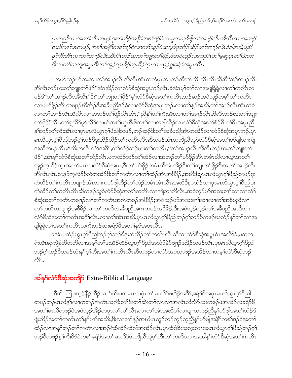ပုၤကညီလ႑အတ႑်လီၤကမဉ်,ဒုးကဲထိဉ်အနီ်ါကစ႑်ဒဉ်ဝဲလ႑မှုတသူခ်ိဖျိတ႑်အ႑ာ်လီၤအိလီၤလ႑အဘဉ် ဃးဒီးတ ်မၤတဖဉ်,ကစ ်အနီ်ကစ ်ဒဉ်ဝဲလ ၊တ ်သူဉ်မံသးမှာ်ဒုးအိဉ်ထိဉ်တ ်အ ၢဉ်လီၤခံခါတခါ,ပညီ နဂ်ကိုးအီၤလၢတ႑်အ႑ာ်လီၤအီလီၤဘဉ်ဃးတ႑်ဘူးတ႑်ဖိုဉ်,ဖဲအဝဲဟုဉ်သးကညီၤတ႑်မူဆူပုၤတ႑်အဲးဘး .<br>&လၫတ႑်သဘျအပူၤ ဒီးတ႑်အှဉ်က္ဥအိဉ်က္ဥအိဉ်က္ဥလ႑ယ္ပဉ်ရှူးခရံဉ်အပူ႑လို႕

ပကဟ်သူဉ်ဟ်သးလၢတၫ်အၫဉ်လီၤအီလီၤအံၤတတဲပုၤလၢတၫ်တိတၫ်လိၤလီၤလီၤဆီဆီ''တၫ်အၫဉ်လီၤ အီလီၤဘဉ်ဃးတၫ်ဘျုးတၫ်ဖိုဉ်"အံၤအိဉ်လၢလံာ်စီဆုံအပူၤဘဉ်လီၤႉခဲအံၤမ့ၢ်တၫ်လၢအဖျံရဲရှဲလၢတၫ်ကတိၤတ ဖဉ်ဒ်"တၫ်အၫဉ်လီၤအီလီၤ"ဒီး"တၫ်ဘျုးတၫ်ဖှိဉ်"မ့ၢ်လံာ်စီဆှံအတၫ်ကတိၤႇဘဉ်ဆဉ်အဝဲသ့ဉ်တမ့ၢ်တၫ်ကတိၤ လၢပဟ်ဖိုဉ်အီၤတဖျာဉ်ဃီအိဉ်ဒီးအခီပညီဒဉ်ဝဲလၢလံာ်စီဆုံအပူၤဘဉ် လၢတၢ်နဉ်အဃိ,တၢ်အၢဉ်လီၤအံၤတဲဝဲ လၢတၫ်အၫဉ်လီၤအီလီၤလၢအဘဉ်တၫ်ရဲဉ်လီၤအံၤႇ''ညီနုၤ်တၤ်ကိးအီၤလၢတၫ်အၫဉ်လီၤအီလီၤဘဉ်ဃးတၤ်ဘျုး တၫ်ဖိုဉ်"လီၤႉတၫ်ရှုလိ5်မှ5်လိ5်လၢပ႑်ကစ႑်ယွာဒီးဖိကစ႑်လၢအဖျါထိဉ်လၢလံ5်စီဆုံအတ႑်စံဉ်စိၤတဲစိၤအပူၤညီ နှၤ်ဘဉ်တၤ်ကိးအီၤလၢပုၤမၤလိယ္ဂၤဂ့ၤ်ပီညါတဖဉ်ႇဘဉ်ဆဉ်ဒီးတၤ်အခ်ီပညီအံၤတအိဉ်လၢလံာ်စီဆုံအပူၤဘဉ်ႉပုၤ မၤလိယ္မၤဂ့်္ဂါပီညါဘဉ်ဂ့်္ဂဘဉ်ဝီဒုးအိဉ်ထိဉ်တ်ကတိၤလီၤဆီတဖဉ်အံၤတဘျီဃီသူဝဲလံာ်စီဆုံအတၤ်ဟ်ဖျါလၢကျဲ အသီတဖဉ်လီၤ.ဒ်သိးကလီၤတံၲ်အဂိဵ််၊,တၢ်ထံဉ်ဘဉ်ဃးတၢ်ကတိၤႇ''တၢ်အၢဉ်လီၤအိလီၤဘဉ်ဃးတၢ်ဘျုးတၢ် ဖိုဉ်",အံၤမ့ါလံာ်စီဆုံအတၫ်ထံဉ်လီၤ.ပကထံဉ်ဘဉ်တၫ်ထံဉ်လၢအဘဉ်တၢ်ပာ်ဖိုဉ်အီၤတမံၤဃီလၢယ္ပၤအတ႑် အှဉ်က္ $\iota$ ဒီဉ်က္ $\iota$ အတၤ်မ $\iota$ လၢလံာ်စီဆုံအပူ $\iota,$ ဒီးတၤ်ပာ်ဖိုဉ်တမံ $\iota$ ဃီအံ $\iota$ အိဉ်ဒီးတၤ်ဘျူးတၤ်ဖိုဉ်ဒီးအတၤ်အၫဉ်လီ $\iota$ အီလီၤလီၤႉသန>်က့လံာ်စီဆုံတအိဉ်ဒီးတ႑်ကတိၤလၢတ႑်ထံဉ်အံၤအ<sup>88</sup>ခ််,အဃိဒီးပုၤမၤလိယ္ဂၤဂ့ၤ်ပီညါတဖဉ်ဒုး ကဲထိဉ်တၫ်ကတိၤတဖျာဉ်အံၤလၢကဟ်ဖျါထိဉ်တၫ်ထံဉ်တမံၤအံၤလီၤ.အဃိဒိး,ပထံဉ်လၢပုၤမၤလိယ္ဂၤဂ့ၢ်ပိညါဒုး ကဲထိဉ်တၫ်ကတိၤလီၤဆီတဖဉ်သူဝဲလံာ်စီဆုံအတ႑်ကတိၤလၢကျဲသၢဘိလီၤႉအဝဲသ့ဉ်ဟ်အသးစ႑ာ်ဆၢလၢလံာ် စီဆုံအတၫ်ကတိၤတဖျာဉ်လၢတၫ်ကတိၤအဂၤတဖဉ်အဖိ<sup>8</sup>ဉ်;အဝဲသ့ဉ်ဟ်အသးစၫ<sup>ှ</sup>ဆၢလၢတၫ်အခီပညီလၢ တၫ်ကတိၤတဖျာဉ်အဖိခိဉ်လၢတၫ်ကတိၤအခ်ီပညီအဂၤတဖဉ်အဖိခိဉ်;ဒီးအဝဲသ့ဉ်ဟ့ဉ်တၫ်အခီပညီအသိလၢ လံာ်စီဆုံအတ႑်ကတိၤအဂိ႑်လိၤႉလၢတ႑်အံၤအဃိႇပုၤမၤလိယ္စၤဂ့႑်ပိည္ပါဘဉ်ဂ့႑်ဘဉ်၀ိတဖဉ်ဃုထံဉ်န္ ါတ႑်လၢအ ဖျါရဲရဲလၫအတ႑်ကတိၤသကိႏဘဉ်ဃးခရံာ်ဖိအတ႑်နာ်အပူၤလီၤ.

ခဲအံၤပထံဉ်ယွၤဂုၤ်ပြီညါဘဉ်ဂုၤ်ဘဉ်ဝိဒုးကဲထိဉ်တၤ်ကတိၤလီၤဆီလၢလံာ်စီဆုံအပူၤဝံၤအလိၤ်ခံ,ပကတ ရံးဃီၤဆူကျဲခံဘိတဘိလၢအမ့္ပ်ာက္ပ်ားအိုဥထိဥယ္လ႑ဂ္န္က်ပြည္ပါအလံံ့ခ်ာပျဲျာဥဖဴးဒြဥတဖဥ္ဝလ်ိဳး ပုၤမၤလိယ္မ႑ဂ္န္က်ပြည္ပါ ဘဉ်ဂုၤ်ဘဉ်၀ိတဖဉ်ဟံးနှၤ်စ့ၤ်ကိုးအတၤ်ကတိၤလီၤဆိတဖဉ်လၤလံဉ်အကတဖဉ်အအိဉ်လၤတမ့ၤ်လံဉ်စီဆုံဘဉ် ್ಬಿ.

#### အ<mark>ါန<င်္ဂလိပ်စိဆုံအကျို</mark>ာ် Extra-Biblical Language

ထိဘိပကြားသ့ဉ်နိဉ်ထိဉ်လၢဒ်သိးပကမၤလၢပုဲၤတၫ်မၤလိဉ်ဖးဒိဉ်အင်္ဂါ,ခရံှာ်ဖိအပုၤမၤလိယ္ဂၤဂ့ၢ်ပီညါ တဖဉ်ဘဉ်မၤလိန္5်လၢကဘဉ်ကတိၤသကိႏတ5်ဒီးတ5်ဆဲးတ5်လၤလၢအလီၤဆီလိ5်သးတဖဉ်ဖဲအသိဉ်လိခရံာ်ဖိ အတ<sup>ျ</sup>မာလိတဖဉ်ဖဲအဝဲသ့ဉ်အိဉ်တပူၤလ႑်လ႑်လီၤ.လၢတ႑်အံၤအဃိပ႑်လၢပျ႑ာတဖဉ်ညီနု<sup>၎</sup>ပာ်ဖျါအတ႑်ထံဉ်ဒ် ဖျဲးထိဉ်အတၫ်ကတိၤတၫ်နှၤ်ပၢၢ်အသိး,ဒီးလၢတ႑်နှဉ်အဃိပုၤကူဉ်ဘဉ်ကူဉ်သူညီနှၤ်ဟ်ဖျါအနိံၤ်ကစၤ်ဒဉ်ဝဲအတ႑် ထံဉ်လၢအန†်ဘဉ်တ႑်ကတိၤလၢအဉ်ရံးစ်ထိဉ်ထဲလ်အအိဉ်လီၤ.ပုၤထီဒါခဲးသလ့းလၢအမၤလိယ္ဂၤဂ့ၤ်ပီညါဘဉ်ဂ့ၤ် ဘဉ်၀ီတဖဉ်စ့<sup>၎</sup>ကီးပိ၁်ဝဲကစ<sup>႑</sup>ရော်အတ<sup>၎</sup>မၤလိ၁်တဘျီဃီသူစ့<sup>၎</sup>ကီးတ႑်ကတိၤလၢအအါနှ<sup>၎</sup>လံာ်စီဆုံအတ႑်ကတိၤ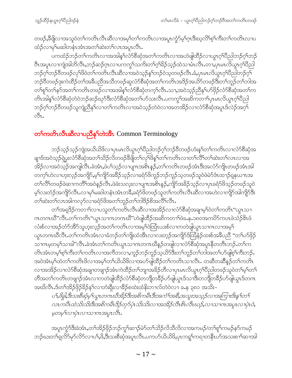တဖဉ်,နီဖျိလၫအသူဝဲတ႑်ကတိၤလီၤဆီလ႑အမ္နှ်တ႑်ကတိၤလ႑အပူၤက္ဂံဉ်မ္နှ်ဂူၤဒီးဃ့လိ႑်စ္နှ်ကိုးတ႑်ကတိၤလ႑ပ ထံဉ်လၢမှ1်မဆါတနံၤအံၤအတ႑်ဆဲးတ႑်လၤအပူၤလီၤ.

ပကထံဉ်ဘဉ်တၫ်ကတိၤလၢအအါန္1လံာ်စီဆုံအတ႑်ကတိၤလၢအဟဲဖျါထီဉ်လၢယွၤဂ္ဂၢိပိညါဘဉ်ဂုၤ်ဘဉ် ဗီၤအပူၤလၢကျဲအါဘိလီၤႇဘဉ်ဆဉ်ဂ္ၤလၢပကကွS်သကိႏတSဂ့်Sဉ်သ့ဉ်ထဲသၢမံၤလီၤႉတၢႇပုၤမၤလိယ္ဂၤဂ့S်ပိညါ ဘဉ်ဂ့ၢ်ဘဉ်၀ိတဖဉ်လှၤ်ဖိဝဲတၤ်ကတိၤလီၤဆီလၢအဝဲသူဉ်နှၤ်ဘဉ်ဝဲသူတဖဉ်လီၤ.ခံ,ပုၤမၤလိယ္ဂၤဂ့ၤ်ပိညါဘဉ်ဂူၤ ဘဉ်၀ိတဖဉ်ဒုးကဲထိဉ်တၫ်အခ်ိပညီအသိတဖဉ်ဆူလံာ်စိဆုံအတ႑်ကတိၤအဒိဉ်အယိာ်တဖဉ်ဒီးတ႑်ဘူဉ်တ႑်ဘါအ တၫ်ရှၫ်တ႑်နှာ်အတ႑်ကတိၤတဖဉ်လၢအအါနှၤ်လံာ်စီဆုံတက့ၤ်လီၤႉသၢႇအဝဲသ့ဉ်ညီနှၤ်ဟ်ဖိုဉ်လံာ်စီဆုံအတၤ်က တိၤအါန္1လံာ်စီဆုံတဲဝဲဘဉ်ဆဉ်ဃှာ်ဒီးလံာ်စီဆုံအတ႑်ပာ်သးလိၤ.ပကကွ ်အဆိကတ႑)ပုၤမၤလိယ္စၤဂ့်္ ပြီညါ ဘဉ်ဂ့ၢ်ဘဉ်၀ိတဖဉ်သူကျဲညီနှၤ်လၢတၤ်ကတိၤလၢအဝဲသ့ဉ်တဲဝဲလၢအတအိဉ်လၢလံာ်စီဆုံအပူၤဒ်လဲဉ်အဂ့ၤ် 031.

#### တ<sup>ှ</sup>ကတိၤလီးဆီလၢပညီနှ<sup>ှ</sup>တဲအိၤ Common Terminology

ဘဉ်သ့ဉ်သ့ဉ်ကျဲအယိယိဖိလ႑ပုၤမၤလိယ္မၤဂ့ౕၢပီညါဘဉ်ဂ့်ၤဘဉ်၀ီတဖဉ်ဟံးန်ၤ်တၤ်ကတိၤလ႑လံာ်စီဆုံအ ချာဒ်အဝဲသ့ဉ်ရဲပွးလံာ်စိဆုံအတ႑်သိဉ်လိတဖဉ်ခ်ီဖျိတ႑်လှ1်ဖိနှ1်တ႑်ကတိၤလ႑တ႑်လိြတ႑်ဆဲးတ႑်လၤလ႑အ အိဉ်လၢအဝဲသ့ဉ်အကျဲလီၤ.ခဲအံၤ,ဖဲပါသ့ဉ်လၢပျၤာအစိၤန္ဉာ်,တၢ်ကတိၤတဖဉ်အံၤဒီးအလံာ်ကျိၤတဖဉ်အံၤအါ တက္န္က်လြဲလ႑ဟူးလ္နဉ်အကျိဉ်,မ့္ပ်ကျိဉ်အခ်ိဳဉ်သူဉ်လ႑ခရံှာ်ဖိကူဉ်ဘဉ်ကူဉ်သူတဖဉ်သူဝဲဖဲမဲှာဒီၤထ႑ာ်ရှုနယ႑ၤအ တၫ်လိႝၤ်တဖဉ်ဖဲဆၤကတိႝၤ်အဝဲန္ဉာလိၤႉဖဲခဲးသလူးလၤပျ႑ာအစိၤန္ဥ်ႇကျိဉ်အခ်ိဉ်သူဉ်လၤပုၤခရံာ်ဖိသူဉ်တဖဉ်သူဝဲ မ့်ာလးတံဉ်အကျိဉ်လီၤႉလၢမု႞မဆါတနံၤအံၤတခ်ိဳႇခရံဉ်ဖိတဖဉ်သူတၤ်ကတိၤလီၤဆီလၢအဟဲလၢကျိဉ်အါကျိဉ်ဒီး တၫ်ဆဲးတၫ်လၤအါကလှာ်လၢခရံာ်ဖိအတ႑်ဘူဉ်တ႑်ဘါဒိဉ်စိအလိံၤလိၤ.

တၫ်အရှ3်ဉကတၫၢိလၢပသူတၫ်ကတိၤလီၤဆီလၢအအိဉ်လၢလံာ်စီဆုံအချာမ့ၢ်ဝဲတၫ်ကတိၤ''ယွၤသၢ ဂၤတဂၤဃီ"လီၤ.တၫ်ကတိၤ"ယ္ဇၤသၢဂၤတဂၤဃီ"ဟဲဖျါထိဉ်အဆိကတ႑်ဖဲခႉနုႉ၁၈၀အကပိဉ်ကပၤဖဲသံဉ်ဖိၤဖံ လံးစ်လၢအဉ်တံာ်အိာ်သူဟူးလှဉ်အတၫ်ကတိၤလၢအမှၫ်ဝဲထြံၤယးစ်လၢကတဲဖျါယွၤသၢဂၤလၢအမှ႑် ယွၤတဂၤဃီလီၤႉတၫ်ကတိၤအံၤလၢခံဘဉ်တၫ်ကျိုးထံအီၤလၢလးတ့ဉ်အကျိဉ်ဒ်ထြံနံဉ်ထးစ်အခ်ဳပညီ "တၫ်ပာ်ဖိုဉ် သၢဂၤမ္စ္သတ္မ္ပါသၢခါ"လိၤႇခဲ့အံၤတ႑်ကတိၤယ္ပၤသၢဂၤတဂၤဃိန္ဥ်တဖျါလၢလံၟစိဆုံအပူၤနိတတိၤဘဥ္ပ်ံႇတ႑်က တိၤအံၤတမ့ါစ့ါကီးတါကတိၤလၢအကီတလၢႇကူဉ်ဘဉ်ကူဉ်သ့ယိာ်ဒီးတါဘူဉ်တါဘါအတါဟ်ဖျိစ့ါကီးဘဉ်ႉ အဝဲအံၤမ့္ပ်ထဲတ႑်ကတိၤဖိလၢအမ့္ပ်တ႑်ယိယိဖိလၢအပာ်ဖျထိဉ်တ႑်ကတိၤသၢလိၤ. တဆီတဆီနဉ်တ႑်ကတိၤ လၢအအိဉ်လၢလံာ်စီဆုံအချาတဖျာဉ်အံၤကဲထိဉ်တၫ်ဘျာအခိဉ်တိလၢပုၤမၤလိယ္စၤဂ့ၫ်ပိညါတဖဉ်သူဝဲတ႑်မှု်တ႑် တိအတ႑်ကတိၤတဖျၫဉ်အံၤလၫကတဲဖျါထိဉ်လံာ်စိဆုံတဘျိတခ်ိဉ်ဟ်ဖျါယွၤဒ်သၢဒီးတဘျိတခ်ိဉ်ဟ်ဖျါယွၤဒ်တဂၤ အဃိလီၤ.ဒ်တၫ်အိဉ်ဖိုဉ်ခိဉ်န႑်လၢဘီးရိုးလၢခိဉ်စထဲးထံနိုးဘၢလ်တဲဝဲလၢ ခႉန ၃၈၁ အသိး–

ပ1,8ခ္ငါ,ဒီးသးစီဆုံမှ $\iota$ ယ္ဂၤတဂၤဃီအိဉ်ဒီးအစိကမိၤဒီးအကံ $\iota$ အစိ,အသူးအသုဉ်လ $\iota$ အကြ $\iota$ းဒိးန $\iota$ တ $\iota$ လၤကဗီၤထဲသိးသိးဒိုးအစိကမီၤဒိဉ်တုဉ်ပုံၤသိးသိးလၢအအိဉ်လီၤစိၤလိၤဃဉ်,လၢသၢကအပူၤလၢပုံၤ၀ဲ, မှတမှ ်လၢပုံၤလၢသၢကၤအပူၤလီၤ.

အပူၤက္ဂံာ်ဒီးခဲအံၤႇတၫ်အိဉ်ဖိုဉ်ဘဉ်ကွ႑်ဆ႑ာ်မဲာ်တ႑်သိဉ်လိသိလိလ႑အကမဉ်/တ႑်စူ႑်ကမဉ်နာ်ကမဉ် ဘဉ်ဃးတ႑်ရလိ၁်မု၁်လိ၁်လၢပ႑်,ဖိ,ဒီးသးစိဆုံအပူၤလီၤ.ပကပာ်ယိယိဖိ,ပှၤကရူၤ်ကရၢတနီၤဟ်အသးစ႑ာ်ဆၢအါ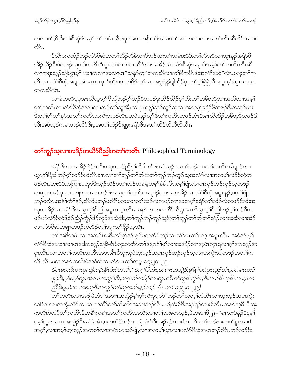တလၢပ1်,ဖိ,ဒီးသးစိဆုံဒ်အမှ္ကတ်ကမံၤဃိိ,ဖဲပုၤအဂၤတနိၤဟ်အသးစၢါဆၢတလၢလၢအတ႑်လိၤဆီလိ်ာအသး ी.

ဒ်သိးပကထံဉ်ဘဉ်လံာ်စီဆုံအတ႑်သိဉ်လိခဲလ႑ာ်ဘဉ်ဃးတ႑်တမံၤဃီဒီးတ႑်လီၤဆီလ႑ယ္မွာနှဉ်ႇခရံာ်ဖိ အိဉ်သိဉ်ဒီးစ်တဖဉ်သူတၫ်ကတိၤ"ယ္လၤသၢဂၤတဂၤဃိ"လၢအအိဉ်လၢလံာ်စီဆုံအချာဒ်အမှၢ်တၫ်ကတိၤလီၤဆီ လၫကဒုးသ့ဉ်ညါယွπမ့<sup>၎</sup>"သၫဂၤလၢအလၫပှဲၤ''သန>်က္"တဂၤဃီလၢတၫ်စိကမ်ိဳၤဒီးအကံၤ်အစီ''လီၤႉပသူတၤ်က တိၤလၢလံာ်စီဆုံအချာအံၤမၤစ႑ာပုၤဒ်သိးပကဟဲစိာ်တ႑်လၢအဒုးနဲဉ်ဖျါထိဉ်ပုၤတ႑်ဂူရဲရဲလီၤႉယ္နာမ္ ယွာသၢဂၤ တဂၤဃိလီၤ.

လၢခံတတိၤႇပုၤမၤလိယ္မၤဂ့ါပီညါဘဉ်ဂ့ါဘဉ်၀ိတဖဉ်ဒုးအိဉ်ထိဉ်စ့ါကီးတၫ်အခ်ဳပညီလၢအသိလၢအမ့္ပါ တၫ်ကတိၤလၢလံာ်စီဆုံအချာလၢဘဉ်တၫ်သူအီၤလၢပှၤကူဉ်ဘဉ်ကူဉ်သ့လၢအတမ့ၢ်ခရံာ်ဖိတဖဉ်ဒီးတဘဉ်ဃး <u>ဒီး</u>တၫ်ရုၤ်တ႑်နှာ်အတၤ်ကတိၤသကိႏတဖဉ်လိၤႉအဝဲသ့ဉ်လုၤ်ဖိတၤ်ကတိၤတဖဉ်အံၤဒီးမၤသိထိဉ်အခီပညီတဖဉ်ဒ် သိးအဝဲသုဉ်ကမၤဘဉ်လိ5်ဖိးဒ္ဒအတ႑်ထံဉ်ဒီးရဲပွးခရံာ်ဖိအတ႑်သိဉ်လိသီလိလီၤ.

## တ<sup>ှ</sup>ကူဉ်သ့လၫအဒိဉ်အယိ5်ပီညါ့အတှကတို Philosophical Terminology

ခရံာ်<sup>ဖွ</sup>လၢအအိဉ်ဖျဲ့ဉ်ကဒီးတစုတဖဉ်ညီနှၤ်ထီဒါတၤ်ဖဲအဝဲသ့ဉ်ပလၢၤ်ဘဉ်လၢတၤ်ကတိၤအါဖျၤဉ်လၢ ယ္လာဂ္<sup>ရ</sup>ပိညါဘဉ်ဂ့<sup>ရ</sup>ဘဉ်ပိဟဲလ်ိဳၤစ႑ာလၢတ<sup>ရ</sup>ဘူဉ်တ<sup>ရ</sup>ဘါဒီးတ<sup>ရ</sup>ကူဉ်ဘဉ်ကူဉ်သ့အလံာ်လၢအတမ့်<sup>ရ</sup>လံာ်စိဆုံတ ဖဉ်လီၤႉအဃိဒီး,ပကြၢးပတု႒်ဒီးဟ့ဉ်ထိဉ်ပတ႑်ထံဉ်တခါမှတမှၤ်ခံခါလီၤႉပမ့ၢ်ပုံံπလၢပုၤကူဉ်ဘဉ်ကူဉ်သ့တဖဉ် ကဆုၫကမဉ်ပုၤလၫကျဲလၫအတဘဉ်ဖဲအသူတၫ်ကတိၤအဖျၫဉ်လၫအတအိဉ်လၫလံာ်စိဆုံအပူၤန္ဉာ်,ပတၫ်ပျံၤ ဘဉ်ဝဲလီၤႉအနိ<sup>၎</sup>ကိ်<sup>႖</sup>နဉ်ႇထိဘိပဘဉ်ပလိႝၤ်ပသးလၢတ႑်သိဉ်လိကမဉ်လၢအတမ့ၢ်ခရံာ်တ႑်သိဉ်လိတဖဉ်ဒ်သိးအ သုတအိဉ်လၢခရံာ်ဖိအယွာဂ္ုံပိညါအပူၤတဂူၤလီၤႉသနာ်က္ႇတကတိိၢဃိဳႇပုၤမၤလိယွာဂ္ုံပိညါဘဉ်ဂ္ုံဘဉ်၀ိတ ဖဉ်ပာ်လံာ်စီဆုံဒ်စံဉ်ညီဉ်ကွိဉ်ဒိဉ်တှာ်အသိးဒီး,တၢ်ကူဉ်ဘဉ်ကူဉ်သွဒီးတၢ်ဘူဉ်တၢ်ဘါတၢ်ထံဉ်လၢအထိလၢအိဉ် လာလံာ်စိဆုံအချာတဖဉ်ကဲထိဉ်တၢ်ဘျုးတ<sup>၎</sup>ဖိုဉ်သလီး

တၫ်အဒိတမံၤလၢအဘဉ်ဃးဒီးတၫ်ဂ့ၢ်အံၤန္ဉာ်ပကထံဉ်ဘဉ်လၢလံာ်မၤတ႑် ၁၇ အပူၤလီၤႉ အဝဲအံၤမ့႑် လံာ်စီဆုံအဆၢလၢပုၤအါကသူဉ်ညါဖဲစီၤပီလူးကတိၤတၫ်ဒီးပုၤဂိၢ်မှၫ်လၢအအိဉ်လၢအ့ပံၤကူၤရူလၢ၀ှၫ်အၤသုဉ်အ ပူၤလီၤႉလၢအတၫ်ကတိၤတတိၤအပူၤႇစီၤပီလူးသူဝဲဟူးလ့ဉ်အပုၤကူဉ်ဘဉ်ကူဉ်သ့လၢအကွဲးထါတဖဉ်အတၫ်က တိၤလီၤ.ပကကနဉ်သကိဴးဖဲအဝဲတဲလၢလံာ်မၤတၫ်အပူၤ၁၇း၂၈–၂၉–

ဒ်ပ္1မ1ထါလ 1သုကျါတနိ1နိ1စံးဝဲအသိ:,"အဂ္ဂါဒ်အံ1,အစ 11အသွဲဉ်,မှ ါစ္ ါကီးပု1သွဉ်အံ1,ပဝဲ.မ1သးဒ် နှဉ်ဒီးမှ'ါပမ္ ါယွၤအစ႑ာအသွဲဉ်ဒီး,တဂူာဆိကမိဉ်လ႑ယွၤလီၤဂဉ်ထူဖိၤလွဲဖိၤ,ဒီးလ႑ါဖိၤလ့ဖိၤလ႑ပုၤက ညီစိုးပျာဝဲလၢအစုသ္ဒမီးအကူဉ်တ႑်သူအသိးနည်ဘဉ်–(မၤတ႑် ၁၇း၂၈–၂၉)

တၫ်ကတိၤလၫအဖျိဖဲအံၤ"အစπအသွဲဉ်မ့ှရစ်ကြီးပုၤ,ပဝဲ"ဘဉ်တ႑်သူတဲ့၂လံအီၤလၢဟူးလ့ဉ်အပုၤကွဲး ထါခံဂၤလၢအကွဲးလံာ်လၢဆၢကတိႝၤ်တဒ်သိးလိာ်အသးဘဉ်လီၤႉ–ချံသံးစ်ဒီးအဉ်ရဉ်ထၢးစ်လီၤႉသနာ်က့စီၤပီလူး ကတိၤဝဲလံာ်တၫ်ကတိၤဒ်အနိ<sup>၎</sup>ကစၫ်အတၫ်ကတိၤအသိးလၢတၫ်သးခူတလ့ဉ်,ဖဲအဆၢဖိ<sub>ု</sub>၉–"မၤသးဒ်နဉ်ဒီး,မ့<sup>၎</sup> ပမ့္ပ်ကားအစ႑ာအသွဲဉ်ဒီး…"ခဲအံၤႇပကထံဉ်ဘဉ်လၢချံသံးစ်ဒီးအဉ်ရဉ်ထၢးစ်ကတိၤတၫ်ဘဉ်ဃးကစၢ်စူၤအားစ် အဂ္န္ လ႑အမ္န္အျပားလုံဥအကစ႑်လ႑အမံၤဟူသဉ်ဖျံႇလ႑အတမ္န္အယ္မွာလ႑ပလံာ်စီဆုံအပူၤဘဉ်လိၤ.ဘဉ်ဆဉ်ဒီး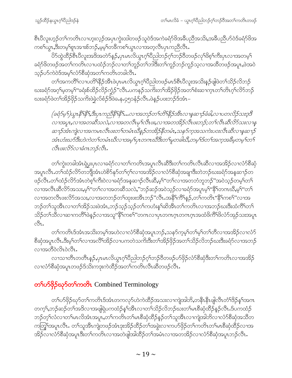စီၤပီလူးဟ့ဉ်တ<sup>၎</sup>ကတိၤလၢဟူးလ့ဉ်အပှၤကွဲးထါတဖဉ်သူဝဲဒ်အကဲခရံာ်ဖိအခ်ီပညီအသိး<sub>•</sub>အခ်ီပညီဟ်ဝဲဒ်ခရံာ်ဖိအ ကစၫ်ယွၤႇဒီးတမ့ၫ်စူၤအၢးစ်ဘဉ်ႇမ့မ့ၫ်တခ်ီကစၫ်ယွၤလၢအတဲ့လိၤပုၤကညီလိၤႉ

ပိ5်ထွဲထိဉ်စီၤပီလူးအဒိအတဲ5်နဉ်,ပုၤမၤလိယ္ဂၤဂ့ၢ်ပိညါဘဉ်ဂ့ၢ်ဘဉ်၀ိတဖဉ်လှၢ်ဖိစ့ၢ်ကီးပုၤလၢအတမ့ၢ် ခရံာ်<sup>8</sup>တဖဉ်အတ<sup>်</sup>ကတိၤလၢပထံဉ်ဘဉ်လၢတၫ်ဘူဉ်တၫ်ဘါ်ဒီးတၫ်ကူဉ်ဘဉ်ကူဉ်သွလၢအထိတဖဉ်အပူး,ဖဲအဝဲ သ္၄်ပာ်ကဲဝဲဒ်အမ္SလံာစီဆုံအတSကတိၤတခါလီၤ.

တၫ်အကတိႝၤ်လၢပတိၫ်နိၵိုအိၤဖဲပုၤမၤလိယ္ဂၤဂ့ၢ်ပီညါတဖဉ်မၤဒ်စီၤပီလူးအသိးန္ဉာိဖျံဖဲတ႑်သိဉ်လိဘဉ် ဃးခရံာ်အဂ္ဂါမှတမ့<sup>ရ</sup>"ခရံးစ်ထိဉ်လိဉ်က္ဉံဉ်"လီၤ.ပကနဉ်သက်ိဳးတ<sup>ရ်</sup>အိဉ်ဖှိဉ်အတ<sup>ရ</sup>စံးဆၫက္ၤတၢ်တိၤဂ့ၢ်လိာဘဉ် ဃးခရံှာ်ဖဲတၫ်အိဉ်ဖိုဉ်သက်းဖဲခဲ့လ်စံဉ်ဒိဖဲခႉနႇ၄၅၁နံဉ်လီၤႉဖဲနဉ်ပဖးဘဉ်ဒ်အံၤ–

(ခရံဉ်မှ1)ယွπနိ1နိ1,ဒီးပုπကညီနိ1နိ1…လၢအဘဉ်တ1်တိ1နိဉ်အီၤလၢနှဆ႑ာခံခါ,လၢပတလိုဉ်သးဒ္ဒဒိ လၢအပူး,လၢအတဆိသလဲ,လၢအတလိံးမု $\hat{}$ လိံးဖႏႇလၢအတအိဉ်လိံးဖူးဘဉ်;တ႑်လီးဆီလိ်ာသူးလၢနှ ဆ႑ာ်အံၤကျဲလ႑အကမၤလိၤဖးတ႑်တမံၤဃိနဉ်တအိဉ်နိတမံၤႇသနၥ်က္ခအသကဲးပဝးလိၤဆိလ႑နဆ႑ာ အံၤဟံးဃာ်ဒီးဟဲကဲတ ်ာပမံၤဃိလ ၊အမ္ ၊်ပုၤတဂၤဃိဒီးတ ၊်မူတခါဃိ,တမ္ ၊်ဒ်တ ၊်အက္ခအဓိမ္စတမ္ ၊်တ ၊် လီးပးလိ5်လၢခံဂၤဘဉ်လီး.

တၫ်ကွဲးတခါအံၤရဲပွးပုၤလၢခရံာ်လၢတၫ်ကတိၤအပူၤလီၤဆီဒီးတၫ်ကတိၤလီၤဆီလၢအအိဉ်လၢလံာ်စီဆုံ အပူၤလီၤႉတၫ်ထံဉ်လိာ်တဘိုုအံၤဟဲစိ9်နှ5်တၫ်ဂ့ၢ်လၢအအိဉ်လၢလံ9်စီဆုံအချာဒီးတဲဘဉ်ဃးခရံ9်အန္**ဆ**႑ာ်တ ဖဉ်လီၤ.တၫ်ထံဉ်လိာ်အံၤတဲစ့ၫ်ကီးဝဲလၢခရံာ်အန္**ဆၫှာ်လီၤဆိ,မ့**်ၢ"တၫ်လၢအတဘံဘူဘဉ်"အဝဲသု့ဉ်တမ့ၢ်တ႑် လၢအလီၤဆီလိာ်အသး,မ့<sup>၎</sup>"တၫ်လၢအတဆီသလဲ,"ဘဉ်ဆဉ်အ၀ဲသုဉ်လၢခရံာ်အပူၤမ့<sup>၎</sup>"နိ<sup>ု</sup>တကဃီ,မ့<sup>၎</sup>"တ႑် လၢအတလိၤဖးလိ်ာအသး,လၢအတဘဉ်တၫ်ထုးဖးအိၤဘဉ်"လိၤ.အနိ<sup>႖</sup>ကိႝ႖န္ၟၣ,တ႑်ကတိၤ"နိႝႝၤကစ႑်"လၢအ ဘဉ်တၫ်သူအိၤလၢတၫ်အိဉ်သးဖဲအံၤ,ဘဉ်သ့ဉ်သ့ဉ်တၫ်ကဟံးန<sup>ှ</sup>ါဆိအိၤတၫ်ကတိၤလၢအဘဉ်ဃးဒီးထံကိ်ၢတ႑် သိဉ်တၫ်သိလၢဆၢကတိႝၤ်ဖဲနဉ်လၢအသူ"နိ<sup>႖</sup>ကစ<sup>႖်</sup>"တဂၤလၢပုၤတဂၤဂ့ၤတဂၤဂ့ၤအထံဖိကိႝ<sup>႖်ဖွ</sup>လံာ်အုဉ်သးအပူၤ  $\mathcal{S}_1$ .

တၫ်ကတိၤဒ်အံၤအသိးတမ့ၢ်အဟဲလ႑လံာ်စီဆုံအပူၤဘဉ်ႇသနာ်က့မ့ၢ်တ႑်မ့ၢ်တ႑်တိလ႑အအိဉ်လ႑လံာ် စိဆုံအပူၤလီၤ.ဒီးမ့<sup>ရ</sup>တ႑်လၢအလိ႑်အိဉ်လ႑ပကတဲသက်ိးဒီးတ႑်အိဉ်ဖိုဉ်အတ႑်သိဉ်လိဘဉ်ဃးဒီးခရံာ်လ႑အဘဉ် လၫအတီ၀ဲလိၤ၀ဲလိၤ*.* 

လၫသၫတိၤတတိၤနဉ်,ပှၤမၤလိယ္ပၤဂ့ౕၢိပိညါဘဉ်ဂ့ౕၢဘဉ်၀ိတဖဉ်ပာ်ဖိုဉ်လံာ်စီဆုံဒီးတၤ်ကတိၤလၢအအိဉ် လၢလံာ်စီဆုံအပူၤတဖဉ်ဒ်သိးကဒုးကဲထိဉ်အတ႑်ကတိၤလီၤဆီတဖဉ်လီၤ.

## တ<sup>ှ</sup>ပ>်ဖိုဉ်ဃုာ်တ<sup>ှ</sup>ကတိုၤ Combined Terminology

တၫ်ပာ်ဖှိဉ်ဃုာ်တၫ်ကတိၤဒ်အံၤတကလုာ်ဟဲကဲထိဉ်အသးလၫကျဲအါဘိႇတနိၱၤနီၤဖျိလီၤတံၢိဒိဉ်နှၤ်အဂၤ တက့်) ဘဉ်ဆဉ်တ<sup>ြ</sup>အဒိလၢအဖျိရဲပကထံဉ်နှ<sup>ရ်အြီ</sup>းလၢတၫ်သိဉ်လိဘဉ်ဃးတၫ်မၤစိဆုံထိဉ်နဉ်လီၤ.ဒ်ပကထံဉ် ဘဉ်တ့််လံလၢတ်မၤလိအံၤအပူၤ,တၢ်ကတိၤတၢ်မၤစီဆုံထိဉ်နဉ်တၢ်သူအိၤလၢကျဲအါဘိလၢလံာ်စီဆုံအသိတ ကတြူ်အပူၤလီၤႉ တၫ်သူအိၤကျဲတဖဉ်အံၤဒုးအိဉ်ထိဉ်တၫ်အခွဲးလၢကဟ်ဖိုဉ်တၫ်ကတိၤတၫ်မၤစီဆုံထိဉ်လၢအ အိဉ်လၢလံာ်စီဆုံအပူၤဒီးတ႑်ကတိၤလၢအတဲဖျါအါထိဉ်တ႑်အမံၤလၢအတအိဉ်လၢလံာ်စီဆုံအပူၤဘဉ်လီၤ.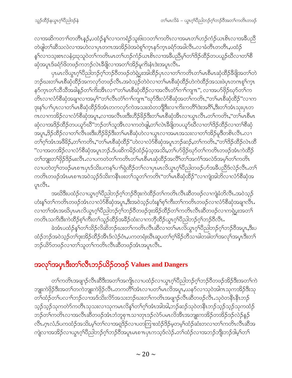လၫအဆိကတၫ်တတိၤန္ဉာ်ႇပထံဉ်နှၤ်လၫ၁ကရံဉ်သူး၆း၁၁တၤ်ကတိၤလၢအမၤတၤ်ဟဉ်ကံဉ်ယၤစိၤလၢအခ်ဳပညီ တဲဖျါတၫ်ဆီသလဲလၢအဟဲလၢပုၤတဂၤအအိဉ်ဖဲအဝဲစူၫ်က္ၤနှာ်က္ၤခရံာ်အခါလီၤ.လၢခံတိၤတတိၤ,ပထံဉ် နှ်လာ၁သူးစၤလနံ၄း၃သူဝဲတౕါကတိၤမၤတၢ်ဟဉ်ကံဉ်ယၤစိၤလၢအခ်ဳပညီမှ်ၤတၫ်ဒိဉ်ထိဉ်တပယူဉ်ဃီလၢတၢ်စိ ဆှံအပူၤဒ်ခရံာ်<sup>ဖွ</sup>တဖဉ်ကဘဉ်လဲၤဒီဖျိလၢအတ<sup>၎</sup>အိဉ်မူကိႏနံၤဒဲးအပူၤလိၤ<sup>့</sup>

ပုၤမၤလိယ္မၤဂ့ౕၢပဵညါဘဉ်ဂ့ౕၢဘဉ်၀ီတဖဉ်တဲရဲပွးအါထိဉ်ပုၤလၢတၤ်ကတိၤတၤ်မၤစီမၤဆုံထိဉ်ခဵိဖျိအတၤ်တဲ ဘဉ်ဃးတၫ်မၤစီဆုံထိဉ်အကလှာ်တဖဉ်လီၤ.အဝဲသ့ဉ်တဲဝဲလၢတၫ်မၤစီဆုံထိဉ်ဟဲကဲထိဉ်အသးဖဲပှၤတဂၤစူၫ်က္ၤ နဉ်က္ၤတၫ်သီသိအခါန္ဉာိတၫက်ိဳးအီၤလၫ''တၫ်မၤစီဆုံထိဉ်လၢအလီၤတံၢ်ဂၢၢ်ကျπ'', လၢအပာ်ဖှိဉ်ဃုာ်တၫ်က တိၤလၢလံာ်စိဆုံအချาလၢအမ့<sup>၎</sup>"တ႑်လီၤတံ႑်ဂၢၤ်ကျπ"ဃုာ်ဒီးလံာ်စိဆုံအတ႑်ကတိၤ,''တ႑်မၤစိဆုံထိဉ်"လၢက ဒုးနှၤ်ပၢၤ်ပုၤလၢတၤ်မၤစီဆုံထိဉ်ဒ်အံၤတကလုာ်ကဲအသးထဲတဘိုဒြီးလၢကိႏကတိၤ်ဒဲးအဂိ်ၤ,ဒီးတၤ်အံၤသုးပုၤတ ဂၤလၢကအိဉ်လၢလံာ်စီဆုံအပူၤ,လၢအလီၤဖးဒီးဟိဉ်ခိဉ်ဒီးတ႑်မၤစီဆုံအီၤလၢယ္ပၤလီၤ.တ႑်ကတိၤ,''တ႑်မၤစီမၤ ဆှံလၢအဒိဉ်ထိဉ်တပယူာ်ဃီ"ဘဉ်တ႑်သူအီၤလၢကတဲဖျါႇတ႑်လဲၤနီဖျိတပယူာ်ဃီလၢတ႑်ဒိဉ်ထိဉ်လၢတ႑်စီဆုံ အပူၤ,ဒိဉ်ထိဉ်လၢတၫ်လိၤဖးဒီးဟိဉ်ခိဉ်ဒီးတၫ်မၤစီဆုံဟဲလၢယ္ပၤလၢအမၤအသးလၢတၫ်အိဉ်မူဒီတစိၤလီၤ.လၢ တ<sup>႐</sup>ဂ္ဂါအံၤအ<sup>88</sup>ဉ်,တါကတိၤ,''တါမၤစီဆုံထိဉ်''ဟဲလၢလံာ်စီဆုံအပူၤဘဉ်ဆဉ်,တါကတိၤ,''တ<sup>၎ဌ</sup>ဉ်ထိဉ်လဲၤထိ "လၢအတအိဉ်လၢလံာ်စီဆုံအပူၤဘဉ်ႉဒ်ပဆိကမိဉ်ထံဉ်မှံသ့အသိးႇတၫ်ပာ်ဖှိဉ်ဃုာ်တ႑်ကတိၤတဖဉ်အံၤကဲထိဉ်' တၫ်ဘူးတၫ်ဖိုဉ်<sup>ဌ</sup>ဉ်မးလီၤ.လၢပကတဲတ႑်ကတိၤတ႑်မၤစီမၤဆုံထိဉ်အလိၤ်တ႑်အကဲၤ်အလဲဒ်အမ္ါာတ႑်ကတိၤ လၢပတဲတ့်ၫ်တဖဉ်မာစπပုာဒ်သိးပကနှၤ်ပၢၢိရဲထိဉ်တ႑်လၢပုာမာလိယွာဂ့ၤ်ပီညါတဖဉ်ပာ်အခီပညီဒ်လဲဉ်လီာ.တ႑် ကတိၤတဖဉ်အံၤမၤစၤၤအဝဲသ့ဉ်ဒ်သိးကနိၤဖးတ႑်သူတ႑်ကတိၤ''တ႑်မၤစီဆုံထိဉ်''လ႑ကျဲအါဘိလ႑လံာ်စိဆုံအ  $\varphi$ z $\mathcal{S}_1$ .

အဃိဒီးပထံဉ်လၢယ္ဂၤဂ့ၫ်ပိညါဘဉ်ဂ့ၫ်ဘဉ်၀ိဒုးကဲထိဉ်တ႑်ကတိၤလီၤဆိတဖဉ်လၢကျဲခံဘိလီၤ.အဝဲသ့ဉ် ဟံးန5်တ5်ကတိၤတဖဉ်အံၤလၢလံာ်စိဆုံအပူၤႇဒိီးအဝဲသ့ဉ်ဟံးန5်စ့5်ကိီးတ5်ကတိၤတဖဉ်လၢလံာ်စိဆုံအချာလီၤႉ လၢတၫ်အံၤအဃိပုၤမၤလိယ္ဇၤဂ့ၫ်ပီညါဘဉ်ဂ့ၫ်ဘဉ်၀ိတဖဉ်ဒုးအိဉ်ထိဉ်တ႑်ကတိၤလီၤဆီတဖဉ်လၢကရဲပွးအတ႑် ကတိၤသကိးဒီးကဲထိဉ်စ့<sup>၎</sup>ကိဳးတ႑်သူဉ်ထိဉ်အခ်ိဉ်ထံးလၢကဘိုထိဉ်ယွπဂ့<sup>၎</sup>ပိညါဘဉ်ဂ့<sup>၎</sup>ဘဉ်ဝီလီၤႉ

ခဲအံၤပထံဉ်နှၤ်တ႑်သိဉ်လိဆိဘဉ်ဃးတ႑်ကတိၤလီၤဆီလၢတ႑်မၤလိယ္ဇၤဂ္ฺါပီညါဘဉ်ဂ္႑်ာဘဉ်ဝီအပူၤ,ဒီးပ ထံဉ်ဘဉ်အဝဲသ့ဉ်တ႑်ဒုးအိဉ်ထိဉ်အီၤဒ်လဲဉ်ဝံၤႇပကတရံးဃီၤဆူပတ႑်ဂ္ဂါခိဉ်တိသၢခါတခါတ႑်အလှ႑်အပ္ $\mathfrak{1}$ ဒီးတ႑် ဘဉ်ယိ9်တဖဉ်လၢတ႑်သူတ႑်ကတိၤလီၤဆီတဖဉ်အံၤအပူၤလီၤ.

# အလှ<sup>င်</sup>အပှၤဒီးတ<sup>ှ</sup>လီၤဘဉ်ယိဉ်တဖဉ် Values and Dangers

တၫ်ကတိၤအဖျာဉ်လီၤဆီဒီးအတၫ်အကျိၤလၢပထံဉ်လၢယ္ပၤဂ့ၢ်ပိညါဘဉ်ဂ့ၢ်ဘဉ်၀ိတဖဉ်အိဉ်ဒီးအတၫ်ကဲ ဘျုးကဲဖှိဉ်ဒီးအတ႑်တကဲဘျုးကဲဖှိဉ်လီၤႉတကတိႝၤ်အံၤလၢပတ႑်မၤလိအပူၤႇယနဉ်လၢသုဝဲအါကသုကအိဉ်ဒီးသု တၫ်ထံဉ်တၫ်ပလၢၫ်ဘဉ်လၢအဒ်သိးလိ်ာအသးဘဉ်ဃးတ႑်ကတိၤအဖျာဉ်လီၤဆီတဖဉ်လီၤႉသုဝဲတနိၤနိၤဘဉ် သူဉ်သူဉ်သုကတဲာ်ကတိၤသုသးလၫသုကမၤလိန္ ်တ႑်ဂ္ာ်အားအါအါႇဘဉ်ဆဉ်သုဝဲတနိၤဘဉ်သူဉ်သုဉ်သုကထံဉ် ဘဉ်တၫ်ကတိၤလၢအလီၤဆီတဖဉ်အံၤဘံဘူစု႑ာသၢတုၤဒဉ်လဲာ်ပမၤလိအီၤအဘျုးကအိဉ်တအိဉ်ဒဉ်လဲဉ်နဉ် လီၤ.ဂ္ၤလံ,ဒ်ပကထံဉ်အသိး,မ့<sup>၎</sup>တ႑်လၢအရုဒိဉ်လၢပတကြၢးထံဉ်ဒိဉ်မ့တမ့<sup>၎</sup>ထံဉ်ဆံးတလၢတ႑်ကတိၤလီၤဆီအ ကျဲလၢအအိဉ်လၢယ္လၤဂ့ါပီညါဘဉ်ဂ့ါဘဉ်၀ီအပူၤမၤစπပုၤကသ့ဒ်လဲဉ်ႉတၫ်ထံဉ်လၢအဘဉ်ဘိုးဘဉ်ဒါမ့ၢ်တ႑်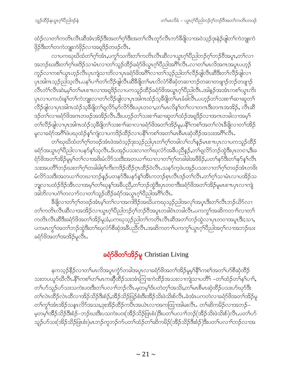ထံဉ်လၢတၫ်ကတိၤလီၤဆီအံၤအိဉ်ဒီးအတ႑်ဂ္ဂါဒီးအတ႑်လီၤတုဉ်လီၤကာ်ခ်ီဖျိလၢအဝဲသုဉ်ဒုးနဲဉ်ဖျဲတ႑်ကဲဘူူးကဲ ဖိုဉ်ဒီးတၫ်တကဲဘျုးကဲဖိုဉ်လၢအရှဒိဉ်တဖဉ်လီၤႉ

လၢပကၰဃိထံတၫ်ဂ့ၫ်အံၤႇပက္ဂ႑်သကိႏတ႑်ကတိၤလီၤဆီလၢယ္ပၤဂ့ၫ်ပီညါဘဉ်ဂ့ၫ်ဘဉ်ဝီအပူၤႇတ႑်လၢ အဘဉ်ဃးဒီးတၫ်ဂ့ၢိဖးဒိဉ်သၢမံၤလၢတ႑်သူဉ်ထိဉ်ခရံဉ်ဖိယွၤဂ့ၢ်ပီညါအဂ်ီၫလီၤႉလၢတ႑်မၤလိအဂၤအပူၤပဟ့ဉ် ကူဉ်လၢကစၫ်ယွာဟ့ဉ်လီာပုာကျဲသၢဘိလၢပုာခရံှာ်ဖိအဂိ်ါလၢတ႑်သူဉ်ညါတ႑်လီဉ်ဖျဲလီၤဆီဒီးတ႑်လီဉ်ဖျဲလၢ ပုၤအါဂၤသ့ဉ်ညါသ့လီၤႉပန1်ပ႑)တ1်လိဉ်ဖျါလီၤဆိ8ိဖျိတ1်မၤလိလံာ်စီဆုံတဆ႑ဘဉ်တဆ႑တဖျ႑ဉ်ဘဉ်တဖျ႑ဉ် လီၤတံႝၤလီၤဆဲး,မ့ါတါမၤစ႑ာလၢအရှ3ဉ်လၢပကသူဉ်ထိဉ်ခရံာ်ဖိအယွာၤဂ့ါပီညါလီၤ.အါနဉ်အအံၤကစါယွၤကိး ပုၤလၢပကဟံးနှၤ်တ႑်ကဲဘျုးလၢတ႑်လိဉ်ဖျါလၢပုၤအါဂၤထံဉ်သ့ခ်ိဖျိတ႑်မၤခံခါလီၤ.ပဟ္ဉဉ်တ႑်သးစ႑ာ်ဆ႑ဆူတ႑် လိဉ်ဖျါလၫပုၤအါဂၤထံဉ်သ့ခ်ိဖျိတ႑်ရှလိဉ်မှာ်လိဉ်ဒီးပပုၤတဝၢ,တ႑်မၤလိန္ ၊်တ႑်လ႑တဂၤဒီးတဂၤအအိဉ်, လီၤဆီ ဒဉ်တ႑်လၢခရံဉ်ဖိအဂၤတဖဉ်အအိဉ်လီၤ.ဒီးပဟ့ဉ်တ႑်သးစ႑ာ်ဆၢဆူတ႑်ထံဉ်အရှုဒိဉ်လၢအဂၤတခါလၢအမှ႑် တၫ်လိဉ်ဖျါလၫပှၤအါဂၤထံဉ်သ့ဒိီဖျိတ႑်သးစ႑ာ်ဆ႑လ႑ခရံဉ်ဖိအတ႑်အိဉ်မူႇပနိ႑်ကစ႑်အတ႑်လဲၤဒီဖျိလ႑တ႑်အိဉ် မူလၢခရံာ်အဂ်ိ<sup>ဂြဲပည</sup>ုထံဉ်နှၤ်ကျဲလၢပကဒိဉ်ထိဉ်လၢပနိ<sup>၎</sup>ကစၤ်အတၤ်မၤစိမၤဆုံထိဉ်အသးအဂိၤ်လိၤႉ

တၫ်ဃုဃိထံတ႑်ဂ့ၢ်တဖဉ်အံၤဖဲအဝဲသ့ဉ်ဒုးသ့ဉ်ညါပုၤတ႑်ဂ့ၢ်တခါလ႑်လ႑်နှဉ်မၤစ႑ာပုၤလၢပကသူဉ်ထိဉ် ခရံာ်အယွၤဂ့ါ်ပီညါလၢပနာ်န1်သလီၤ.ဒ်ပအုဉ်ပသးလၢတါဃုလံာ်အခ်ီပညီနဉ်,တ1်ရလိာ်ဘဉ်ထွဲဒီးပှၤတဝၢ,ဒီးခ ရံာ်ဖိအတ႑်အိဉ်မှုမ့္ပ်ာက်လ႑အဖိုးမံလိဉ်သးဒီးအတယ႑ာ်ဃ႑လ႑တ႑်ဂ္ဂါတခါခါအဖိခိဉ်,ပတ႑်နှာ်ဒီးတ႑်နာ်နှၤ်လီၤ သးအပတိႝ႞ဘဉ်ဃးတ႑်ဂ့႞တခါခါစ့႞ကိဳးကဒိဉ်ထိဉ်ဂ္ $\tau$ ထိဉ်ဝဲလိႆၤ.သနၥ်က့ဖဲပအှဉ်ပသးလ႑တ႑်ဂ့်္ဂတဖဉ်အံၤတဖိး မံလိ5်သးဒီးအတယၫၤ်တဃၢဘဉ်နဉ်ပတန5်ဒီးပန5်န1်အီၤကဘဉ်စုၤလီၤဒဉ်တၤ်လီၤ.တၤ်ဂ့ၤ်သၢမံၤလၢပအိဉ်သ ဘျလၢပထံဉ်<sup>ဌ</sup>ဉ်အီၤလၢအမ့<sup>၎</sup>တ႑်ဃုန္<sup>၎</sup>အဓိပညိႇတ႑်ဘဉ်ထွဲဒီးပုၤတဝၢဒိီးခရံဉ်ဖိအတ႑်အိဉ်မူမၤစ႑ာပုၤလၢကျဲ အါဘိလၢပဂံ်ါတလၢာ်လၢတၤ်သူဉ်ထိဉ်ခရံာ်အယွာဂ့ၢ်ပီညါအဂိၢ်လိၤ

နိၛိလၢတၫ်ဂ့ၢ်တဖဉ်အံၤမ့ၢ်တၫလၢအကါဒိဉ်အဃိပကဃုသုဉ်ညါအလှၤ်အပုၤဒီးတ႑်လီၤဘဉ်ယိ5်လၢ တၫ်ကတိၤလီၤဆီလၢအအိဉ်လၢယ္ပၤဂ့ၢိပိညါဘဉ်ဂ့ၢ်ဘဉ်၀ိအပူၤတခါဝံၤတခါလီၤႉပကကွၤ်အဆိကတ႑ာ်လၢတ႑် ကတိၤလီၤဆီဒီးခရံာ်ဖိအတၫ်အိဉ်မူ;ခံ,ပကဃုသ့ဉ်ညါတၫ်ကတိၤလီၤဆီအတၫ်ဘဉ်ထွဲလၢပုၤတဝၢအပူၤဒီး;သၢ, ပကမၤကွ<sup>၎</sup>အတ<sup>၎</sup>ဘဉ်ထွဲဒီးတ<sup>၎</sup>ဃုလံာ်စီဆုံအခ်ဳပညီလီၤႉအဆိကတ႑ါပကကွ<sup>၎</sup>ယွၤဂ့<sup>၎</sup>ပိညါအဂ့ါလ႑အဘဉ်ဃး ခရံဉ်ဖိအတ႑်အအိဉ်မှုလီၤ.

# ခရံှာ်<sup>8</sup>တ**်**အိဉ်မူ Christian Living

နကသ့ဉ်နိဉ်လၢတၢိမၤလိအပူၤက္ပံာ်တခါအပူၤလၢခရံာ်ဖိအတၤ်အိဉ်မူမ့ၤ်နိၤ်ကစၤ်အတၤ်ဟ်စီဆုံထိဉ် သးတပယူဉ်ဃီလီၤႉနိ<sup>၎</sup>ကစ႑်တ႑်မၤကဆိုထိဉ်သးအံၤကြၤးကဲထိဉ်အသးလၫကျဲသၢပတိႝ –တ႑်ထံဉ်တ႑်နှၤ်ပ႑ါ်**,** တၫ်ပာ်သူဉ်ဟ်သးသကဲးပ၀းဒီးတၫ်ပလၫၢ်ဘဉ်လီၤ.မ့တမ့ၢ်ဒ်ပတဲတ့ၫ်အသိႏႇတၫ်မၢစီမၤဆုံထိဉ်ပသးပာ်ဃုာ်ဒီး တၫ်လဲၤထိဉ်လဲၤထိလၢအိဉ်သိဉ်ဒီးစံဉ်ႇအိဉ်သိဉ်ဖြဉ်စံးဒီးအိဉ်သိးဖဲသိးစ်လီၤႉခဲအံၤပကတဲလၢခရံာ်ဖိအတၤ်အိဉ်မူ တၫ်ကွ<sup>ရ</sup>အံၤအိဉ်သနၤလိဉ်အသး,ဒုးအိဉ်ထိဉ်ကပ်ိဳၤအယဲၤလၢအကထြၢအါမႈလိၤႉ တၫ်ဆိကမိဉ်လၢအဘဉ်– မ့တမ့<sup>၎</sup>အိိဉ်သိဉ်ဒီးစံဉ်–ဘဉ်ဃးဒီးပသကဲးပ**း**(အိဉ်သိဉ်ဖြၤစံး)ဒီးပတၫ်ပလၢၫ်ဘဉ်(အိဉ်သိးဖဲသိးစ်)လီၤ.ပတၫ်ပဉ် သူဉ်ဟ်သး(အိဉ်သိဉ်ဖြၤစံး)မၤဘဉ်ကူဘဉ်က်ပတၫ်ထံဉ်တၫ်ဆိကမိဉ်(အိဉ်သိဉ်ဒီးစံဉ်)ဒီးပတၫ်ပလၢၫ်ဘဉ်လၢအ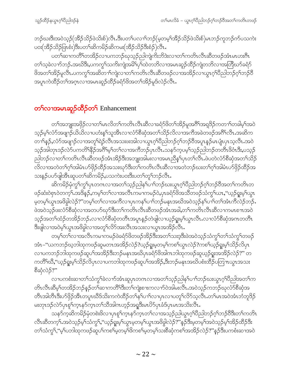ဘဉ်ဃးဒီးအဝဲသ့ဉ်(အီဉ်သိဉ်ဖဲသိးစ်)လီၤ.ဒီးပတ႑်ပလ႑)်ဘဉ်(မ့တမ့ှ်အီဉ်သိဉ်ဖဲသိးစ်)မၤဘဉ်ကူဘဉ်က်ပသကဲး ပ**း**(အိဉ်သိဉ်ဖြၤစံး)ဒီးပတ႑်ဆိကမိဉ်ဆိကမး(အိဉ်သိဉ်ဒီးစံဉ်)လိၤ.

ပတၫ်ဆၢကတိႝ႞တအိဉ်လၢပကဘဉ်ဃုသ့ဉ်ညှါကျဲကိုးဘိဒဲးလၢတၫ်ကတိၤလီၤဆီတဖဉ်အံၤမၤဟးဂီၤ တၫ်သ့ခဲလၫာ်ဘဉ် အဃိဒီး,ပကကွ ်သက်းကျဲအမိ်ပြက်ထဲတဘိလၢအမၤဆူဉ်ထိဉ်ကျဲတဘိလၢအတြိဃာ်ခရံာ် <sup>8</sup>အတၫ်အိဉ်မူလီၤ.ပကကွ<sup>ရ</sup>အဆိတၫ်ကျဲလၢတၫ်ကတိၤလီၤဆီတဖဉ်လၢအအိဉ်လၢယွၤဂ့ၢ်၀ီညါဘဉ်ဂ့ၢ်ဘဉ်၀ီ အပူၤကဲထိဉ်တၫ်အဂ္႑လၢအမၤဆူဉ်ထိဉ်ခရံာ်ဖိအတ႑်အိဉ်မူဒ်လဲဉ်လီၤ.

# တ<sup>ှ</sup>လၫအမၤဆူဉ်ထိဉ်တ**်** Enhancement

တၫ်အဘျုးအဖိုဉ်လၢတၫ်မၤလိတ႑်ကတိၤလီၤဆီလၢခရံှာ်ဖိတၫ်အိဉ်မူအဂိၢ်အရှဒိဉ်ကတ႑ာ်တခါမှၤ်အဝဲ သ့ဉ်မ့ၢ်လံာ်အဖျာဉ်ယိယိလၢပဟံးနှၤ်သူအီၤလၢလံာ်စီဆုံအတၤ်သိဉ်လိလၢအကီအခဲတဖဉ်အဂိၤ်လီၤ.အဆိက တၫႝနၵုိႇလံာ်အဖျာဉ်လၢအတူႝရဲဉ်လီၤအသးဖးအါလၢယ္ပၤဂ့ါပီညါဘဉ်ဂ့ါဘဉ်၀ိအပူၤနၵုိမၤပုုံ၊ပုၤသ့လီၤ.အဝဲ သူဉ်အါတုၤဒဉ်လဲဉ်ပကတိ<sup>ု</sup>နိဉ်အ<sup>8ှ</sup>မ့်ာတ်လၢအကီဘဉ်ပုၤလိၤႉသနဉ်ကူပမ့်<sup>၎</sup>သူဉ်ညါဘဉ်တတိၤဖိဝံၤဒိိး,ပသုဉ် ညါဘဉ်လၢတၫ်ကတိၤလိၤဆိိတဖဉ်အံၤအိဉ်ဒီးအဘျုးအါမးလၢအမၤညိန္ ၊်ပှၤတၫ်လိၤႉဖဲပတဲလံာ်စိဆုံအတ႑်သိဉ် လိလၢအတဲတၫ်ဂုၫ်အါမံၤပာ်ဖိုဉ်ထိဉ်အသးဃုာ်ဒီးတ႑်ကတိၤလီၤဆီလၢအတဲဘဉ်ဃးတ႑်ဂုၫ်အါမံၤပာ်ဖိုဉ်ထိဉ်အ သးန္5်ပပာ်ဖျါအီၤဆူပတၫ်ဆိကမိဉ်,ပသကဲးပ၀းဒီးပတၫ်တူၫ်ဘဉ်လီၤ.

ဆိကမိဉ်မုံကွ<sup>ရ</sup>ကွ<sup>ရ</sup>ပုၤတဂၤလၢအတ<sup>ရ</sup>သူဉ်ညါနှ<sup>ရ</sup>ပၢါဘဉ်ဃးယွၤဂ့ါပိညါဘဉ်ဂ့ါဘဉ်ပိအတ<sup>ရ</sup>ကတိၤတ ဖဉ်ဆံးဝဲစုၤဝဲတက့်ၫ်းအဒိန်ဉ်,ကမ့္ပါတ႑်လၢအလီၤကမ႑ကမဉ်ဝဲ,ပှၤခရံဉ်ဖိအသိတဖဉ်သံကွှျ်ယာ,''ယ့ဉ်ရူးမ့္ပ်ယွၤ မဲ့တမ့်ၫယ္ပၤအဖိခွါလဲဉ်?''တမ့္ပ်ာတ္၊လၢအကိလၢပုၤကန္ ၊်ပ႑)ဘဉ်မနုၤအဃိအဝဲသ္ဉ်န္ ၊်ပ႑)တ႑်အံၤကီလဲဉ်ဘဉ်. ဖဲအ၀ဲသ့ဉ်ဖးလံာ်စီဆှံလၢအတပာ်ဃုာ်ဒီးတ႑်ကတိၤလီၤဆီတဖဉ်အံၤအခါ,တ႑်ကတိၤလီၤဆီလၢကမၤစ႑ာအ၀ဲ သ့ဉ်အတၫ်ထံဉ်တအိဉ်ဘဉ်ႉလၢလံာ်စီဆုံတတိၤအပူၤန္ဉာ်တဲဖျါလၢယ့ဉ်ရှုးမ့ၢ်ယွၤလီၤႉလၢလံာ်စီဆုံအဂၤတတိၤ ဒီးဖျါလၫအဝဲမ့္ပ်ယ္ပၤအဖိခွါလ႑အတူ်လိ်ာအးလီၤအသးလ႑ယ္ပၤအအိဉ်လီၤ.

တမ့်ၢ်တ႑်လၫအလီၤကမ႑ကမဉ်ဖဲခရံှာ်ဖိတဖဉ်အိဉ်ဒီးအတ႑်သးဒ့ဒီးဖဲအဝဲသ့ဉ်သံကွ႑်တ႑်သံကွ႑်တဖဉ် အံၤ–''ယကဘဉ်ဃ့ဘါထုကဖဉ်ဆူမတၤအအိဉ်လဲဉ်?ယ့ဉ်ရှူးမ့တမ့်ၫ်ကစၢ်ယွၤလဲဉ်?ကစၢ်ယ့ဉ်ရှူးမ့ၢ်သိဉ်လိပှၤ လၢပကဘဉ်ဘါထုကဖဉ်ဆူပ<sup>၎</sup>အအိဉ်ဒီးဘဉ်မနုၤအဃိပှၤခရံာ်<sup>ဖွ</sup>အါကဘါထုကဖဉ်ဆူယ့ဉ်ရှုးအအိဉ်လဲဉ်?'' တ ကတိႝၤ်ဃိႇ''ယ့ဉ်ရူးမ့ၤ်သိဉ်လိပှၤလၢပကဘါထုကဖဉ်ဆူပၤ်အအိဉ်ႇဒီးဘဉ်မနုၤအဃိပစံးထိဉ်ပတြ πယွၤအသး စီဆုံလဲဉ်?"

လၢပကစံးဆၢတၫ်သံကွ<sup>ရ</sup>ခဲလၫာ်အံၤဆူပှၤတဂၤလၢအတ႑်သွဉ်ညါန<sup>ှ</sup>ုပၢ<sup>ရ</sup>ဘဉ်ဃးယွၤဂ့<sup>ရ</sup>ပီညါအတ႑်က တိၤလီၤဆီမ့<sup>ရ</sup>တအိဉ်ဘဉ်နဉ်တ<sup>5</sup>၊ဆၢကတိ<sup>ရာမွှ</sup>းတ်၊ကျဲးစၢးကလၫာ်ဝဲအါမးလီၤႉအဝဲသ့ဉ်ကဘဉ်ဃုလံာ်စိဆုံအ တိၤအါတီၤဒီးပာ်ဖိုဉ်အီၤတပူၤဃိဒ်သိးကကဲထိဉ်တ႑်နှၤ်ပ႑်လ႑ပုၤလ႑ပတူ႑်လိဉ်သူလီၤ.တ႑်မၤအဝဲအံၤဘံဘူဒိဉ် မးတုၤဒဉ်လဲာ်ပုၤစူ်က္ၤနာ်က္ၤတ႑်သိအါဂၤဟ္ဥာအရှုဒီးမၤတိဉ်ပုၤခံဒ်ပုၤမၤအသိးလိၤ

သန>်က့ဆိကမိဉ်မုံတစဲးဖိလၢပုၤစူၫ်က္ၤန>်က္ၤတၫ်လၢအသ့ဉ်ညါယ္လၤဂ့ၫ်ပီညါဘဉ်ဂ့ၢ်ဘဉ်၀ိဒီးတၫ်ကတိၤ လီၤဆီတက့်ౕ၊.အဝဲသ့ဉ်မ့<sup>၎</sup>သံကွ်၊,''ယ့ဉ်ရူးမ့<sup>၎</sup>ယွၤမ့တမ့<sup>၎</sup>ယွၤအဖိခွါလဲဉ်?''နဉ်ဒီးမ့တမ့်<sup>၎</sup>အဝဲသ့ဉ်မ့<sup>၎</sup>အိဉ်ထိဉ်ဒီး တၫ်သံကွ႑်,''မ့္ပ်ပဘါထုကဖဉ်ဆူပ႑်ကစ႑်မ့တမ့္ပ်ဖြကစ႑်မ့တမ့္ပ်သးစိဆုံကစ႑်အအိဉ်လဲဉ်?''န္ဉာဒီးပကစံးဆ႑အဝဲ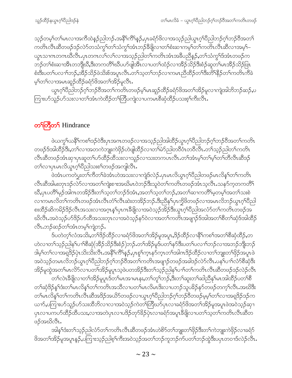သူဉ်တမ့ါ်တါမၤလၢအက်ိထဲနဉ်ညါဘဉ်ႉအနိ<sup>ု</sup>က်ိါနှဉ်ႇပုၤခရံာ်ဖိလၢအသုဉ်ညါယွၤဂ့ါပိညါဘဉ်ဂ့ါဘဉ်စိအတ<sup>ု</sup>၊ ကတိၤလီၤဆီတဖဉ်ဒဉ်လဲာ်တသံကွ<sup>ရ</sup>တ<sup>ရ</sup>သံကွ<sup>ရ</sup>အံၤဘဉ်<sup>8ွ</sup>ဖိုလၢတ<sup>ရ</sup>စံးဆၢကမ့<sup>ရ</sup>တ<sup>ရ</sup>ကတိၤလီၤဆီလၢအမ့<sup>ရ</sup>– ယ္ပၤသၢဂၤတဂၤဃီလီၤ.ပုၤတဂၤလၤ်လၤ်လၢအသ့ဉ်ညါတၤ်ကတိၤအံၤအခ်ီပညီနဉ်,တၤ်သံကွၤ်ဒ်အံၤတဖဉ်က ဘဉ်တၫ်စံးဆၢအိၤတဘျီဃိႇဒိးတကတိႝၤ်ဃိပဟ်ဖျါအိၤလၢပတၫ်ထံဉ်လၢအိဉ်သိဉ်ဒိီးစံဉ်ဆူတ႑်မၤအိဉ်သိဉ်ဖြၤ စံးဒီးပတၫ်ပလၫ်ာဘဉ်,အိဉ်သိဉ်ဖဲသိႏစ်အပူၤလီၤ.တ႑်သ့တ႑်ဘဉ်လ႑ကမၤညီထိဉ်တ႑်ဒီးတိ႑်နိဉ်တ႑်ကတိၤကီခဲ မ့္ပ်တ္ပါလၤအမၤဆူဉ်ထိဉ်ခရံှာ်ဖိအတၤ်အိဉ်မူလီၤ.

ယွၤဂ့ါ်ပီညါဘဉ်ဂ့ါဘဉ်ဝိအတါကတိၤတဖဉ်မ့ါမၤဆူဉ်ထိဉ်ခရံဉ်ဖိအတၤ်အိဉ်မူလၢကျဲအါဘိဘဉ်ဆဉ်ႇပ ကြားဟ်သူဉ်ဟ်သးလၢတၫ်အံၤကဲထိဉ်တၫ်တြိပကျဲလၢပကမၤစီဆုံထိဉ်ပသးစ့ၫ်ကီးလီၤ.

# တ<sup>ှ</sup>ကြီတှ Hindrance

ဖဲယကွS်ယနိ<sup>S</sup>ကစSဒဉ်ဝဲဒီးပုၤအဂၤတဖဉ်လၢအသ့ဉ်ညါအါထိဉ်ယွၤဂ့S်ပီညါဘဉ်ဂ့S်ဘဉ်ဝိအတS်ကတိၤ တဖဉ်ဒ်အါထိဉ်ဒီး,တ႑်လၢအတကဲဘျုးကဲဖိုဉ်ဟဲဖျါထိဉ်လၢတ႑်မဲဉ်ညါတဝိတံၤတဝိလိၤ.တ႑်သူဉ်ညါတ႑်ကတိၤ လီၤဆီတဖဉ်အံၤဆုၢပုၤဆူတၫ်ဟ်ထိဉ်ထိသးလၢသူဉ်လၢသးတကပၤလီၤ.တၫ်အံၤမ့ၫ်တ႑်မှၫ်တ႑်တိလီၤဆီဒဉ် တ႑်လၫပုၤမၤလိယ္ဂၤဂ့ဴၢပိည္ပါသးစ႑်တဖဉ်အကျါလီၤ.

ဖဲအံၤပကတဲပွးတၫ်ကိတၫ်ခဲအံၤဟဲအသးလၫကျဲဒ်လဲဉ်ႉပုၤမၤလိယ္ပၤဂ္ဂါပိညါတဖဉ်မၤလိန္ ါတၫ်ကတိၤ လီၤဆီအါမးတုၤဒဉ်လဲာ်လၢအတၫ်ကျဲးစၢးအဃိမၤဝဲဘဉ်ဒီးသူဝဲတၫ်ကတိၤတဖဉ်အံၤသ့လီၤႉသနာ်က့တကတိႝၤ ဃိဳ,ပုၤပတိႝ႞မုဉ်အါဂၤတအိဉ်ဒီးတ႑်သ့တ႑်ဘဉ်ဒ်အံၤႇအတ႑်သ့တ႑်ဘဉ်ႇအတ႑်ဆၢကတိႝၤမ့တမ့႑်အတ႑်သးစဲ ာ<br>ကာမၤလိတ်ၢ်ကတိၤတဖဉ်အံၤလီၤတံၢ်လီၤဆဲးတအိဉ်ဘဉ်.ဒီးညီနု၊်ပှၤက္ခိဖိတဖဉ်လၢအမၤလိဘဉ်ယွၤဂ့ၢ်ပီညါ စးထိဉ်ဆိကမိဉ်ဒိဉ်လီၤအသးလၢအဂ္ $\mathfrak{r}$ န်္ဂြပုၤကခ်ိဖျိလၢအဝဲသ့ဉ်အိဉ်ဒီးယွπဂ့ါပိညါအလံာ်တ႑်ကတိၤတဖဉ်အ ဃိလီၤႉအဝဲသ့ဉ်ဟ်<sup>8</sup>ဉ်ဟ်ထိအသးတုၤလၢအဝဲသ့ဉ်နဉ်ဝဲလၢအတ<sup>၎</sup>ကတိၤအဖျာဉ်ဒ်အါအတ<sup>ှ</sup>စိတౕါဆှံဒ်အါထိဉ် လီၤ.ဘဉ်ဆဉ်တၫ်အံၤတမ့ၢ်ကျဲဘဉ်.

ဒ်ပတဲတ့ၫ်လံအသိႏႇတၫ်ဒိဉ်ထိဉ်လၢခရံှာ်ဖိအတ႑်အိဉ်မူအပူၤႇဒိဉ်ထိဉ်လၢနိံြကစ႑်အတ႑်စီဆုံထိဉ်ႇတ ဟဲလၢတၫ်သူဉ်ညါန<်ပ႑ာ်စီဆုံ(အိဉ်သိဉ်ဒီးစံဉ်)ဘဉ်ႉတၫ်အိဉ်မှုဒ်ပတ႑်နှာ်ဒီးပတ႑်ပလ႑ာဘဉ်လ႑အဘဉ်ဘိုးဘဉ် ဒါမ့္ပ်တ္ျပာအရဒ္မွဴ၌ပုံၤသိးသိးလ်ိဳၤအနို<sup>၎</sup>က်ိဳးန္၄ိႇပုၤစူ<sup>၎</sup>က္ၤနာ်က္ၤတ္ပါအါဂၤဒိဉ်ထိဉ်လ႑တ္ပ်ာျူးတ္ပ်ဖိုဉ်အပူၤဖဲ အဝဲသ့ဉ်တမၤလိဘဉ်ယွၤဂ့ါပိညါဘဉ်ဂ့ါဘဉ်၀ိအတ1်ကတိၤအဖျာဉ်တဖဉ်အခါဒဉ်လဲ၁်လိၤ.ပန1်ပၢါလံ၁်စီဆုံဒီး အိဉ်မှုထွဲအတ<sup>ှ</sup>မာလိ5လၫပတ<sup>ြ</sup>အိဉ်မူပူးသဲ့ဖဲပတအိဉ်ဒီးတ<sup>ှ</sup>သေ့ဉ်ညါနှ<sup>င်ု</sup>ပၫ်တၫ်ကတိၤလီၤဆီတဖဉ်ဒဉ်လဲဉ်လီၤ

.<br>တၫ်လဲၤဒီဖျိလၢတၫ်အိဉ်မူပူၤဒ်တၫ်မၤအၢမၤနး,တၫ်တူၫ်ဘဉ်,ဒီးတၫ်ဆူးတၫ်ဆါညီနု<sup>႑်</sup>မၤအါထိဉ်ပတၫ်စီ တၫ်ဆုံဒိဉ်နှၤ်ဒီးတ႑်မၤလိန္1တ႑်ကတိၤအသိလ႑ပတ႑်မၤလိမၤဒိးလ႑ပဘဉ်သူပခိဉ်နှာ်တဖဉ်တက္႑်လီၤ.အဃိဒိုး တၫ်မၤလိန္ၫိတ႑်ကတိၤလီၤဆီအဒိဉ်အယိဉ်တဖဉ်လၢယ္ဂၤဂ့ၫ်ပိညါဘဉ်ဂ့ၫ်ဘဉ်၀ိတဖဉ်မ့မ့ၫ်တၫ်လၢအရှဒိဉ်ဒဉ်က ယၫာ်ႇပကြၢးဟ်သူဉ်ဟ်သးထိဘိလ႑လ႑အဝဲသူဉ်ကဲတ႑်တြိဃာ်ပုၤလ႑ခရံာ်ဖိအတ႑်အိဉ်မူအပူၤဖဲအဝဲသူဉ်ဆု႑ ပုၤလၢပကဟ်ထိဉ်ထိပသး,လၢအတဲပုၤလၢပဒိဉ်တုာ်ခိဉ်ပုဲၤလၢခရံာ်အပူၤခီဖျိလၢပတ႑်သ့တ႑်ကတိၤလီၤဆီတ ဖဉ်အဃိလီၤ.

အါန1်ဒံးတ1်သ့ဉ်ညါ့လံာ်တ1်ကတိၤလီၤဆီတဖဉ်အံၤဟဲစိာ်တ1်ဘျုးတ1်ဖှိဉ်ဒီးတ1်ကဲဘျုးကဲဖှိဉ်လၢခရံာ် ဖိအတၫ်အိဉ်မူအပူၤန္နဉ်ႇပကြၫးသ့ဉ်ညါစ့်ౕကီးအဝဲသ့ဉ်အတၤ်ဘဉ်ကူဘဉ်က်ပတၤ်ဘဉ်ထွဲဒီးပပှၤတဝၢဒ်လဲဉ်လီၤႉ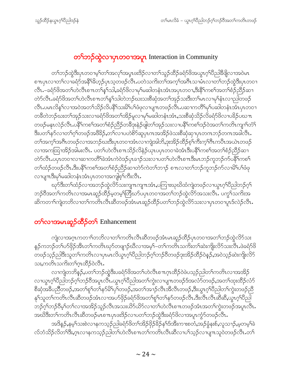# တ<sup>ှ</sup>ဘဉ်ထွဲလၫပုၤတဝၢအပူး Interaction in Community

တၫ်ဘဉ်ထွဲဒီးပုၤတဝၢမ့ၢ်တၫ်အလှၤ်အပူၤဖးဒိဉ်လၢတ႑်သူဉ်ထိဉ်ခရံာ်ဖိအယွπဂ့ၢိပိညါနိဖြိုလၢအဝဲမၤ စπပုၤလၢတၫ်လၢခရံာ်အနိ<sup>ု</sup>ဒ်ဟ္ဥပ်ပုၤသ့တဖဉ်လီၤ.ပတဲသကိႏတၫ်အက္ခၤ်အဂိၤသၢမံၤလၢတၫ်ဘဉ်ထွဲဒီးပုၤတဝၢ လီၤ.–ခရံှာ်ဖိအတၤ်ဟဲလီၤစ႑ာတ႑်န္ ၊်သါ,ခရံှာ်ဖိလ႑မှ ၊်မဆါတနံၤအံၤအပုၤတ၀႑,ဒီးနိံ ၊်ကစ႑်အတ႑်စံဉ်ညှိဉ်ဆ႑ တဲ9်လီၤ.ခရံှာ်ဖိအတ႑်ဟဲလီၤစ႑ာတ႑်န္ ှသါတဲဘဉ်ဃးသးစီဆုံအတ႑်အှဉ်သးဒီးတ႑်မၤလၢမှ႑်နံၤလ႑ာပါတဖဉ် လီၤ.ပမၤလိန္1လၫအဝဲအတ႑်သိဉ်လိပနိ႑်သးမိ႑ိပ႑်ဖံဖုလ႑ပျ႑ၤတဖဉ်လီၤ.ပဆ႑ကတိႝ႑မှ႑်ပဆါတနံၤအံၤပုၤတဝ႑ တခ်ီတဲဘဉ်ဃးတၫ်အုဉ်သးလၢခရံာ်ဖိအတ႑်အိဉ်မူလၢမုၫ်မဆါတနံၤအံၤႇသးစိဆုံသိဉ်လိခရံာ်ဖိလၢပခိဉ်ပဃၤာ တဖဉ်မနုၤလဲဉ်လီၤႉပနိ််ါကစဉ်အတ}်စံဉ်ညီဉ်တခ်ီဒုးနဲဉ်ဖျါတ}်အုဉ်သးလၢပနိ််ါကစဉ်ဒဉ်ဝဲအတှ်ကတိၤကျၫ်တံ်ြ ဒီးပတ႑်နဉ်လၢတ႑်ဂ့႑်တဖဉ်အဖိခိဉ်,တ႑်လၢပဟဲစိဉ်ဆူပုၤဂၤအအိဉ်ဖဲသးစိဆုံဆုၢပုၤတဂၤဘဉ်တဂၤအခါလီၤ. တၫ်အက့ၤ်အဂီၤတဖဉ်လၢအဘဉ်ဃးဒီးပှၤတဝၢအံၤလၢကျဲအါဘိႇဒုးအိဉ်ထိဉ်စ့ၢ်ကီးက့ၢ်ဂီၤကပိၤအယဲၤတဖဉ် လၢအကထြၢအိဉ်အါမးလီၤႉ ပတၫ်ဟဲလီၤစ႑ာသိဉ်လိနဲဉ်ယုၤပၦၤတဝၢခဲအံၤဒီးပနိႝၤ်ကစၤ်အတၤ်စံဉ်ညီဉ်ဆ႑ တဲာ်လီၤ.ပပုၤတဝၢလၢဆၢကတိႝ်ာခဲအံၤကဲဝဲဒဉ်ပုၤခၢဉ်သးလၢပတၤ်ဟဲလီၤစ႑ၤဒီးမၤဘဉ်ကူဘဉ်က်ပနိႝၤ်ကစၤ် တၫ်ထံဉ်တဖဉ်လီၤ.ဒီးပနိႝိၤကစၤ်အတၤ်စံဉ်ညှိဉ်ဆၢတဲာ်ကဲတၤ်ဘ႑ာ် စ႑ာလၢတၤ်ဘဉ်ကူဘဉ်က်လၢမိၤ်ပၤ်ဖံဖု လၢပျπဒီးမှ<sup>၎</sup>မဆါတနံၤအံၤပုၤတ၀ၢအကျါစ့<sup>၎</sup>ကီးလီၤ*ႉ* 

ၰာ်ဒီးတၫ်ထံဉ်လၢအဘဉ်ထွဲလိာ်သးကျπကျπအံၤႇပကြၫးဃုဃိထံကျဲတဖဉ်လၢယ္ဂၤဂ့ၢ်ပိညါဘဉ်ဂ့ၢ် ဘဉ်၀ီအတ႑်ကတိၤလၢအမၤဆူဉ်ထိဉ်မ့တမ့¶တြိဃာ်ပပုၤတဝၢအတ႑်ဘဉ်ထွဲလိာ်အသးလိၤႉ ပက္ဂ႑်သကိႏအ ဆိကတၫ်ကျဲတဘိလၢတၫ်ကတိၤလီၤဆီတဖဉ်အံၤမၤဆူဉ်ထိဉ်ပတၫ်ဘဉ်ထွဲလိ်ာသးလၢပုၤတဝၢပူၤဒ်လဲဉ်လီၤႉ

#### တ<sup>ှ</sup>လၫအမၤဆူဉ်ထိဉ်တှ Enhancement

ကျဲလၫအဂ္႑ကတ႑ၢ်တဘိလ႑တ႑်ကတိ႑လီ႑ဆီတဖဉ်အံၤမၢဆူဉ်ထိဉ်ပှၤတဝ႑အတ႑်ဘဉ်ထွဲလိ႒်သး နဉ်ကဘဉ်တၫ်ပာ်ဖှိဉ်အီၤတၫ်ကတိၤဃုာ်တဖျၫဉ်ဃီလၫအမှ<sup>၎</sup>–တၫ်ကတိၤသကိၤတၫ်ဆဲးကျိးလိာ်သးလိၤ.ဖဲခရံာ်ဖိ .<br>တဖဉ်သုဉ်ညါဒီးသူတ<sup>၎</sup>ကတိၤလၢပုၤမၤလိယွၤဂ့<sup>၎</sup>ပီညါဘဉ်ဂ့ၢ်ဘဉ်၀ိတဖဉ်ဒုးအိဉ်ထိဉ်ဝဲနဉ်,အဝဲသုဉ်ဆဲးကျိးလိ5 သး,ကတိၤသကိဴးတၫ်ဂ္ၤထိဉ်ဝဲလီၤ.

လၫကျဲတဘိန္ဥ်ႇပတၫ်ဘဥ်ထွဲဒီးပခရံှာ်ဖိအတ႑်ဟဲလီၤစ႑ာဂူာထိဉ်ဝဲဖဲပသူဉ်ညါတ႑်ကတိၤလ႑အအိဉ် လၫယ္မွၤဂုၤ်ပိညါဘဉ်ဂုၤ်ဘဉ်ဝိအပူၤလိၤႉယ္မွၤဂုၤ်ပိညါအတၤ်ကွဲးလၢပျ႑ာတဖဉ်ဒ်အလံာ်တဖဉ်ႇအတၤ်ထုးထိဉ်လံာ် စီဆုံအခ်ဳပညီတဖဉ်,အတၫ်စူၫ်တ႑်နာမိ႑်ပှ႑်တဖဉ်,အတ႑်အ႑ာ်လီၤအီလီၤတဖဉ်,ဒီးယွၤဂ့ၢိပီညါတ႑်ကွဲးတဖဉ်ညီ နုၫ်သူတ႑်ကတိၤလီၤဆီတဖဉ်အံၤလၢအပာ်ဖှိဉ်ခရံဉ်ဖိအတ႑်စူၫ်တ႑်နာ်တဖဉ်လီၤ.ဒီးလီၤလီၤဆီဆီ,ယွၤဂ့ၢ်ပီညါ ဘဉ်ဂ့ၢ်ဘဉ်၀ိမ့ၢ်တၢ်လၢအအိဉ်သူဉ်လီၤအသးယိ5်ယိ5်လၢတၤ်ဟဲလီၤစ႑ာတဖဉ်အံၤအတၤ်ကွဲးတဖဉ်အပူၤလီၤ. အဃိဒီးတၫ်ကတိၤလီၤဆီတဖဉ်မၤစ႑ာပုၤဖးဒိဉ်လ႑ပတ႑်ဘဉ်ထွဲဒီးခရံာ်ဖိလ႑အပူၤက္ငံာ်တဖဉ်လီၤႉ

အဒိန္ဉာ်,နမ့္သားစဲလ႑နကသ့ဉ်ညါခရံာ်ဖိတ႑်အိဉ်ဖိုဉ်ခိဉ်န႑်ဒ်အီးက႑းစတံ,အဉ်ခွံနးစ်,လူသ႑ဉ်,မ့တမ့္]ခဲ လ်ဘံသိဉ်လိတ်ဒြိး,ဂ္ဂၤလၫနကသ့ဉ်ညါတ်ဟဲလိၤစ႑ာတာ်ကတိၤလီၤဆီလ႑ပါသ့ဉ်လ႑ပျ႑ာသူဝဲတဖဉ်လီၤ.တ႑်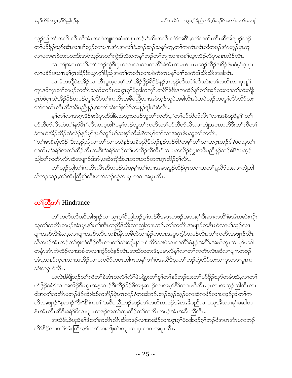သ့ဉ်ညါတၫ်ကတိၤလီၤဆီအံၤကကဲဘျုးတဆံးတစုၤဘဉ်ႉဒ်သိးကလီၤတံၫ်အဂိ်ၫ်,တၫ်ကတိၤလီၤဆီအါဖျၫဉ်ဘဉ် တၫ်ပာ်ဖိုဉ်ဃှာ်အီၤလၢပၫ်သူဉ်လၢပျπအံၤအလိ႑်ခံႇဘဉ်ဆဉ်သန5်က့ႇတ႑်ကတိၤလီၤဆီတဖဉ်အံၤဟူဉ်ပုၤကျဲ လၢပကမၤစဲဘူးပသးဒီးအဝဲသ့ဉ်အတၫ်ကွဲးဒ်သိးပကန႑်ဘဉ်တၫ်ဘျုးလၢကစ႑်ယွၤသိဉ်လိပ္ၤမနုၤလဲဉ်လီၤ. လၫကျဲအဂၤတဘိႇတၫ်ဘဉ်ထွဲဒီးပုၤတဝၢလၢဆၢကတိႝၫ်ခဲအံၤကမၤစၫၤမၤဆူဉ်ထိဉ်ဖးဒိဉ်ဖဲပဝဲမ့ၢ်ဂ္ၤပုၤ လၢပခိဉ်ပဃၤမ္နာ်ဂူၤအိဉ်ဒီးယွၤဂ့ါပီညါအတ႑်ကတိၤလၢပဝဲကိုးဂၤပန1်ပ႑)သကိုးဒ်သိုးသိုးအခါလီၤ.

လၢခံတဘိုုဖဲနအိဉ်လၢတိၤပူၤမ့တမ့်ၢ်တၫ်အိဉ်ဖိုဉ်ရိဖိုဉ်နဉ်,ကနဉ်လီၤတံၢ်လီၤဆဲးတၢ်ကတိၤလၢပုၤစူၫ က္နာနာ်ကူာတၫ်တဖဉ်ကတိၤသကိႏဘဉ်ဃးယွာဂ္ဂၢိပီညါတက္နၤ်တစိၫ်ဖိဒီးနကထံဉ်နှၤ်တၫ်အှဉ်သးလၢတ႑်ဆဲးကျိုး ဂ္ဂၤဝဲဖဲပုၤဟဲအိဉ်ဖိုဉ်တဖဉ်တှ၊်လိ5်တ႑်ကတိၤအခ်ီပညီလ႑အဝဲသ္ဉာ်သူဝဲအခါလီၤ.ဖဲအဝဲသ္ဉာ်တတူ႑်လိ5်လိ5်သး တၫ်ကတိၤလိၤဆိအခ်ဳပညီနဉ်,အတ႑်ဆဲးကိုုးလိ်ာသးနဉ်ဖျံဃံးဝဲလိၤႉ

မ့်ၢတၢိလၢအဂ္ဂၤဒိဉ်မးဖဲပုၤထိဒါခဲးသလူးတဖဉ်သူတၢ်ကတိၤႇ''တၫ်ဟ်တီဟ်လိၤ''လၢအခ်ီပညီမ့်၊''တ႑် ပာ်တီဟ်လိၤထဲတၫ်နာ်&ၤ"လီၤ.တဂ္ဂၤဓါ?ပမ့ၢ်ဘဉ်သူတၫ်ကတိၤတၫ်ဟ်တီဟ်လိၤလၢကျဲအဂၤတဘိဒီးတၫ်ကီတ႑် ခဲကဟဲအိဉ်ထိဉ်ထဲလဲဉ်နဉ်မှ'်နပာ်သူဉ်ပာ်သးစ့'်ကီးဒါ'?တမ့'်တ'်လၢအဂ္ဂၤဖဲပသူတ'်ကတိၤ,

''တၫ်မၤစီဆုံထိဉ်''ဒီးသ့ဉ်ညါလၫတၫ်လၫပတဲနှဉ်အခီပညီဒ်လဲဉ်နဉ်ဘဉ်ငါး'တမ့ၢ်တၫ်လၢအဂ္ဂၤဘဉ်ငါး'ဖဲပသူတ႑် ကတိၤႇ''ခရံဉ်အတၫ်ဆိဉ်လီၤသးဒိး''ခရံဉ်ဘဉ်တၫ်ပာ်ထိဉ်ထိအိၤ''လၢပတလိဉ်ရဲပွးအခ်ီပညိန္ဉာ်ဘဉ်ဓါ?ဒ်ပသ္ဉာ် ညါတၫ်ကတိၤလီၤဆီအဖျာဉ်ဒ်အါ,ပဆဲးကိုုးဒီးပုၤတဂၤဘဉ်တဂၤဂ္ဂၤထိဉ်စ့ၢ်လိၤ.

တၫ်သ့ဉ်ညါတၫ်ကတိၤလီၤဆီတဖဉ်အံၤမ့မ့ၫ်တၫ်လၢအမၤဆူဉ်ထိဉ်ပှၤတဝၢအတ႑်ရလိဉ်သးလၢကျဲအါ ဘိဘဉ်ဆဉ်,တၫ်အံၤတြိစ့ၫ်ကီးပတၫ်ဘဉ်ထွဲလၢပုၤတဝၢအပူၤလီၤ.

# တ<sup>ှ</sup>တြိတ် Hindrance

တၫ်ကတိၤလီၤဆီအါဖျာဉ်လၢယွၤဂ့ါပီညါဘဉ်ဂ့ါဘဉ်၀ီအပူၤတဖဉ်အသးပှါဒီးဆၢကတိႝါခဲအံၤပဆဲးကျိး သူတၫ်ကတိၤတဖဉ်အံၤပုၤနှၤ်ပၢၤ်အိၤတညီဒ်သိးလၢညါလπဘဉ်ႉတၤ်ကတိၤအဖျာဉ်တနိၤဟဲလၢပၤ်သ့ဉ်လၢ ပျπအစိၤဒီးခဲးလူးလၫပျπအစိၤလီၤ.တနိၱၤနိၤတခ်ိဳဟဲလၫနံဉ်ကယၤအပူၤကွံာ်တဖဉ်လီၤ.တၫ်ကတိၤအဖျၫဉ်လီၤ ဆီတဖဉ်အံၤဘဉ်တၫ်ဒုးကဲထိဉ်အိၤလၢတ႑်ဆဲးကျိးနှၤ်ပၢၤ်လိ5်သးဖဲဆၢကတိႝၤ်ဖဲနှဉ်အဂိါ်,အဃိတုၤလၢမှၤ်မဆါ တနံၤအံၤကဲထိဉ်လၢအခါတလၢက္ဂံာ်လံန္ဉာ်လီၤ.အဃိသတးဒီး,ပမၤလိန္1်လၢတ႑်ကတိၤလီၤဆီလၢပျ႑ာတဖဉ် အံၤႇသနၥ်က္နပုၤလၢအအိဉ်လၢပကၓိာ်ကပၤအါဂၤတန5ပၢြ၀ဲအဃိဒီးႇပတ9်ဘဉ်ထွဲလိာ်သးလၢပုၤတ၀ၢပူၤက ဆံးကစုၤဝဲလီၤ.

ယလဲၤဒီဖျိဘဉ်တၫ်ကိတၫ်ခဲအံၤတလိႝၤလိႝၤဖဲပရဲပွးတ႑်စူၫ်တ႑်နာ်ဘဉ်ဃးတ႑်ပာ်ဖိုဉ်ဃှာ်တမံၤဃိႆႇလၢတ႑် ပာ်ဖိုဉ်ခရံာ်လၢအအိဉ်ဒီးယွၤအန္နဆ႑ာ်ဒီးဟိဉ်ခိဉ်ဖိအန္နဆ႑ာ်လၢအမှ့ၢ်နိ့် ကကဃီလီၤ.ပုၤလၢအသုဉ်ညါကီၤလၤ ဝါအတ႑်ကတိၤပဘဉ်ဖိဉ်ထဲးစံးစ်ကအိဉ်ပုံၤဂၤလဲဉ်?တအါဘဉ်ႉဘဉ်သ့ဉ်ပက္ကဆိကမိဉ်လၢပသူဉ်ညါတ႑်က တိၤအဖျာဉ်''နဆၢဉ်''ဒီး''နိ<sup>၎</sup>ကစ<sup>႖</sup>''အခ်ဳပညှိႇဘဉ်ဆဉ်တ႑်ကတိၤတဖဉ်အံၤအခ်ဳပညီလၢပသူအိၤလၢမှၢ်မဆါတ နံၤအံၤလီၤဆီဒီးခရံာ်ဖိလၢပျ႑တဖဉ်အတၫ်ထုးထိဉ်တ႑်ကတိၤတဖဉ်အံၤအခ်ဳပညီလီၤႉ

အဃိဒီး,ဖဲပညီန1်ဒီးတ1်ကတိၤလီၤဆီတဖဉ်လၢအအိဉ်လၢယွၤဂ့ါပီညါဘဉ်ဂ့ါဘဉ်၀ိအပူၤအံၤပကဘဉ် တိ<sup>ု</sup>နိ5ုလၫတၫ်အံၤတြိဃာ်ပတ႑်ဆဲးကျိုးဆဲးကျ႑လၫပုၤတဝၢအပူၤလိၤ.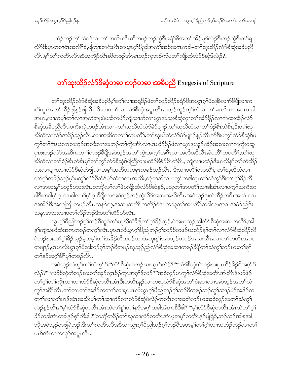ပထံဉ်ဘဉ်တ့ၢ်လံကျဲလၢတၫ်ကတိၤလီၤဆီတဖဉ်ဘဉ်ထွဲဒီးခရံာ်ဖိအတၫ်အိဉ်မူဒ်လဲဉ်ဒီးဘဉ်ထွဲဒီးတၢ်ရှ လိ5်ဒီးပှၤတဝၢဝံၤအလိ်<sup>ရ</sup>ခံ,ပကြၫးတရံးဃိၤဆူယွၤဂ့ါပိညါအကံ<sup>ရ်</sup>အစီအဂၤတခါ–တၫ်ထုးထိဉ်လံာ်စီဆုံအခ်ီပည် လီၤ.မ့္ပ်တ္ပ်ကတိၤလီၤဆီအကျိဉ်လီၤဆီတဖဉ်အံၤမၤဘဉ်ကူဘဉ်က်ပတ႑်ကျိုးထံလံာ်စီဆုံဒ်လဲဉ်?.

# တ**်္ာ**ထုံးထိ**ဉ်**လံာ်စိဆုံတဆ႑ဘဉ်တဆ႑အခ်ဳပညီ Exegesis of Scripture

တၫ်ထုးထိဉ်လံာ်စီဆုံအခ်ဳပညီမ့<sup>၎</sup>တ႑်လၢအရုဒိဉ်ဖဲတ႑်သူဉ်ထိဉ်ခရံာ်ဖိအယွπဂ့<sup>၎</sup>ပိညါခဲလၫာ်ခီဖျိလၢက ၜၫၳယ္ပၤအတ႑်လိႆဉ်ဖျနာ်ဖျလိၤလိၤကတ႑ာလ႑လံာစိဆုံအပူၤလိၤ.ပတ္ဝ်ကူဉ်တ္႑်လံလ႑တ႑်မၤလိလ႑အကတခါ အပူး,လၫကမ့<sup>၎</sup>တ႑်လၫအကဲဘျုးဖဲပဆိကမိဉ်ကျဲသၫဘိလၫယွၤအသးစိဆှံဆှၫတ႑်အိဉ်ဖိုဉ်လ႑ကထုးထိဉ်လံဉ် စိဆုံအခ်ိပညီလီၤ.ပကိးကျဲတဖဉ်အံၤလၢ–တၫ်ဃုဃိထံလံာ်မဲာ်ဖျၫဉ်,တၫ်ဃုဃိထံလၢတၫ်စံဉ်စိၤတဲစိၤ,ဒီးတ႑်ဃု ဃိထံလၢလံာ်အခိဉ်သုဉ်လီၤႉလၢအဆိကတၫ်ာတပတိိၤ,တၢ်ဃုဃိထံလံာ်မဲာ်ဖျာဉ်နဉ်လီၤက်ဒီးပကွၤ်လံာ်စီဆုံဒ်ပ ကွ်က်ဂါဂီးဃံလၤတဘ့ဉ်အသိးလၢအဘဉ်တၢ်ကွဲးအီၤလၢပှၤဟိဉ်ခိဉ်ဖိလၢယွၤဒုးဆူဉ်ထိဉ်အသးလၢကကွဲးဝဲဆူ ပုၤဖးဘဉ်လံာ်အဆိကတ႑ာ်တဖဉ်ခ်ီဖျိအဝဲသ့ဉ်အတ႑်ကွဲးအက္႑်အဂီၤလ႑အလီၤဆီလီၤႉခံပတိႝၤ်တပတိႝၤ်ႇတ႑်ဃု ဃိထံလၢတၫ်စံဉ်စိၤတဲစိၤမ့ၢ်တၫ်ကွ႑်လံာ်စီဆုံဒ်ပဲတြီလၢပထံဉ်စိစံဉ်စိၤတဲစိၤ, ကျဲလၢပထံဉ်ဒီးမၤလိန္1်တ႑်ကဲထိဉ် သးလၢပျ႑ာလၢလံာ်စီဆုံတဲဖျါလၢအမ့္မ်ာအတိတကမူာကမဉ်ဘဉ်လီၤႉ ဒီးသၢပတိိၤ်တပတိိၤ်, တၤ်ဃုဃိထံလၢ တၫ်ဂ့ၢ်အခိဉ်သ့ဉ်မ့ၢ်ပကွၢ်လံာ်စီဆုံဒ်မဲာ်ထံကလၤအသိး,ကျဲတဘိလၢပကွၢ်ကဒါက္ၤတၢ်သံကွၢ်ဒီးတၢ်ဂ့ၢ်ခိဉ်တိ လၫအထုးနှၤ်ပသူဉ်ပသးလိၤ.တဘိုုလ႑်လ႑်ဖဲပကျိုးထံလံာ်စိဆုံနဉ်,ပသူတ႑်အပတိၤ်သၢခါအံၤလၢပက္ဂၤ်သက်ိးတ ခါဒီးတခါမ့<sup>၎</sup>ဂ္ဂၤသၢခါလၫာ်မ့<sup>၎</sup>ဂ္ဂၤဒီဖြိုလၢအဝဲသုဉ်ဘဉ်ထွဲလိာ်အသးအဃိလီၤႉအဝဲသုဉ်ဒုးကဲထိဉ်ကပိၤအယဲၤလၢ အအိဉ်ဒီးအကတြၫတဖဉ်လီၤ.သနာ်က္မႇအဆ႑ကတိႝၤ်ကအိဉ်၀ဲဖဲပကသူတၤ်အပတိႝၤ်တခါလ႑အဂၤအမဲာ်ညါဒိး သနၤအသးလၢပတၫ်လိဉ်ဘဉ်ဒီးပတၫ်တိ5်ပာ်လီၤ.

ယွၤဂ့<sup>၎</sup>ပိညါဘဉ်ဂ့<sup>၎</sup>ဘဉ်ဝိသူဝဲတ<sup>၎</sup>ဃုဃိထံခ်ိဖျိတ႑်ဂ့<sup>၎ဌ</sup>ဉ်သ့ဉ်,ဖဲအဃုသ့ဉ်ညါလံာ်စိဆုံအဆ႑ကတိႝ၊်,အါ နှၤ်ကျဲဃုဃိထံအဂၤတဖဉ်တက့ၤ်လီၤ.ပုၤမၤလိယ္ပၤဂ့ၤ်ပိညါဘဉ်ဂ့ၤ်ဘဉ်ဝိတဖဉ်ဃုထံဉ်နှၤ်တၤ်လၤလံာ်စိဆုံသိဉ်လိ ဝဲဘဉ်ဃးတၫ်ဂ့ၫ်ခိဉ်သူဉ်မှတမှ ်တ႑်အခိဉ်တီတဖဉ်လၢအထုံးနှ ်အဝဲသု့ဉ်တဖဉ်အသးလိၤႉလၢတ႑်ကတိၤအဂၤ တဖျာဉ်ႇပှၤမၤလိယွၤဂ့ၫ်ပီညါဘဉ်ဂ့ၫ်ဘဉ်ဝိတဖဉ်ဃုသ့ဉ်ညါလံာ်စီဆုံအဆၢတဖဉ်ခ်ိဖျိတ႑်သံကွ႑်ဘဉ်ဃးတ႑်ရု႑် တ႑်နဉ်အဂ္ဂါမိ1ပု႑်တဖဉ်လီး.

အဝဲသ့ဉ်သံကွ<sup>၎</sup>တၫ်သံကွ<sup>၎ဌ</sup>,''လံာ်စီဆုံတဲဘဉ်ဃးယွၤဒ်လဲဉ်?''''လံာ်စီဆုံတဲဘဉ်ဃးပုၤဟိဉ်<sup>႙ွ</sup>ဉ်ဖိအဂ္ဂ<sup>၎ဌ</sup> လဲဉ်?""လံာ်စီဆုံတဲဘဉ်ဃးတၫ်အုဉ်က္πဒိဉ်က္πအဂ္ဂၤ်ဒ်လဲဉ်?"အဝဲသ့ဉ်မπက္ဂၤ်လံာ်စီဆုံအတိၤအါတီၤဒီးပာ်ဖှိဉ် တၫ်ဂ့ၢ်တၫ်ကျိုးလၫလ႑လံာ်စီဆုံတတိၤအံၤဒီးတတိၤန္ဉာ်လ႑ကဃုလံာ်စီဆုံအတၫ်စံးဆ႑လ႑အဝဲသ္ဥအတ႑်သံ ကွ်အဂီးလီး တော်တာတာ်အဒိဉ်ကတာကလာပုံမာလိယွာဂွာ်ပိညှိတည့်ဂွာ်ဘဉ်ပိတဖဉ်ဘဉ်ကွာ်ဆာဉ်မဲာ်အဒိဉ်က တ႑ါလၢတါမၤဒ်အံၤအသိးမ့ါတါဆၢတဲႝာလၢလံာ်စီဆုံဖဲလဲဉ်တတိၤလၢအတဲဘဉ်ဃးအ၀ဲသုဉ်အတါသံကွါ လဲဉ်နဉ်လီၤႉ''မ့<sup>၎</sup>လံာ်စီဆုံတတိၤအံၤတဲတ<sup>၎</sup>စူ<sup>၎</sup>တၫ်နာ်အဂ္ဂါတခါအံၤကစီဒိဇါ?''''မ့<sup>၎</sup>လံာ်စီဆုံတတိၤအံၤတဲတၫ်ဂ့႑် ခြိဉ်တခါအံၤတခါနဉ်စ့<sup>၎</sup>က်ိဳးဒါ?''တဘျိတခ်ိဉ်တ<sup>၎</sup>ဃုထ႑လံာ်တတိၤအံၤမ့တမ့<sup>၎</sup>တတိၤနှဉ်ဖျံရှဲဝဲႇဘဉ်ဆဉ်အါစုအါ ဘျီအဝဲသ့ဉ်တဖျိရှဲဘဉ်.ဒီးတၫ်ကတိၤလီၤဆီလၢယွၤဂ့ၢ်ပီညါဘဉ်ဂ့ၢ်ဘဉ်၀ိအပူၤမ့ၢ်တၢ်ဂ့ၢ်လၢသဘံဉ်ဘုဉ်လၢတ႑် မၤဒ်အံၤတကလုာ်အပူၤလီၤ.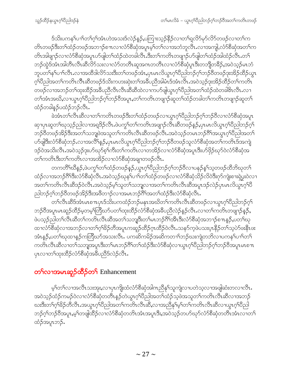ဒ်သိးပကန1်ပၫါတ1်ဂ့ါအံၤဟဲအသးဒ်လဲဉ်န္၄,ပကြၫးသူဉ်နိုဉ်လၢတ1်ရှုလိဉ်မှာ်လိဉ်တဖဉ်လၢတ1်က တိၤတဖဉ်ဒီးတၫ်ထံဉ်တဖဉ်အဘၫဉ်စ႑ာလၫလံာ်စီဆုံအပူၤမ့ၢ်တၫ်လၢအဘံဘူလီၤ.လၢအကျါ,လံာ်စီဆုံအတၫ်က တိၤအါဖျၫှာ်လၫလံာ်စီဆုံအပူၤပာ်ဖျါတ႑်ထံဉ်ထဲတခါလီၤ.ဒီးတ႑်ကတိၤတဖျၫှာ်ပာ်ဖျါတ႑်ထံဉ်အါထံဉ်လီၤ.တ႑် ဘဉ်ထွဲဒ်အံၤအါတီၤလီၤဆီလိဉ်သးလၢလံဉ်တတိၤဆူအဂၤတတိၤလၢလံဉ်စီဆုံပူၤဒီးတဘိျတခ်ိဉ်,အဝဲသူဉ်မၤဘံ ဘူပတၢိန<ပၢေါလီၤ.လၢအထိဒါလိ်ာသးဒီးတၫ်တဖဉ်အံၤ,ပုၤမၤလိယ္ဂၤဂ့ၫ်ပိညါဘဉ်ဂ့ၫ်ဘဉ်ဝိတဖဉ်ဒုးအိဉ်ထိဉ်ယွၤ ဂ့်္ဂါတိုသါအတ႑်ကတိၤလ်ိဳၤဆီတဖဉ်ဒ်သိႏကဟးဆုံးတ႑်အခ်ဳပညီအါမံၤဒ်အံၤလ်ိဳၤအဝဲသ္ဥ်ာဒုးအိဉ်ထိဉ်တ႑်ကတိၤ တဖဉ်လၫအဘဉ်တၫ်ထုးထိဉ်အခ်ဳပညီလီၤလီၤဆီဆီထဲလၫကပာ်ဖျံယွπဂ့ၫ်ပီညါအတ႑်ထံဉ်ထဲတခါ&ၤလီၤ.လ႑ တၫ်အံၫအဃိႇလၫယ္လၤဂ့ၢိပိညါဘဉ်ဂ့ၢ်ိဘဉ်ဝိအပူၤႇတၫ်ကတိၤတဖျၫဉ်ဆူတၫ်ထံဉ်တခါတၫ်ကတိၤတဖျၫဉ်ဆူတ႑် ထံဉ်တခါနှဉ်ပထံဉ်ဘဉ်လီၤ.

ခဲအံၤတၫ်လီၤဆီလၢတၫ်ကတိၤတဖဉ်ဒီးတၫ်ထံဉ်တဖဉ်လၢယွၤဂ့ၫ်ပိညါဘဉ်ဂ့ၢ်ဘဉ်၀ိလၢလံာ်စိဆုံအပူၤ ဆုၫၦၤဆူတၫ်ဃုသ့ဉ်ညါလၫအရဒိဉ်လီၤ.ဖဲပကွၫ်တၫ်ကတိၤအဖျၫဉ်လီၤဆီတဖဉ်နဉ်,ပုၤမၤလိယွၤဂ့ၫ်ပိညါဘဉ်ဂ့်႑် ဘဉ်၀ိတဖဉ်အိဉ်ဒီးအတ႑်သဘျဖဲအသူတ႑်ကတိၤလီၤဆီတဖဉ်လီၤ.အဝဲသ့ဉ်တမၤဘဉ်ဂိၢ်အယွၤဂ့ၢိပိညါအတ႑် ဟ်ဖျါဒီးလံာ်စိဆုံဘဉ်ႉလၢအလိ်<sup>ရ</sup>နဉ်ႇပုၤမၤလိယ္လၤဂ့်္ဂါပိညါဘဉ်ဂ့်ၢဘဉ်ဝိတဖဉ်သူလံာ်စိဆုံအတၤ်ကတိၤဒ်အကျဲ ဒဉ်ဝဲအသိးလီၤႉအဝဲသ့ဉ်ဒုးပာ်ဃှာ်စ့ၢ်ကီးတၢ်ကတိၤလၢတအိဉ်လၢလံာ်စီဆုံအပူၤဒီးပာ်ဖိုဉ်ဃှာ်ဝဲလံာ်စီဆုံအ တၫ်ကတိၤဒီးတၫ်ကတိၤလၢအအိဉ်လၢလံာ်စီဆုံအချာတဖဉ်လီၤႉ

တကတိႝၫဃိန္ဉာ,ဖဲပက္ဂၤ်တၤ်ထံဉ်တဖဉ်န္ဉာ,ယွၤဂ္ฺါပီညါဘဉ်ဂ္ၤ်ဘဉ်၀ီလၤပနဉ်န္ ၤ်သ္စတဖဉ်ထီဘိဃုတၤ ထံဉ်လၢအဘဉ်ဂိ<sup>ု</sup>ဒီးလံာ်စီဆုံလီၤ.အဝဲသ့ဉ်ဃုနှၤ်ပၢၤ်တၤ်ထံဉ်တဖဉ်လၢလံာ်စီဆုံသိဉ်လိဝဲဒီးဂုာ်ကျဲးစၢးရဲပွးဝဲလၢ အတၫ်ကတိၤလိၤဆီဒဉ်ဝဲလီၤႉအဝဲသ့ဉ်မ့ၢ်သူတၫ်သဘျလၫအတၫ်ကတိၤလိၤဆီအပူၤဒဉ်လဲဉ်ပှၤမၤလိယွၤဂ့ၢ်ပီ ညါဘဉ်ဂုၤ်ဘဉ်ဝိတဖဉ်အိဉ်ဒီးအဖိတ႑ာ်လၢအမၤဘဉ်ဂိါအတၤ်ထံဉ်ဒီးလံာ်စီဆုံလီၤ.

တၫ်လီၤဆီဒ်အံၤမၤစ႑ာပှၤဒ်သိးပကထံဉ်ဘဉ်မနုၤအဃိတၫ်ကတိၤလီၤဆီတဖဉ်လၢယ္ဂၤဂ့ၢ်ပီညါဘဉ်ဂ့ၢ် ဘဉ်ဝိအပူၤမၤဆူဉ်ထိဉ်မ့တမ့<sup>၎</sup>တြိဃာ်ပတ႑်ထုးထိဉ်လံာ်စိဆုံအခ်ိပညိလဲဉ်နဉ်လိၤႉလၢတ႑်ကတိၤတဖျၫဉ်န**ှ**ဉ်, ဖဲပသ္၃်ညါတၫ်လီၤဆီတၫ်ကတိၤလီၤဆီအတ႑်သဘျဒီးတ႑်မၤဘဉ်ဂိ<sup>႑</sup>ဒၶိၤဒီးလံာ်စိဆုံအဘ႑ာ်စ႑ာန**ှ<sub>ာ</sub>့**တ႑်ဃု ထၢလံာ်စီဆုံလၢအဘဉ်လၢတၫ်ဂ့ၫ်ခိဉ်တိအပူၤကဆူဉ်ထိဉ်ဂဲ့ၤထိဉ်ဝဲလီၤ.သနာ်ကဲ့ဖဲပသးပ္ၤနိြဉ်တ႑်သဲ့ပဲာ်ဖးနီၤဖး အံၤန္**ဉ်,**ပတౕါဃုထၢန္ဉာ်ကတြိဃာ်အသးလ်ိၤႉ ပကဆိကမိဉ်အဆိကတ႑ၢ်ဘဉ်ဃးကျဲတဘိလ႑ပကန႑်ပ႑ၢ်တ႑် ပုၤလၢတၫ်ထုးထိဉ်လံာ်စီဆုံအခ်ဳပညီဒ်လဲဉ်လီၤ.

# တ<sup>ှ</sup>လၫအမၤဆူဉ်ထိဉ်တ**်** Enhancement

မ့်ာက်လာအလီးသးအုႏႇလာပုၤကိုုးထံလံာ်စီဆုံအါဂၤညီနှၤ်သူကျဲလာပတဲသ့လာအဖျါဆံးတလာလီး အဝဲသ့ဉ်ထံဉ်ကမဉ်ဝဲလၢလံာ်စီဆုံတတိၤန္ဉာ်တဲယွၤဂ့ၢ်ပီညါအတၢ်ထံဉ်သ့ဖဲအသူတၢ်ကတိၤလီၤဆီလၢအဘဉ် ဃးဒီးတၫ်ဂုၫ်ခ်ဉ်တိလီၤ.အယွၤဂုၫ်ပိညါအတ႑်ကတိၤလီၤဆိ,လၢအညီနှၤ်မှၤ်တ႑်ကတိၤလီၤဆီလၢယွၤဂုၤ်ပိညါ ဘဉ်ဂ့ၢ်ဘဉ်၀ိအပူၤ,မ့ၢ်တဖျါထိဉ်လၢလံာ်စိဆုံတတိၤအံၤအပူၤဒီး,အဝဲသ့ဉ်တဟ်ဃုာ်လံာ်စိဆုံတတိၤအံၤလၢတ႑် ထံဉ်အပူၤဘဉ်.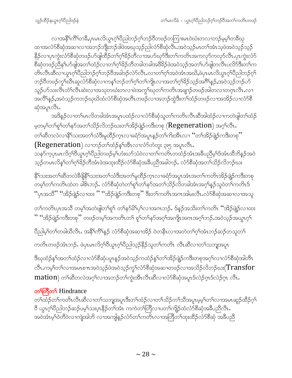လၫအနိ<sup>ရ</sup>ကိ<sup>ရ</sup>တခ်ိႇပှၤမၤလိယ္ပၤဂ့<sup>ရ</sup>ပီညါဘဉ်ဂ့<sup>ရ</sup>ဘဉ်ဝိတဖဉ်တကြၫးမၤဝဲဃံးတလ႑ဘဉ်မ့မ့<sup>ရ</sup>တခ်ိဃု ထၫအလံာ်စိဆုံအဆ႑လၫအဘဉ်ဘိုးဘဉ်ဒါဖဲအဃုသ္ဉဉ်ပါလံာ်စိဆုံလိၤအဝဲသုဉ်မၤတၫ်အံၤသ့ဖဲအဝဲသုဉ်သုဉ် နိဉ်လၢပှၤကွဲးလံာ်စီဆုံတဖဉ်ပာ်ဖျ်ထိဉ်တ႑်ဂ့<sup>ရ</sup>ခ်ဉ်တိလၢအပာ်ဃှာ်ဒီးတ႑်ကတိၤအကလှာ်ကလှာ်လီၤ.ပုၤကွဲးလံာ် ႜ<br>စိဆုံတဖဉ်ညီနှ<sup>ရ</sup>ပာ်ဖျ်အတ<sup>်</sup>ကြံညီလ႑တ႑်ဂ္ဂါခိဉ်တိတခါတခါအဖိခိဉ်ဖဲအဝဲသူဉ်အတ႑်ပာ်ဖျ်တလီၤပလိ၁်ဒီးတ႑်က တိၤလီၤဆီလၢယွၤဂူၫိ၀ိညါဘဉ်ဂုၤ်ဘဉ်၀ိအခါဒဉ်လဲဉ်လီၤႉလၢတ႑်ဂုၤ်အဝဲအံၤအဃိႇဖဲပုၤမၤလိယ္(ဂုၤ်၀ိညါဘဉ်ဂုၤ် ဘဉ်၀ီတဖဉ်ကွ<sup>ရသြီး</sup>ဆူလိ5်စီဆိုလၢကန္<sup>ရ</sup>ဘဉ်တ<sup>ရ</sup>ဂ့<sup>ရ</sup>တ်ကြိုးလၢအတ<sup>ရ</sup>ဂ့<sup>ရ</sup>ခိဉ်သှဉ်အ<sup>ဂ္ဂရ</sup>နဉ်,အဝဲသ့ဉ်ဘဉ်ပ5် သူဉ်ဟ်သးလိၤတိၤတိၤဆဲးလၢအသုတဃံးတလၢဖဲအကွ<sup>ရ</sup>ဃုတၫ်ကတိၤအဖျာဉ်တဖဉ်အါတလၢတဂ္ဂၤလိၤ.လၢ အ<sup>္ဂလိ</sup>ၢ်န္ဉၨာနာဲသ့ဉ်ကဘဉ်ဃုဃိထံလံာ်စိဆုံအတိၤတဖဉ်လၤအဘဉ်ထွဲဒီးတၫ်ထံဉ်တဖဉ်လၤအအိဉ်လၤလံာ်စိ ဆှံအပူၤလီၤ.

အဒိန္ဉာ်လၢတၫ်မၤလိတခါအံၤအပူၤပထံဉ်လၢလံာ်စိဆုံသူတၫ်ကတိၤလီၤဆီအါထံဉ်လၢကတဲဖျါတၫ်ထံဉ် မ့တမ့်<sup>ရ</sup>တ<sup>ရ</sup>ရု<sup>ရ</sup>တ<sup>ရ</sup>နဉ်အတ<sup>ရ</sup>သိဉ်လိဘဉ်ဃးတ<sup>ရ</sup>အိဉ်ဖျဲဉ်ကဒီးတစု  $(\mathsf{Regeneration})$  အဂ္ဂါလီၤ. တၫ်ဆီတလဲလၫနိႝၫသးအတ႑်သံဒီးမူထိဉ်က္ၤလၢခရံဉ်အပူၤန္ဉာိတ႑်ကိးအိၤလ႑ ''တ႑်အိဉ်ဖျဲဉ်ကဒီးတစု''  $(Regeneration)$  လာဘဉ်တာ်ထံဉ်နှာ်အီးလာလံာ်တံ့အုံး ၃း၅ အပူးလီး.

သနဉ်က္ခပုၤမၤလိဂ္<sup>ရ</sup>ဝိယ္ဂၤဂ့ါပိညါတဖဉ်မ့<sup>ရ</sup>ဟံးဃဉ်သံဝဲလၢတၢ်ကတိၤတထံဉ်အံၤအခ်ီပညိမ့ါဒ်အံၤထိဘိန္ဉဉ်အဝဲ သုဉ်တမၤလိန<sup>္</sup>ဂြာဂ်ဂု<sup>ရာ</sup>ရှိဝတို့အားဖဲ့အထူးထိဉ်လံာ်စိဆုံအခီပညီအခါဘဉ်…လံာ်စိဆုံအတ<sup>ြ</sup>သိဉ်လိဘဉ်ဃး

နိဂ်သးအတၫ်ဆီတလဲဒီဖိုနိဂ်သးအတ႑်သံဒီးအတ႑်မှုထိဉ်က္ၤလၢခရံာ်အပူၤအံၤအတ႑်ကတိၤအိဉ်ဖျဲဉ်ကဒီးတစု .<br>တမ့်<sup>ရ</sup>တ်ကတိၤထဲတ ခါဇိၤဘဉ်ႉ လံာ်စီဆုံတဲတ<sup>ရ</sup>ုဂ်တ်၊နဉ်အတ<sup>ှ</sup>သိဉ်လိတခါအံၤအဂ့ါနဉ်သူဝဲတ၊်ကတိၤဒ် "ပုၤအသိ" "အိဉ်ဖျဲဉ်လၢထး " "အိဉ်ဖျဲဉ်ကဒီးတစု" ဒီးတၫ်ကတိၤအဂၤအါမးလီၤႉလံာ်စီဆုံအဆၢလၢအသူ

တၫ်ကတိၤပှၤအသိ တမ့<sup>၎</sup>အတဲဖျဲတၫ်စူၫ် တၫ်နဉ်မိ<sup>ု</sup>ပှ<sup>၎</sup>လၢအဂၤဘဉ်ႉ ဒ်နဉ်အသိးတၫ်ကတိၤ ''အိဉ်ဖျဲဉ်လၢထး **'' ''**အိဉ်ဖျဲဉ်ကဒီးတစု'' တဖဉ်တမ့<sup>ရ</sup>အကတိၤတ<sup>ရ</sup> စူ<sup>ရ</sup>တ<sup>ရ</sup>နဉ်အဂ္ဂါအကျိၤအဂၤအဂ္ဂါဘဉ်ႉအဝဲသုဉ်အယွာဂ့<sup>ရ</sup>

ပိညါမ့်)တ<sup>ှ</sup>တခါဃိလီၤ. အနီ<sup>ရ</sup>ကိ<sup>ရ</sup>နဉ် လံာ်စိဆုံအဆၢအိဉ် ဝဲတနိၤလၢအတဲတ<sup>ှ</sup>ဂ့််၊အံၤဘဉ်ဆဉ်တသူတ<sup>ှ</sup>

ကတိၤတဖဉ်အံၤဘဉ်. ဖဲပှၤမၤလိဂ့်္ဂါဝိယ္ပၤဂ့်္ဂါဝိညါသ့ဉ်နိဉ်သူတၤ်ကတိၤ လီၤဆီလၢတၤ်သဘျအပူၤ

ဒီဃုထံဉ်နှౕါအတౕါထံဉ်လၢလံာ်စီဆုံပပူၤနှဉ်အဝဲသ့ဉ်ကထံဉ်နှၤ်တၤ်အိဉ်ဖျဲဉ်ကဒီးတစုအဂ့ၤ်လၢလံာ်စီဆုံအါတီၤ လီၤႉကမ့ၢ်တၫလၢအမၤစၫၤအဝဲသ့ဉ်ဖဲအဝဲသ့ဉ်ကွၢ်လံာ်စီဆှံအဆၢတဖဉ်လၢအသိဉ်လိဘဉ်ဃး $(\operatorname{Transfor}$  $\text{mation}$ ) တาဆီတလဲအဂ္ဂါလၢအဘဉ်တာ်ကွဲးအီးလီးဆီလၢလံာ်စီဆုံအပူးဒ်လဲဉ်ဂုၤဒ်လဲဉ်ဂုၤ လီး.

#### တ<sup>ှ</sup>ကြီတှ Hindrance

တၫ်ထံဉ်တၫ်ကတိၤလီၤဆီလၫတၫ်သဘျအပူၤဒီးတၫ်ထံဉ်လ႑တ႑်သိဉ်တ႑်သိအပူၤမ့မ့ှ်တ႑်လ႑အမၤဆူဉ်ထိဉ်ဂ့႑် <sup>8</sup> ယွၤဂ့<sup>၎</sup>ပိညါဘဉ်ဆဉ်ပမ့<sup>၎</sup>သးပ္ၤနိဉ်တ<sup>ိ</sup>ၢအာၤ ကကဲတ<sup>ြ</sup>တြီလၢပတ<sup>၎</sup>ကျိဉ်ထံလံ<sup>ဉ်</sup>စိဆုံအခ်ိပညီလီၤ. အဝဲအံၤမ့္ပြဲတိဝဲလၫကျဲအါဘိ လ႑အကျုံန္ဉ်လံာ်တ႑်ကတိၤလ႑အတြံတ်၊ထုးထိဉ်လံာ်စိဆုံ အခ်ီပညီ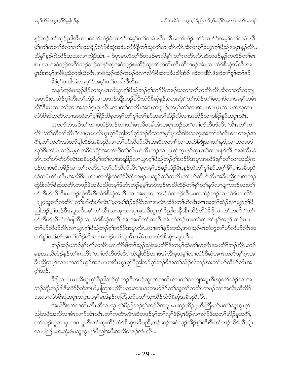နဉ်ဘဉ်တ႑်သူဉ်ညါအီၤလၢဓတ႑်ထံဉ်ခဲလ႑ာ်ဒ်အမှ့႑်တ႑်တမံၤဃိ) လီၤ.တ႑်ထံဉ်တ႑်ခဲလ႑ာ်ဒ်အမှ္ ကြာမံၤဃိ မ့်)တဉ်ကိတဉ်ခဲ့လာတဉ်ထုံးထို့ဉ်လံ့၃စိဆုံအခ်ဳပညီခီဖျိတဉ်သူတဉ်က တိၤလီၤဆီလာဂ့်္ဂါဝီယွၤဂ့်္ဂါဝီညါအပူၤန္ဉာ်လီၤ ညီနှ<sup>ရ</sup>နဉ်ကဲထိဉ်အသးလၫကျဲဒ်အံၤ – ဖဲပှၤမၤလိတၫ်ဖိတဖဉ်မၤလိန္<sup></sup>၊ တၫ်ကတိၤလီၤဆီတဖဉ်နဉ်ကဲထိဉ်တၫ်မၤ စπလၢအဝဲသုဉ်အဂိၢိဘဉ်ဆဉ်သန>်က့အဝဲသုဉ်စးထိဉ်သူတၢ်ကတိၤလီၤဆီတဖဉ်အံၤလၢလံာ်စီဆုံအါတီၤအ ပူၤဒ်အမှ္iအခ်ီပညီတခါဃီလီၤ.အဝဲသ့ဉ်ထံဉ်ကမဉ်ဝဲလၤလံာ်စီဆုံအခ်ီပညီအိဉ် ထဲတခါ&ၤဒီးတဲတၤ်စူၤ်တၤ်နှာ် မိSပုSတခါအံၤအဂ္ဒSအမ္SတSတခါဃီလီၤ.

သန>်က့ဖဲပသ့ဉ်နိ $\beta$ လၢပုၤမၤလိယွၤဂ့ါပီညါဘဉ်ဂ့ါဘဉ်၀ီတဖဉ်ဃုထၢတၢ်ကတိၤလီၤဆီလၢတ႑်သဘျ အပူၤဒီးဃုထံဉ်စ့<sup>၎</sup>ကိဳးတ<sup>၎</sup>ထံဉ်လၢအဘဉ်ဘိုုးဘဉ်ဒါဒိီးလံာ်စိဆုံနဉ်ႇပဟးဆုဲး''တ<sup>၎</sup>ထံဉ်တ႑်ခဲလ႑ာ်လၢအမ့<sup>၎</sup>တမံၤ ဃိ"ဒီးဃုထၢတၫ်လၢအဘဉ်ဂုၤဂုၤလိၤႉလၢတ႑်ကတိၤအဂၤတဖျၫဉ်ႇကမ့ၢ်တၫ်လၢအမၤစ႑ာပုၤလၢပကၰထၢ လံာ်စီဆုံအတီၤလၢအတဲတၫ်ဂ့ၫ်ခိဉ်တီမ့တမ့ၢ်တ႑်စူၫ်တ႑်နာ်အတ႑်သိဉ်လိလၢအအိဉ်လၢပခိဉ်နူာ်အပူၤလီၤ.

ပကဟ်ကဲအဒိတၫ်လၢပထံဉ်ဘဉ်လၢတၫ်မၤလိတခါအံၤအပူၤဘဉ်ဃး''တၫ်ဟ်တီဟ်လိၤ''လီၤ.တၫ်က တိၤ"တၫ်တိတ႑်လိၤ"လၢပုၤမၤလိယ္မၤဂ့ၫ်ပိညါဘဉ်ဂ့ၤ်ဘဉ်၀ိလၢအမ့ၤ်ပုၤထိဒါခဲးသလုံးအတ႑်ဟဲလိၤစ႑ၤတဖဉ်အ ဂြီ,တ႑်ကတိၤအံၤဟ်ဖျါထိဉ်အခ်ဳပညီလၢတ႑်ဟ်တီဟ်လိၤအဆိကတ႑ာ်လၢအဟဲခီဖျိလၢတ႑်နာ်,လၢအတဟ် ဃုာ်ဒီးတၫ်မၤဘဉ်.မ့မ့ၢ်တခ်ိဖဲခရံာ်အတၫ်တိတၫ်လိၤဟဲလိၤဘဉ်လၢပှၤစုၫ်က္ၤနာ်က္ၤတၫ်တဂၤနာ်အီၤအခါလီၤ.ခဲ အံၤ,တၫ်ဟ်တီဟ်လိၤအခ်ီပညီမ့္၊်တ႑်လၢအရုဒိဉ်လၢယ္ဂၤဂ့ၢ်ပီညါဘဉ်ဂ့ၢ်ဘဉ်၀ီအပူၤအဃိဒီးမ့္၊်တ႑်လၢအညီက ဒဉ်လၢပဆိကမိဉ်လၢတၫ်ကတိၤႇ''တၫ်ပာ်တီပာ်လိၤ''မှတမ့ၢ်ဒဉ်ခဉ်ယံဉ်&ၤႇနှဉ်တဲတ႑်စူၫ်နှာ်အဂ္ဂါမိၢ်ပုၫ်အခီပညီ ထဲတမံၤအံၤလီၤ.အဃိဒီးပုၤလၢအကျိုးထံလံာ်စီဆုံတဖဉ်မၢဆူဉ်တၫ်ကတိၤတၫ်ဟ်တီဟ်လိၤအခ်ီပညီလၢအဘဉ် ထွဲဒီးလံာ်စီဆုံအတိၤတဖဉ်ဖဲအခ်ဳပညီတမ့်္ဂဒ်အံၤဘဉ်မ့မ့်္ဂအဝဲသ့ဉ်မၤသိထိဉ်တ႑်စူ်တ႑်နာ်လၢပျ႑ာဘဉ်ဃးတ႑် ပာ်တီဟ်လိၤဒီးမၤဘဉ်ထွဲအိၤဒီးလံာ်စီဆုံအတိၤလၢအဃုထၢကမဉ်ဝဲတဖဉ်လီၤႉပကထံဉ်ဘဉ်လၢလံာ်ယၤကိ $\delta$ ၂း၂၄သူတ<sup>၎</sup>ကတိၤ"တၫ်ဟ်တိဟ်လိၤ"မ့တမ့<sup>၎</sup>ဒံဉ်ခဉ်&ၤလၢအလိၤဆိဒီးတၫ်ဟဲလိၤစ႑ာအတၫ်ထံဉ်လၢယွၤဂ့ၫ်ပိ ညါဘဉ်ဂ့ౕါဘဉ်ဝီအပူၤလီၤ.မ့ౕါတౕါလီၤသးအုးလၢ,ပှၤမၤလိယ္ပၤဂ့ౕါပီညါတနိၱၤနိၤသိဉ်လိဝဲဒီဖျိလၢတၤ်ကတိၤ"တ႑် ဟ်တီဟ်လိၤ" ဟဲဖျါထိဉ်လၢလံာ်စိဆုံတတိၤအံၤအဃိတ႑်တတိၤအံၤတဲဘဉ်ဃးတ႑်စူ႑်တ႑်နာ်အဂ္႑် ဘဉ်ဃး တၫ်ပာ်တီဟ်လိၤလၢယ္ဂၤဂ့ါပီညါဘဉ်ဂ့ါဘဉ်၀ီအပူၤလီၤႉလၢတ႑်နှဉ်အဃိႇအဝဲသ့ဉ်မၤဘံဘူတ႑်ပာ်တီဟ်လိၤအ တၫ်စူၫ်တ႑်နှာ်အတ႑်သိဉ်လိလၢအဘဉ်တ႑်သူအိၤအါမံၤလၢလံာ်စီဆုံအပူၤလီၤ.

ဘဉ်ဆဉ်ပဘဉ်နှၤ်ပၫ်လၢစီၤယၤကိ်ာဒ်တ႑်သူဉ်ညါအပတိၤ်ဒီးတမ့ၤ်ထဲတၤ်ကတိၤအပတိၤ်ဘဉ်လီၤ.ဘဉ် မနၤအဃိလဲဉ်နှဉ်တၫ်ကတိၤ"တၫ်ဟ်တိဟ်လိၤ"ဟဲဖျါထိဉ်လၢဖဲအံၤဒီးမ့တမ့ၢ်လၢလံာ်စိဆုံအဂၤတတိၤမ့ၢ်ဂ္ၤအ ခ်ီပညီတမ္Sလာပကဘဉ်ဟုဉ်အဝဲမၤဟးဂြီးယွၤဂူS်ပြီညါဘဉ်ဂူS်ဘဉ်ဝိအတS်သိဉ်လိဘဉ်ဃးတS်ဟ်တိဟ်လိၤအ ဂ့<sup>၎</sup>ဘုိ.

ခ်ိဖျိလၢပှၤမၤလိယ္ပၤဂ့ౕၢိပိညါဘဉ်ဂ့်ၢ်ဘဉ်ဝိတဖဉ်သူတၤ်ကတိၤလၢတၤ်သဘျအပူၤဒိးဃုတၤ်ထံဉ်လၢအ ဘဉ်ဘိုးဘဉ်ဒါဒီးလံာ်စီဆုံအဃိႇပကြၫးပလိႝၤ်ပသးလ႑ပသုတပာ်ဒိဉ်တ႑်သူတ႑်ကတိၤတဖဉ်လ႑အလီၤဆီလိာ် သးလၢလံာ်စီဆုံအပူၤတဂ္ၤ.ပမ့္်မၤဒ်န္ဥဴကတြိဃာ်ပတ႑်ထုးထိဉ်လံာ်စီဆုံအခ်ဳပညီလီၤ.

အဃိဒီးတၫ်ကတိၤလိၤဆိလၢယ္ပၤဂ့ౕၢပိညါဘဉ်ဂ့ౕၢဘဉ်၀ိအပူၤမၤဆူဉ်ထိဉ်ၦၤဒီးတြိဃာ်ပတၤ်သူယွၤဂ့ၤ် ညါ့အပီးအလိသၢမံၤလၫာ်အံၤလီၤ.တၫ်ကတိၤလီၤဆီတဖဉ်မှၤ်တ႑်လှၤ်ဒိဉ်ပုၤဒိဉ်လၢခရံာ်ဖိအတၤ်အိဉ်မူအဂိါ, တၫ်ဘဉ်ထွဲလၢပှၤတဝၢပူၤဒီးတၫ်ထုးထိဉ်လံာ်စိဆုံအနိပညိႇဘဉ်ဆဉ်အဝဲသ့ဉ်အိဉ်စ့ၢ်ကီးဒီးတၢ်ဘဉ်ယိာ်လီၤပျံု၊ လၫပကြၫးဟးဆုံးဖဲပသူယွၤဂ့ါပိညါအပီးအလိတဖဉ်အံၤလိၤ.